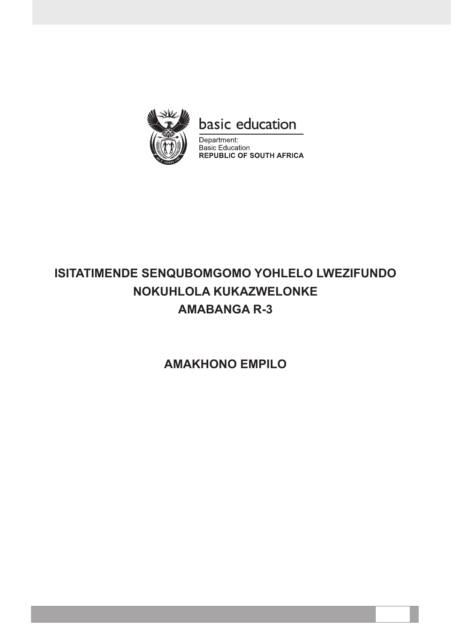

# basic education

Department: **Basic Education REPUBLIC OF SOUTH AFRICA** 

# **Isitatimende Senqubomgomo Yohlelo Lwezifundo Nokuhlola Kukazwelonke Amabanga R-3**

**AMAKHONO EMPILO**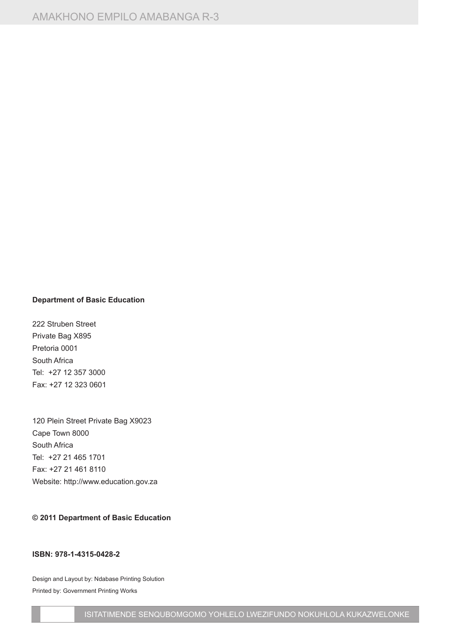#### **Department of Basic Education**

222 Struben Street Private Bag X895 Pretoria 0001 South Africa Tel: +27 12 357 3000 Fax: +27 12 323 0601

120 Plein Street Private Bag X9023 Cape Town 8000 South Africa Tel: +27 21 465 1701 Fax: +27 21 461 8110 Website: http://www.education.gov.za

# **© 2011 Department of Basic Education**

#### **Isbn: 978-1-4315-0428-2**

Design and Layout by: Ndabase Printing Solution Printed by: Government Printing Works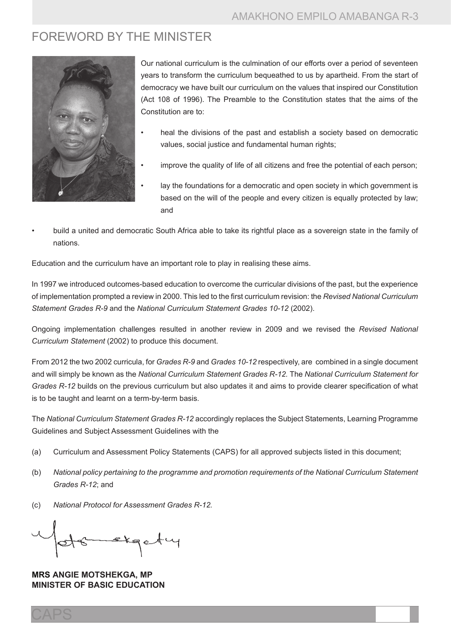# FOREWORD by the minister



Our national curriculum is the culmination of our efforts over a period of seventeen years to transform the curriculum bequeathed to us by apartheid. From the start of democracy we have built our curriculum on the values that inspired our Constitution (Act 108 of 1996). The Preamble to the Constitution states that the aims of the Constitution are to:

- heal the divisions of the past and establish a society based on democratic values, social justice and fundamental human rights;
- improve the quality of life of all citizens and free the potential of each person;
	- lay the foundations for a democratic and open society in which government is based on the will of the people and every citizen is equally protected by law; and
- build a united and democratic South Africa able to take its rightful place as a sovereign state in the family of nations.

Education and the curriculum have an important role to play in realising these aims.

In 1997 we introduced outcomes-based education to overcome the curricular divisions of the past, but the experience of implementation prompted a review in 2000. This led to the first curriculum revision: the *Revised National Curriculum Statement Grades R-9* and the *National Curriculum Statement Grades 10-12* (2002).

Ongoing implementation challenges resulted in another review in 2009 and we revised the *Revised National Curriculum Statement* (2002) to produce this document.

From 2012 the two 2002 curricula, for *Grades R-9* and *Grades 10-12* respectively, are combined in a single document and will simply be known as the *National Curriculum Statement Grades R-12.* The *National Curriculum Statement for Grades R-12* builds on the previous curriculum but also updates it and aims to provide clearer specification of what is to be taught and learnt on a term-by-term basis.

The *National Curriculum Statement Grades R-12* accordingly replaces the Subject Statements, Learning Programme Guidelines and Subject Assessment Guidelines with the

- (a) Curriculum and Assessment Policy Statements (CAPS) for all approved subjects listed in this document;
- (b) *National policy pertaining to the programme and promotion requirements of the National Curriculum Statement Grades R-12*; and
- (c) *National Protocol for Assessment Grades R-12.*

exgety

**MRS ANGIE MOTSHEKGA, MP MINISTER OF BASIC EDUCATION**

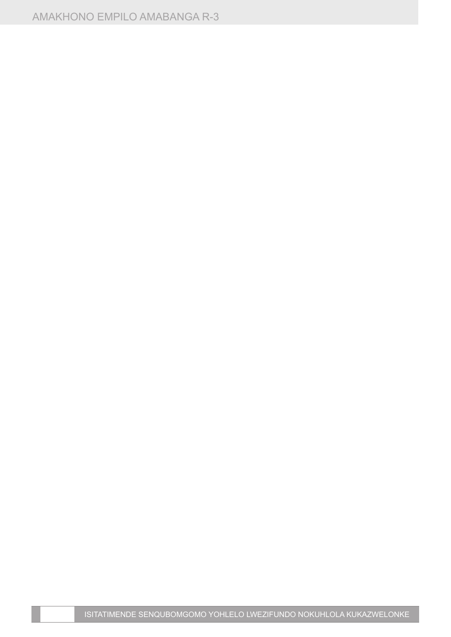Isitatimende Senqubomgomo Yohlelo Lwezifundo Nokuhlola Kukazwelonke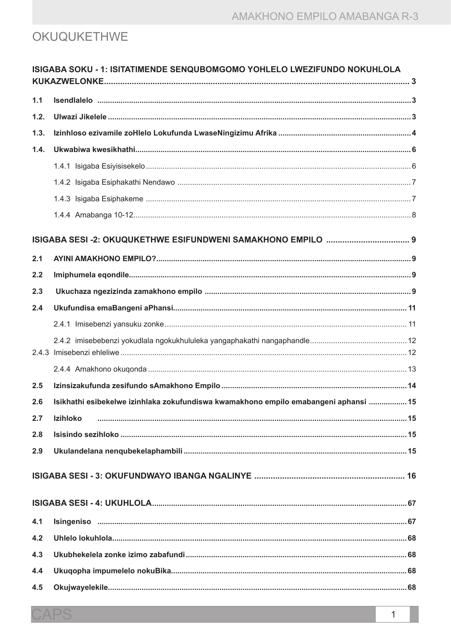# OKUQUKETHWE

|      | ISIGABA SOKU - 1: ISITATIMENDE SENQUBOMGOMO YOHLELO LWEZIFUNDO NOKUHLOLA             |  |
|------|--------------------------------------------------------------------------------------|--|
|      |                                                                                      |  |
| 1.1  |                                                                                      |  |
| 1.2. |                                                                                      |  |
| 1.3. |                                                                                      |  |
| 1.4. |                                                                                      |  |
|      |                                                                                      |  |
|      |                                                                                      |  |
|      |                                                                                      |  |
|      |                                                                                      |  |
|      |                                                                                      |  |
| 2.1  |                                                                                      |  |
| 2.2  |                                                                                      |  |
| 2.3  |                                                                                      |  |
| 2.4  |                                                                                      |  |
|      |                                                                                      |  |
|      |                                                                                      |  |
|      |                                                                                      |  |
| 2.5  |                                                                                      |  |
| 2.6  | Isikhathi esibekelwe izinhlaka zokufundiswa kwamakhono empilo emabangeni aphansi  15 |  |
| 2.7  | <b>Izihloko</b>                                                                      |  |
| 2.8  |                                                                                      |  |
| 2.9  |                                                                                      |  |
|      |                                                                                      |  |
|      |                                                                                      |  |
| 4.1  |                                                                                      |  |
| 4.2  |                                                                                      |  |
| 4.3  |                                                                                      |  |
| 4.4  |                                                                                      |  |
| 4.5  |                                                                                      |  |

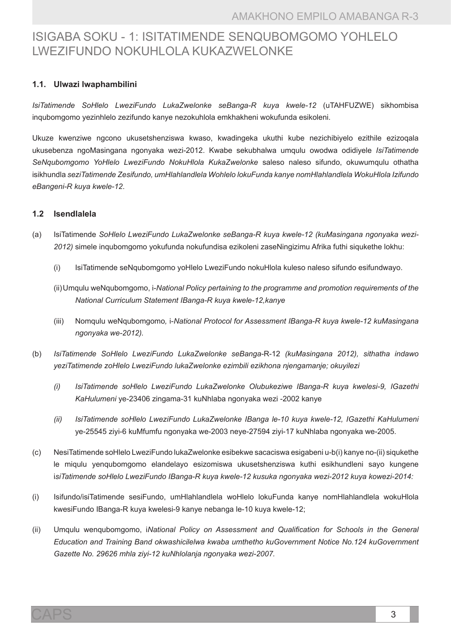# ISIGABA SOKU - 1: Isitatimende Senqubomgomo Yohlelo Lwezifundo Nokuhlola Kukazwelonke

# **1.1. Ulwazi lwaphambilini**

*IsiTatimende SoHlelo LweziFundo LukaZwelonke seBanga-R kuya kwele-12* (uTAHFUZWE) sikhombisa inqubomgomo yezinhlelo zezifundo kanye nezokuhlola emkhakheni wokufunda esikoleni.

Ukuze kwenziwe ngcono ukusetshenziswa kwaso, kwadingeka ukuthi kube nezichibiyelo ezithile ezizoqala ukusebenza ngoMasingana ngonyaka wezi-2012. Kwabe sekubhalwa umqulu owodwa odidiyele *IsiTatimende SeNqubomgomo YoHlelo LweziFundo NokuHlola KukaZwelonke* saleso naleso sifundo, okuwumqulu othatha isikhundla *seziTatimende Zesifundo, umHlahlandlela Wohlelo lokuFunda kanye nomHlahlandlela WokuHlola Izifundo eBangeni-R kuya kwele-12*.

# **1.2 Isendlalela**

- (a) IsiTatimende *SoHlelo LweziFundo LukaZwelonke seBanga-R kuya kwele-12 (kuMasingana ngonyaka wezi-2012)* simele inqubomgomo yokufunda nokufundisa ezikoleni zaseNingizimu Afrika futhi siqukethe lokhu:
	- (i) IsiTatimende seNqubomgomo yoHlelo LweziFundo nokuHlola kuleso naleso sifundo esifundwayo.
	- (ii) Umqulu weNqubomgomo, i-*National Policy pertaining to the programme and promotion requirements of the National Curriculum Statement IBanga-R kuya kwele-12,kanye*
	- (iii) Nomqulu weNqubomgomo*,* i-*National Protocol for Assessment IBanga-R kuya kwele-12 kuMasingana ngonyaka we-2012).*
- (b) *IsiTatimende SoHlelo LweziFundo LukaZwelonke seBanga-*R-12 *(kuMasingana 2012), sithatha indawo yeziTatimende zoHlelo LweziFundo lukaZwelonke ezimbili ezikhona njengamanje; okuyilezi*
	- *(i) IsiTatimende soHlelo LweziFundo LukaZwelonke Olubukeziwe IBanga-R kuya kwelesi-9, IGazethi KaHulumeni* ye-23406 zingama-31 kuNhlaba ngonyaka wezi -2002 kanye
	- *(ii) IsiTatimende soHlelo LweziFundo LukaZwelonke IBanga le-10 kuya kwele-12, IGazethi KaHulumeni* ye-25545 ziyi-6 kuMfumfu ngonyaka we-2003 neye-27594 ziyi-17 kuNhlaba ngonyaka we-2005.
- (c) NesiTatimende soHlelo LweziFundo lukaZwelonke esibekwe sacaciswa esigabeni u-b(i) kanye no-(ii) siqukethe le miqulu yenqubomgomo elandelayo esizomiswa ukusetshenziswa kuthi esikhundleni sayo kungene i*siTatimende soHlelo LweziFundo IBanga-R kuya kwele-12 kusuka ngonyaka wezi-2012 kuya kowezi-2014:*
- (i) Isifundo/isiTatimende sesiFundo, umHlahlandlela woHlelo lokuFunda kanye nomHlahlandlela wokuHlola kwesiFundo IBanga-R kuya kwelesi-9 kanye nebanga le-10 kuya kwele-12;
- (ii) Umqulu wenqubomgomo, i*National Policy on Assessment and Qualification for Schools in the General Education and Training Band okwashicilelwa kwaba umthetho kuGovernment Notice No.124 kuGovernment Gazette No. 29626 mhla ziyi-12 kuNhlolanja ngonyaka wezi-2007.*

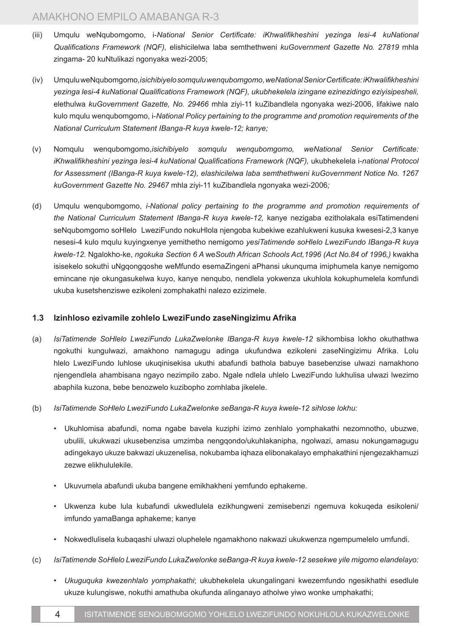- (iii) Umqulu weNqubomgomo, i-*National Senior Certificate: iKhwalifikheshini yezinga lesi-4 kuNational Qualifications Framework (NQF),* elishicilelwa laba semthethweni *kuGovernment Gazette No. 27819* mhla zingama- 20 kuNtulikazi ngonyaka wezi-2005;
- (iv) Umqulu weNqubomgomo*,isichibiyelo somqulu wenqubomgomo, weNational Senior Certificate: iKhwalifikheshini yezinga lesi-4 kuNational Qualifications Framework (NQF), ukubhekelela izingane ezinezidingo eziyisipesheli,*  elethulwa *kuGovernment Gazette, No. 29466* mhla ziyi-11 kuZibandlela ngonyaka wezi-2006, lifakiwe nalo kulo mqulu wenqubomgomo, i-*National Policy pertaining to the programme and promotion requirements of the National Curriculum Statement IBanga-R kuya kwele-12; kanye;*
- (v) Nomqulu wenqubomgomo,*isichibiyelo somqulu wenqubomgomo, weNational Senior Certificate: iKhwalifikheshini yezinga lesi-4 kuNational Qualifications Framework (NQF), ukubhekelela i-national Protocol for Assessment (IBanga-R kuya kwele-12), elashicilelwa laba semthethweni kuGovernment Notice No. 1267 kuGovernment Gazette No. 29467* mhla ziyi-11 kuZibandlela ngonyaka wezi-2006*;*
- (d) Umqulu wenqubomgomo, *i-National policy pertaining to the programme and promotion requirements of the National Curriculum Statement IBanga-R kuya kwele-12,* kanye nezigaba ezitholakala esiTatimendeni seNqubomgomo soHlelo LweziFundo nokuHlola njengoba kubekiwe ezahlukweni kusuka kwesesi-2,3 kanye nesesi-4 kulo mqulu kuyingxenye yemithetho nemigomo *yesiTatimende soHlelo LweziFundo IBanga-R kuya kwele-12.* Ngalokho-ke, *ngokuka Section 6 A* we*South African Schools Act,1996 (Act No.84 of 1996,)* kwakha isisekelo sokuthi uNgqongqoshe weMfundo esemaZingeni aPhansi ukunquma imiphumela kanye nemigomo emincane nje okungasukelwa kuyo, kanye nenqubo, nendlela yokwenza ukuhlola kokuphumelela komfundi ukuba kusetshenziswe ezikoleni zomphakathi nalezo ezizimele.

# **1.3 Izinhloso ezivamile zohlelo LweziFundo zaseNingizimu Afrika**

- (a) *IsiTatimende SoHlelo LweziFundo LukaZwelonke IBanga-R kuya kwele-12* sikhombisa lokho okuthathwa ngokuthi kungulwazi, amakhono namagugu adinga ukufundwa ezikoleni zaseNingizimu Afrika. Lolu hlelo LweziFundo luhlose ukuqinisekisa ukuthi abafundi bathola babuye basebenzise ulwazi namakhono njengendlela ahambisana ngayo nezimpilo zabo. Ngale ndlela uhlelo LweziFundo lukhulisa ulwazi lwezimo abaphila kuzona, bebe benozwelo kuzibopho zomhlaba jikelele.
- (b) *IsiTatimende SoHlelo LweziFundo LukaZwelonke seBanga-R kuya kwele-12 sihlose lokhu:* 
	- • Ukuhlomisa abafundi, noma ngabe bavela kuziphi izimo zenhlalo yomphakathi nezomnotho, ubuzwe, ubulili, ukukwazi ukusebenzisa umzimba nengqondo/ukuhlakanipha, ngolwazi, amasu nokungamagugu adingekayo ukuze bakwazi ukuzenelisa, nokubamba iqhaza elibonakalayo emphakathini njengezakhamuzi zezwe elikhululekile.
	- • Ukuvumela abafundi ukuba bangene emikhakheni yemfundo ephakeme.
	- • Ukwenza kube lula kubafundi ukwedlulela ezikhungweni zemisebenzi ngemuva kokuqeda esikoleni/ imfundo yamaBanga aphakeme; kanye
	- • Nokwedlulisela kubaqashi ulwazi oluphelele ngamakhono nakwazi ukukwenza ngempumelelo umfundi.
- (c) *IsiTatimende SoHlelo LweziFundo LukaZwelonke seBanga-R kuya kwele-12 sesekwe yile migomo elandelayo:*
	- • *Ukuguquka kwezenhlalo yomphakathi*; ukubhekelela ukungalingani kwezemfundo ngesikhathi esedlule ukuze kulungiswe, nokuthi amathuba okufunda alinganayo atholwe yiwo wonke umphakathi;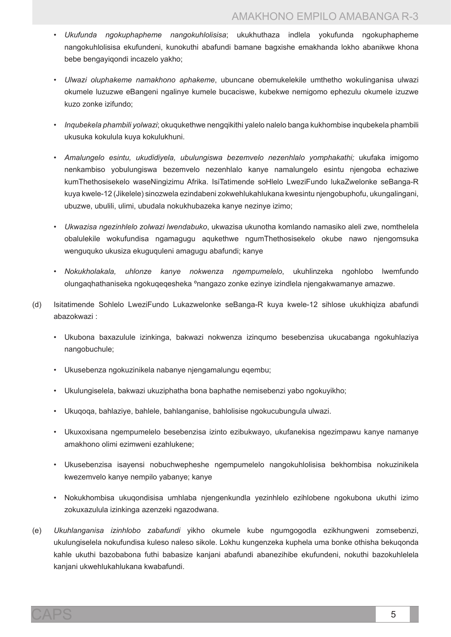- • *Ukufunda ngokuphapheme nangokuhlolisisa*; ukukhuthaza indlela yokufunda ngokuphapheme nangokuhlolisisa ekufundeni, kunokuthi abafundi bamane bagxishe emakhanda lokho abanikwe khona bebe bengayiqondi incazelo yakho;
- • *Ulwazi oluphakeme namakhono aphakeme*, ubuncane obemukelekile umthetho wokulinganisa ulwazi okumele luzuzwe eBangeni ngalinye kumele bucaciswe, kubekwe nemigomo ephezulu okumele izuzwe kuzo zonke izifundo;
- • *Inqubekela phambili yolwazi*; okuqukethwe nengqikithi yalelo nalelo banga kukhombise inqubekela phambili ukusuka kokulula kuya kokulukhuni.
- • *Amalungelo esintu, ukudidiyela, ubulungiswa bezemvelo nezenhlalo yomphakathi;* ukufaka imigomo nenkambiso yobulungiswa bezemvelo nezenhlalo kanye namalungelo esintu njengoba echaziwe kumThethosisekelo waseNingizimu Afrika. IsiTatimende soHlelo LweziFundo lukaZwelonke seBanga-R kuya kwele-12 (Jikelele) sinozwela ezindabeni zokwehlukahlukana kwesintu njengobuphofu, ukungalingani, ubuzwe, ubulili, ulimi, ubudala nokukhubazeka kanye nezinye izimo;
- • *Ukwazisa ngezinhlelo zolwazi lwendabuko*, ukwazisa ukunotha komlando namasiko aleli zwe, nomthelela obalulekile wokufundisa ngamagugu aqukethwe ngumThethosisekelo okube nawo njengomsuka wenguquko ukusiza ekuguquleni amagugu abafundi; kanye
- • *Nokukholakala, uhlonze kanye nokwenza ngempumelelo*, ukuhlinzeka ngohlobo lwemfundo olungaqhathaniseka ngokuqeqesheka ºnangazo zonke ezinye izindlela njengakwamanye amazwe.
- (d) Isitatimende Sohlelo LweziFundo Lukazwelonke seBanga-R kuya kwele-12 sihlose ukukhiqiza abafundi abazokwazi :
	- • Ukubona baxazulule izinkinga, bakwazi nokwenza izinqumo besebenzisa ukucabanga ngokuhlaziya nangobuchule;
	- • Ukusebenza ngokuzinikela nabanye njengamalungu eqembu;
	- • Ukulungiselela, bakwazi ukuziphatha bona baphathe nemisebenzi yabo ngokuyikho;
	- • Ukuqoqa, bahlaziye, bahlele, bahlanganise, bahlolisise ngokucubungula ulwazi.
	- • Ukuxoxisana ngempumelelo besebenzisa izinto ezibukwayo, ukufanekisa ngezimpawu kanye namanye amakhono olimi ezimweni ezahlukene;
	- • Ukusebenzisa isayensi nobuchwepheshe ngempumelelo nangokuhlolisisa bekhombisa nokuzinikela kwezemvelo kanye nempilo yabanye; kanye
	- • Nokukhombisa ukuqondisisa umhlaba njengenkundla yezinhlelo ezihlobene ngokubona ukuthi izimo zokuxazulula izinkinga azenzeki ngazodwana.
- (e) *Ukuhlanganisa izinhlobo zabafundi* yikho okumele kube ngumgogodla ezikhungweni zomsebenzi, ukulungiselela nokufundisa kuleso naleso sikole. Lokhu kungenzeka kuphela uma bonke othisha bekuqonda kahle ukuthi bazobabona futhi babasize kanjani abafundi abanezihibe ekufundeni, nokuthi bazokuhlelela kanjani ukwehlukahlukana kwabafundi.

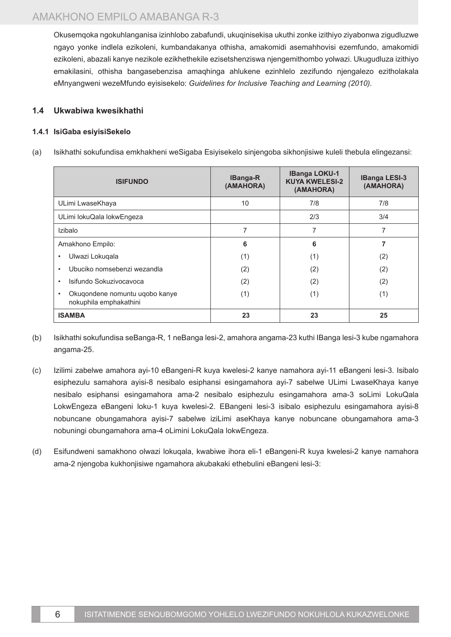Okusemqoka ngokuhlanganisa izinhlobo zabafundi, ukuqinisekisa ukuthi zonke izithiyo ziyabonwa zigudluzwe ngayo yonke indlela ezikoleni, kumbandakanya othisha, amakomidi asemahhovisi ezemfundo, amakomidi ezikoleni, abazali kanye nezikole ezikhethekile ezisetshenziswa njengemithombo yolwazi. Ukugudluza izithiyo emakilasini, othisha bangasebenzisa amaqhinga ahlukene ezinhlelo zezifundo njengalezo ezitholakala eMnyangweni wezeMfundo eyisisekelo: *Guidelines for Inclusive Teaching and Learning (2010).*

# **1.4 Ukwabiwa kwesikhathi**

# **1.4.1 IsiGaba esiyisiSekelo**

(a) Isikhathi sokufundisa emkhakheni weSigaba Esiyisekelo sinjengoba sikhonjisiwe kuleli thebula elingezansi:

| <b>ISIFUNDO</b>                                          | <b>IBanga-R</b><br>(AMAHORA) | <b>IBanga LOKU-1</b><br><b>KUYA KWELESI-2</b><br>(AMAHORA) | <b>IBanga LESI-3</b><br>(AMAHORA) |
|----------------------------------------------------------|------------------------------|------------------------------------------------------------|-----------------------------------|
| ULimi LwaseKhaya                                         | 10                           | 7/8                                                        | 7/8                               |
| ULimi lokuQala lokwEngeza                                |                              | 2/3                                                        | 3/4                               |
| Izibalo                                                  | 7                            | 7                                                          | 7                                 |
| Amakhono Empilo:                                         | 6                            | 6                                                          | 7                                 |
| Ulwazi Lokuqala                                          | (1)                          | (1)                                                        | (2)                               |
| Ubuciko nomsebenzi wezandla                              | (2)                          | (2)                                                        | (2)                               |
| Isifundo Sokuzivocavoca                                  | (2)                          | (2)                                                        | (2)                               |
| Okugondene nomuntu ugobo kanye<br>nokuphila emphakathini | (1)                          | (1)                                                        | (1)                               |
| <b>ISAMBA</b>                                            | 23                           | 23                                                         | 25                                |

- (b) Isikhathi sokufundisa seBanga-R, 1 neBanga lesi-2, amahora angama-23 kuthi IBanga lesi-3 kube ngamahora angama-25.
- (c) Izilimi zabelwe amahora ayi-10 eBangeni-R kuya kwelesi-2 kanye namahora ayi-11 eBangeni lesi-3. Isibalo esiphezulu samahora ayisi-8 nesibalo esiphansi esingamahora ayi-7 sabelwe ULimi LwaseKhaya kanye nesibalo esiphansi esingamahora ama-2 nesibalo esiphezulu esingamahora ama-3 soLimi LokuQala LokwEngeza eBangeni loku-1 kuya kwelesi-2. EBangeni lesi-3 isibalo esiphezulu esingamahora ayisi-8 nobuncane obungamahora ayisi-7 sabelwe iziLimi aseKhaya kanye nobuncane obungamahora ama-3 nobuningi obungamahora ama-4 oLimini LokuQala lokwEngeza.
- (d) Esifundweni samakhono olwazi lokuqala, kwabiwe ihora eli-1 eBangeni-R kuya kwelesi-2 kanye namahora ama-2 njengoba kukhonjisiwe ngamahora akubakaki ethebulini eBangeni lesi-3: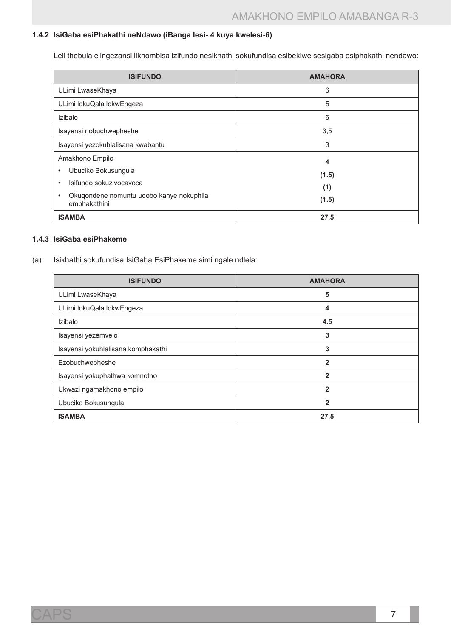# **1.4.2 IsiGaba esiPhakathi neNdawo (iBanga lesi- 4 kuya kwelesi-6)**

Leli thebula elingezansi likhombisa izifundo nesikhathi sokufundisa esibekiwe sesigaba esiphakathi nendawo:

| <b>ISIFUNDO</b>                                               | <b>AMAHORA</b> |
|---------------------------------------------------------------|----------------|
| ULimi LwaseKhaya                                              | 6              |
| ULimi lokuQala lokwEngeza                                     | 5              |
| Izibalo                                                       | 6              |
| Isayensi nobuchwepheshe                                       | 3,5            |
| Isayensi yezokuhlalisana kwabantu                             | 3              |
| Amakhono Empilo                                               | 4              |
| Ubuciko Bokusungula<br>$\bullet$                              | (1.5)          |
| Isifundo sokuzivocavoca<br>$\bullet$                          | (1)            |
| Okuqondene nomuntu uqobo kanye nokuphila<br>٠<br>emphakathini | (1.5)          |
| <b>ISAMBA</b>                                                 | 27,5           |

# **1.4.3 IsiGaba esiPhakeme**

### (a) Isikhathi sokufundisa IsiGaba EsiPhakeme simi ngale ndlela:

| <b>ISIFUNDO</b>                    | <b>AMAHORA</b> |
|------------------------------------|----------------|
| ULimi LwaseKhaya                   | 5              |
| ULimi lokuQala lokwEngeza          | 4              |
| Izibalo                            | 4.5            |
| Isayensi yezemvelo                 | 3              |
| Isayensi yokuhlalisana komphakathi | 3              |
| Ezobuchwepheshe                    | $\overline{2}$ |
| Isayensi yokuphathwa komnotho      | 2              |
| Ukwazi ngamakhono empilo           | $\mathbf{2}$   |
| Ubuciko Bokusungula                | $\overline{2}$ |
| <b>ISAMBA</b>                      | 27,5           |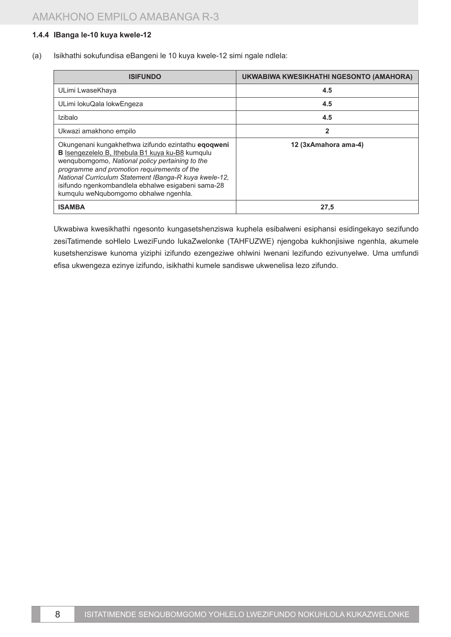# **1.4.4 IBanga le-10 kuya kwele-12**

(a) Isikhathi sokufundisa eBangeni le 10 kuya kwele-12 simi ngale ndlela:

| <b>ISIFUNDO</b>                                                                                                                                                                                                                                                                                                                                                   | UKWABIWA KWESIKHATHI NGESONTO (AMAHORA) |
|-------------------------------------------------------------------------------------------------------------------------------------------------------------------------------------------------------------------------------------------------------------------------------------------------------------------------------------------------------------------|-----------------------------------------|
| ULimi LwaseKhaya                                                                                                                                                                                                                                                                                                                                                  | 4.5                                     |
| ULimi lokuQala lokwEngeza                                                                                                                                                                                                                                                                                                                                         | 4.5                                     |
| Izibalo                                                                                                                                                                                                                                                                                                                                                           | 4.5                                     |
| Ukwazi amakhono empilo                                                                                                                                                                                                                                                                                                                                            | 2                                       |
| Okungenani kungakhethwa izifundo ezintathu egogweni<br>B Isengezelelo B, Ithebula B1 kuya ku-B8 kumqulu<br>wenqubomgomo, National policy pertaining to the<br>programme and promotion requirements of the<br>National Curriculum Statement IBanga-R kuya kwele-12,<br>isifundo ngenkombandlela ebhalwe esigabeni sama-28<br>kumqulu weNqubomgomo obhalwe ngenhla. | 12 (3xAmahora ama-4)                    |
| <b>ISAMBA</b>                                                                                                                                                                                                                                                                                                                                                     | 27,5                                    |

Ukwabiwa kwesikhathi ngesonto kungasetshenziswa kuphela esibalweni esiphansi esidingekayo sezifundo zesiTatimende soHlelo LweziFundo lukaZwelonke (TAHFUZWE) njengoba kukhonjisiwe ngenhla, akumele kusetshenziswe kunoma yiziphi izifundo ezengeziwe ohlwini lwenani lezifundo ezivunyelwe. Uma umfundi efisa ukwengeza ezinye izifundo, isikhathi kumele sandiswe ukwenelisa lezo zifundo.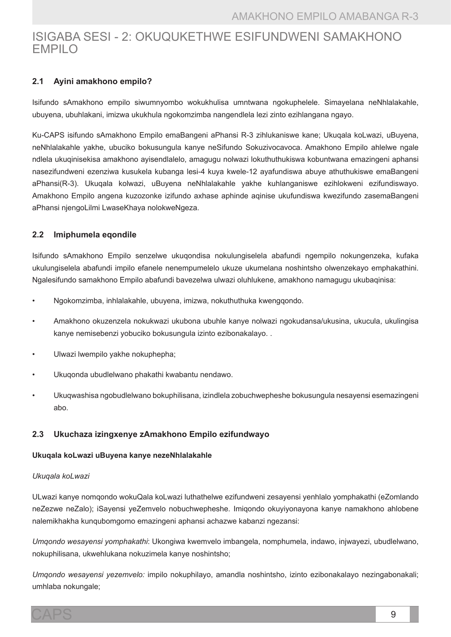# ISIGABA SESI - 2: OKUQUKETHWE ESIFUNDWENI SAMAKHONO EMPILO

# **2.1 Ayini amakhono empilo?**

Isifundo sAmakhono empilo siwumnyombo wokukhulisa umntwana ngokuphelele. Simayelana neNhlalakahle, ubuyena, ubuhlakani, imizwa ukukhula ngokomzimba nangendlela lezi zinto ezihlangana ngayo.

Ku-CAPS isifundo sAmakhono Empilo emaBangeni aPhansi R-3 zihlukaniswe kane; Ukuqala koLwazi, uBuyena, neNhlalakahle yakhe, ubuciko bokusungula kanye neSifundo Sokuzivocavoca. Amakhono Empilo ahlelwe ngale ndlela ukuqinisekisa amakhono ayisendlalelo, amagugu nolwazi lokuthuthukiswa kobuntwana emazingeni aphansi nasezifundweni ezenziwa kusukela kubanga lesi-4 kuya kwele-12 ayafundiswa abuye athuthukiswe emaBangeni aPhansi(R-3). Ukuqala kolwazi, uBuyena neNhlalakahle yakhe kuhlanganiswe ezihlokweni ezifundiswayo. Amakhono Empilo angena kuzozonke izifundo axhase aphinde aqinise ukufundiswa kwezifundo zasemaBangeni aPhansi njengoLilmi LwaseKhaya nolokweNgeza.

# **2.2 Imiphumela eqondile**

Isifundo sAmakhono Empilo senzelwe ukuqondisa nokulungiselela abafundi ngempilo nokungenzeka, kufaka ukulungiselela abafundi impilo efanele nenempumelelo ukuze ukumelana noshintsho olwenzekayo emphakathini. Ngalesifundo samakhono Empilo abafundi bavezelwa ulwazi oluhlukene, amakhono namagugu ukubaqinisa:

- Ngokomzimba, inhlalakahle, ubuyena, imizwa, nokuthuthuka kwengqondo.
- Amakhono okuzenzela nokukwazi ukubona ubuhle kanye nolwazi ngokudansa/ukusina, ukucula, ukulingisa kanye nemisebenzi yobuciko bokusungula izinto ezibonakalayo. .
- • Ulwazi lwempilo yakhe nokuphepha;
- Ukuqonda ubudlelwano phakathi kwabantu nendawo.
- Ukugwashisa ngobudlelwano bokuphilisana, izindlela zobuchwepheshe bokusungula nesayensi esemazingeni abo.

# **2.3 Ukuchaza izingxenye zAmakhono Empilo ezifundwayo**

## **Ukuqala koLwazi uBuyena kanye nezeNhlalakahle**

## *Ukuqala koLwazi*

ULwazi kanye nomqondo wokuQala koLwazi luthathelwe ezifundweni zesayensi yenhlalo yomphakathi (eZomlando neZezwe neZalo); iSayensi yeZemvelo nobuchwepheshe. Imiqondo okuyiyonayona kanye namakhono ahlobene nalemikhakha kunqubomgomo emazingeni aphansi achazwe kabanzi ngezansi:

*Umqondo wesayensi yomphakathi*: Ukongiwa kwemvelo imbangela, nomphumela, indawo, injwayezi, ubudlelwano, nokuphilisana, ukwehlukana nokuzimela kanye noshintsho;

*Umqondo wesayensi yezemvelo:* impilo nokuphilayo, amandla noshintsho, izinto ezibonakalayo nezingabonakali; umhlaba nokungale;

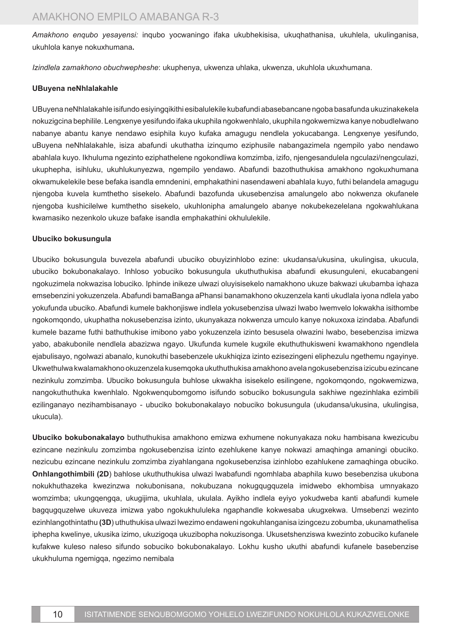*Amakhono enqubo yesayensi:* inqubo yocwaningo ifaka ukubhekisisa, ukuqhathanisa, ukuhlela, ukulinganisa, ukuhlola kanye nokuxhumana**.** 

*Izindlela zamakhono obuchwepheshe*: ukuphenya, ukwenza uhlaka, ukwenza, ukuhlola ukuxhumana.

## **UBuyena neNhlalakahle**

UBuyena neNhlalakahle isifundo esiyingqikithi esibalulekile kubafundi abasebancane ngoba basafunda ukuzinakekela nokuzigcina bephilile. Lengxenye yesifundo ifaka ukuphila ngokwenhlalo, ukuphila ngokwemizwa kanye nobudlelwano nabanye abantu kanye nendawo esiphila kuyo kufaka amagugu nendlela yokucabanga. Lengxenye yesifundo, uBuyena neNhlalakahle, isiza abafundi ukuthatha izinqumo eziphusile nabangazimela ngempilo yabo nendawo abahlala kuyo. Ikhuluma ngezinto eziphathelene ngokondliwa komzimba, izifo, njengesandulela ngculazi/nengculazi, ukuphepha, isihluku, ukuhlukunyezwa, ngempilo yendawo. Abafundi bazothuthukisa amakhono ngokuxhumana okwamukelekile bese befaka isandla emndenini, emphakathini nasendaweni abahlala kuyo, futhi belandela amagugu njengoba kuvela kumthetho sisekelo. Abafundi bazofunda ukusebenzisa amalungelo abo nokwenza okufanele njengoba kushicilelwe kumthetho sisekelo, ukuhlonipha amalungelo abanye nokubekezelelana ngokwahlukana kwamasiko nezenkolo ukuze bafake isandla emphakathini okhululekile.

# **Ubuciko bokusungula**

Ubuciko bokusungula buvezela abafundi ubuciko obuyizinhlobo ezine: ukudansa/ukusina, ukulingisa, ukucula, ubuciko bokubonakalayo. Inhloso yobuciko bokusungula ukuthuthukisa abafundi ekusunguleni, ekucabangeni ngokuzimela nokwazisa lobuciko. Iphinde inikeze ulwazi oluyisisekelo namakhono ukuze bakwazi ukubamba iqhaza emsebenzini yokuzenzela. Abafundi bamaBanga aPhansi banamakhono okuzenzela kanti ukudlala iyona ndlela yabo yokufunda ubuciko. Abafundi kumele bakhonjiswe indlela yokusebenzisa ulwazi lwabo lwemvelo lokwakha isithombe ngokomqondo, ukuphatha nokusebenzisa izinto, ukunyakaza nokwenza umculo kanye nokuxoxa izindaba. Abafundi kumele bazame futhi bathuthukise imibono yabo yokuzenzela izinto besusela olwazini lwabo, besebenzisa imizwa yabo, abakubonile nendlela abazizwa ngayo. Ukufunda kumele kugxile ekuthuthukisweni kwamakhono ngendlela ejabulisayo, ngolwazi abanalo, kunokuthi basebenzele ukukhiqiza izinto ezisezingeni eliphezulu ngethemu ngayinye. Ukwethulwa kwalamakhono okuzenzela kusemqoka ukuthuthukisa amakhono avela ngokusebenzisa izicubu ezincane nezinkulu zomzimba. Ubuciko bokusungula buhlose ukwakha isisekelo esilingene, ngokomqondo, ngokwemizwa, nangokuthuthuka kwenhlalo. Ngokwenqubomgomo isifundo sobuciko bokusungula sakhiwe ngezinhlaka ezimbili ezilinganayo nezihambisanayo - ubuciko bokubonakalayo nobuciko bokusungula (ukudansa/ukusina, ukulingisa, ukucula).

**Ubuciko bokubonakalayo** buthuthukisa amakhono emizwa exhumene nokunyakaza noku hambisana kwezicubu ezincane nezinkulu zomzimba ngokusebenzisa izinto ezehlukene kanye nokwazi amaqhinga amaningi obuciko. nezicubu ezincane nezinkulu zomzimba ziyahlangana ngokusebenzisa izinhlobo ezahlukene zamaqhinga obuciko. **Onhlangothimbili (2D**) bahlose ukuthuthukisa ulwazi lwabafundi ngomhlaba abaphila kuwo besebenzisa ukubona nokukhuthazeka kwezinzwa nokubonisana, nokubuzana nokugqugquzela imidwebo ekhombisa umnyakazo womzimba; ukungqengqa, ukugijima, ukuhlala, ukulala. Ayikho indlela eyiyo yokudweba kanti abafundi kumele bagqugquzelwe ukuveza imizwa yabo ngokukhululeka ngaphandle kokwesaba ukugxekwa. Umsebenzi wezinto ezinhlangothintathu **(3D**) uthuthukisa ulwazi lwezimo endaweni ngokuhlanganisa izingcezu zobumba, ukunamathelisa iphepha kwelinye, ukusika izimo, ukuzigoqa ukuzibopha nokuzisonga. Ukusetshenziswa kwezinto zobuciko kufanele kufakwe kuleso naleso sifundo sobuciko bokubonakalayo. Lokhu kusho ukuthi abafundi kufanele basebenzise ukukhuluma ngemigqa, ngezimo nemibala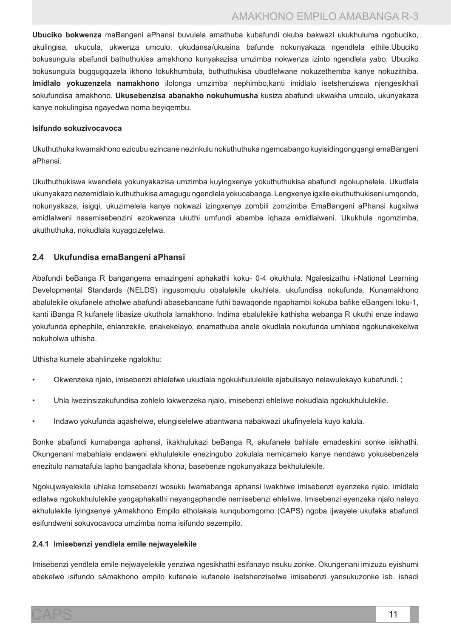# AMAKHONO EMPILO Amabanga R-3

**Ubuciko bokwenza** maBangeni aPhansi buvulela amathuba kubafundi okuba bakwazi ukukhuluma ngobuciko, ukulingisa, ukucula, ukwenza umculo, ukudansa/ukusina bafunde nokunyakaza ngendlela ethile.Ubuciko bokusungula abafundi bathuthukisa amakhono kunyakazisa umzimba nokwenza izinto ngendlela yabo. Ubuciko bokusungula bugqugquzela ikhono lokukhumbula, buthuthukisa ubudlelwane nokuzethemba kanye nokuzithiba. **Imidlalo yokuzenzela namakhono** ilolonga umzimba nephimbo,kanti imidlalo isetshenziswa njengesikhali sokufundisa amakhono. **Ukusebenzisa abanakho nokuhumusha** kusiza abafundi ukwakha umculo, ukunyakaza kanye nokulingisa ngayedwa noma beyiqembu.

## **Isifundo sokuzivocavoca**

Ukuthuthuka kwamakhono ezicubu ezincane nezinkulu nokuthuthuka ngemcabango kuyisidingongqangi emaBangeni aPhansi.

Ukuthuthukiswa kwendlela yokunyakazisa umzimba kuyingxenye yokuthuthukisa abafundi ngokuphelele. Ukudlala ukunyakazo nezemidlalo kuthuthukisa amagugu ngendlela yokucabanga. Lengxenye igxile ekuthuthukiseni umqondo, nokunyakaza, isigqi, ukuzimelela kanye nokwazi izingxenye zombili zomzimba EmaBangeni aPhansi kugxilwa emidlalweni nasemisebenzini ezokwenza ukuthi umfundi abambe iqhaza emidlalweni. Ukukhula ngomzimba, ukuthuthuka, nokudlala kuyagcizelelwa.

# **2.4 Ukufundisa emaBangeni aPhansi**

Abafundi beBanga R bangangena emazingeni aphakathi koku- 0-4 okukhula. Ngalesizathu i-National Learning Developmental Standards (NELDS) ingusomqulu obalulekile ukuhlela, ukufundisa nokufunda. Kunamakhono abalulekile okufanele atholwe abafundi abasebancane futhi bawaqonde ngaphambi kokuba bafike eBangeni loku-1, kanti iBanga R kufanele libasize ukuthola lamakhono. Indima ebalulekile kathisha webanga R ukuthi enze indawo yokufunda ephephile, ehlanzekile, enakekelayo, enamathuba anele okudlala nokufunda umhlaba ngokunakekelwa nokuholwa uthisha.

Uthisha kumele abahlinzeke ngalokhu:

- Okwenzeka njalo, imisebenzi ehlelelwe ukudlala ngokukhululekile ejabulisayo nelawulekayo kubafundi. ;
- Uhla lwezinsizakufundisa zohlelo lokwenzeka njalo, imisebenzi ehleliwe nokudlala ngokukhululekile.
- Indawo yokufunda aqashelwe, elungiselelwe abantwana nabakwazi ukufinyelela kuyo kalula.

Bonke abafundi kumabanga aphansi, ikakhulukazi beBanga R, akufanele bahlale emadeskini sonke isikhathi. Okungenani mabahlale endaweni ekhululekile enezingubo zokulala nemicamelo kanye nendawo yokusebenzela enezitulo namatafula lapho bangadlala khona, basebenze ngokunyakaza bekhululekile.

Ngokujwayelekile uhlaka lomsebenzi wosuku lwamabanga aphansi lwakhiwe imisebenzi eyenzeka njalo, imidlalo edlalwa ngokukhululekile yangaphakathi neyangaphandle nemisebenzi ehleliwe. Imisebenzi eyenzeka njalo naleyo ekhululekile iyingxenye yAmakhono Empilo etholakala kunqubomgomo (CAPS) ngoba ijwayele ukufaka abafundi esifundweni sokuvocavoca umzimba noma isifundo sezempilo.

## **2.4.1 Imisebenzi yendlela emile nejwayelekile**

Imisebenzi yendlela emile nejwayelekile yenziwa ngesikhathi esifanayo nsuku zonke. Okungenani imizuzu eyishumi ebekelwe isifundo sAmakhono empilo kufanele kufanele isetshenziselwe imisebenzi yansukuzonke isb. ishadi

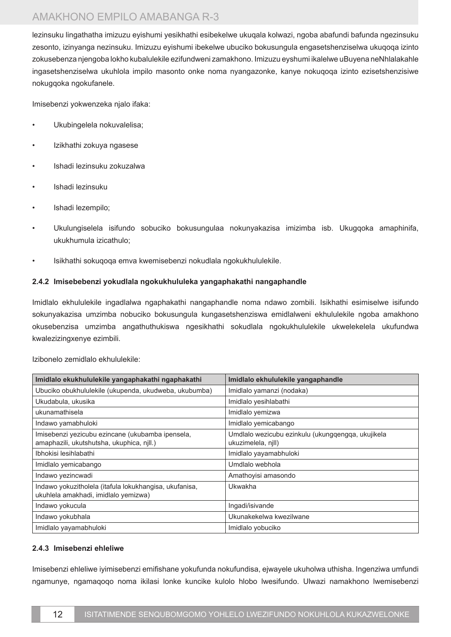# AMAKHONO EMPILO Amabanga R-3

lezinsuku lingathatha imizuzu eyishumi yesikhathi esibekelwe ukuqala kolwazi, ngoba abafundi bafunda ngezinsuku zesonto, izinyanga nezinsuku. Imizuzu eyishumi ibekelwe ubuciko bokusungula engasetshenziselwa ukuqoqa izinto zokusebenza njengoba lokho kubalulekile ezifundweni zamakhono. Imizuzu eyshumi ikalelwe uBuyena neNhlalakahle ingasetshenziselwa ukuhlola impilo masonto onke noma nyangazonke, kanye nokuqoqa izinto ezisetshenzisiwe nokugqoka ngokufanele.

Imisebenzi yokwenzeka njalo ifaka:

- Ukubingelela nokuvalelisa;
- Izikhathi zokuya ngasese
- Ishadi lezinsuku zokuzalwa
- Ishadi lezinsuku
- Ishadi lezempilo;
- Ukulungiselela isifundo sobuciko bokusungulaa nokunyakazisa imizimba isb. Ukugqoka amaphinifa, ukukhumula izicathulo;
- Isikhathi sokuqoqa emva kwemisebenzi nokudlala ngokukhululekile.

# **2.4.2 Imisebebenzi yokudlala ngokukhululeka yangaphakathi nangaphandle**

Imidlalo ekhululekile ingadlalwa ngaphakathi nangaphandle noma ndawo zombili. Isikhathi esimiselwe isifundo sokunyakazisa umzimba nobuciko bokusungula kungasetshenziswa emidlalweni ekhululekile ngoba amakhono okusebenzisa umzimba angathuthukiswa ngesikhathi sokudlala ngokukhululekile ukwelekelela ukufundwa kwalezizingxenye ezimbili.

| Imidlalo ekukhululekile yangaphakathi ngaphakathi                                              | Imidlalo ekhululekile yangaphandle                                      |
|------------------------------------------------------------------------------------------------|-------------------------------------------------------------------------|
| Ubuciko obukhululekile (ukupenda, ukudweba, ukubumba)                                          | Imidlalo yamanzi (nodaka)                                               |
| Ukudabula, ukusika                                                                             | Imidlalo yesihlabathi                                                   |
| ukunamathisela                                                                                 | Imidlalo yemizwa                                                        |
| Indawo yamabhuloki                                                                             | Imidlalo yemicabango                                                    |
| Imisebenzi yezicubu ezincane (ukubamba ipensela,<br>amaphazili, ukutshutsha, ukuphica, njll.)  | Umdlalo wezicubu ezinkulu (ukungqengqa, ukujikela<br>ukuzimelela, nill) |
| Ibhokisi lesihlabathi                                                                          | Imidlalo yayamabhuloki                                                  |
| Imidlalo yemicabango                                                                           | Umdlalo webhola                                                         |
| Indawo yezincwadi                                                                              | Amathoyisi amasondo                                                     |
| Indawo yokuzitholela (itafula lokukhangisa, ukufanisa,<br>ukuhlela amakhadi, imidlalo yemizwa) | Ukwakha                                                                 |
| Indawo yokucula                                                                                | Ingadi/isivande                                                         |
| Indawo yokubhala                                                                               | Ukunakekelwa kwezilwane                                                 |
| Imidlalo yayamabhuloki                                                                         | Imidlalo yobuciko                                                       |

Izibonelo zemidlalo ekhululekile:

# **2.4.3 Imisebenzi ehleliwe**

Imisebenzi ehleliwe iyimisebenzi emifishane yokufunda nokufundisa, ejwayele ukuholwa uthisha. Ingenziwa umfundi ngamunye, ngamaqoqo noma ikilasi lonke kuncike kulolo hlobo lwesifundo. Ulwazi namakhono lwemisebenzi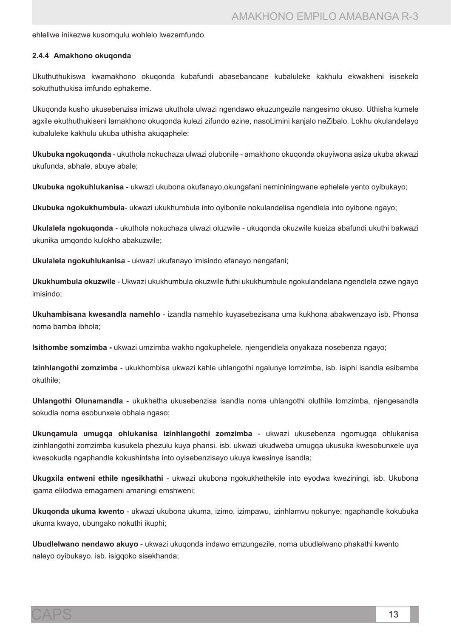ehleliwe inikezwe kusomqulu wohlelo lwezemfundo.

## **2.4.4 Amakhono okuqonda**

Ukuthuthukiswa kwamakhono okuqonda kubafundi abasebancane kubaluleke kakhulu ekwakheni isisekelo sokuthuthukisa imfundo ephakeme.

Ukuqonda kusho ukusebenzisa imizwa ukuthola ulwazi ngendawo ekuzungezile nangesimo okuso. Uthisha kumele agxile ekuthuthukiseni lamakhono okuqonda kulezi zifundo ezine, nasoLimini kanjalo neZibalo. Lokhu okulandelayo kubaluleke kakhulu ukuba uthisha akuqaphele:

**Ukubuka ngokuqonda** - ukuthola nokuchaza ulwazi olubonile - amakhono okuqonda okuyiwona asiza ukuba akwazi ukufunda, abhale, abuye abale;

**Ukubuka ngokuhlukanisa** - ukwazi ukubona okufanayo,okungafani nemininingwane ephelele yento oyibukayo;

**Ukubuka ngokukhumbula**- ukwazi ukukhumbula into oyibonile nokulandelisa ngendlela into oyibone ngayo;

**Ukulalela ngokuqonda** - ukuthola nokuchaza ulwazi oluzwile - ukuqonda okuzwile kusiza abafundi ukuthi bakwazi ukunika umqondo kulokho abakuzwile;

**Ukulalela ngokuhlukanisa** - ukwazi ukufanayo imisindo efanayo nengafani;

**Ukukhumbula okuzwile** - Ukwazi ukukhumbula okuzwile futhi ukukhumbule ngokulandelana ngendlela ozwe ngayo imisindo;

**Ukuhambisana kwesandla namehlo** - izandla namehlo kuyasebezisana uma kukhona abakwenzayo isb. Phonsa noma bamba ibhola;

**Isithombe somzimba -** ukwazi umzimba wakho ngokuphelele, njengendlela onyakaza nosebenza ngayo;

**Izinhlangothi zomzimba** - ukukhombisa ukwazi kahle uhlangothi ngalunye lomzimba, isb. isiphi isandla esibambe okuthile;

**Uhlangothi Olunamandla** - ukukhetha ukusebenzisa isandla noma uhlangothi oluthile lomzimba, njengesandla sokudla noma esobunxele obhala ngaso;

**Ukunqamula umugqa ohlukanisa izinhlangothi zomzimba** - ukwazi ukusebenza ngomugqa ohlukanisa izinhlangothi zomzimba kusukela phezulu kuya phansi. isb. ukwazi ukudweba umugqa ukusuka kwesobunxele uya kwesokudla ngaphandle kokushintsha into oyisebenzisayo ukuya kwesinye isandla;

**Ukugxila entweni ethile ngesikhathi** - ukwazi ukubona ngokukhethekile into eyodwa kweziningi, isb. Ukubona igama elilodwa emagameni amaningi emshweni;

**Ukuqonda ukuma kwento** - ukwazi ukubona ukuma, izimo, izimpawu, izinhlamvu nokunye; ngaphandle kokubuka ukuma kwayo, ubungako nokuthi ikuphi;

**Ubudlelwano nendawo akuyo** - ukwazi ukuqonda indawo emzungezile, noma ubudlelwano phakathi kwento naleyo oyibukayo. isb. isigqoko sisekhanda;

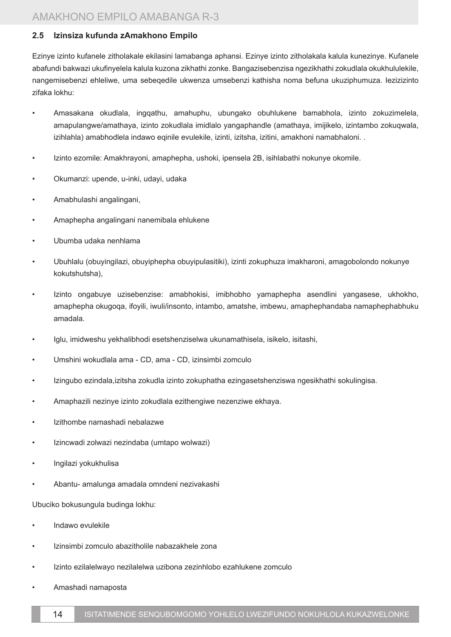# **2.5 Izinsiza kufunda zAmakhono Empilo**

Ezinye izinto kufanele zitholakale ekilasini lamabanga aphansi. Ezinye izinto zitholakala kalula kunezinye. Kufanele abafundi bakwazi ukufinyelela kalula kuzona zikhathi zonke. Bangazisebenzisa ngezikhathi zokudlala okukhululekile, nangemisebenzi ehleliwe, uma sebeqedile ukwenza umsebenzi kathisha noma befuna ukuziphumuza. Iezizizinto zifaka lokhu:

- Amasakana okudlala, ingqathu, amahuphu, ubungako obuhlukene bamabhola, izinto zokuzimelela, amapulangwe/amathaya, izinto zokudlala imidlalo yangaphandle (amathaya, imijikelo, izintambo zokuqwala, izihlahla) amabhodlela indawo eqinile evulekile, izinti, izitsha, izitini, amakhoni namabhaloni. .
- Izinto ezomile: Amakhrayoni, amaphepha, ushoki, ipensela 2B, isihlabathi nokunye okomile.
- Okumanzi: upende, u-inki, udayi, udaka
- Amabhulashi angalingani,
- Amaphepha angalingani nanemibala ehlukene
- Ubumba udaka nenhlama
- Ubuhlalu (obuyingilazi, obuyiphepha obuyipulasitiki), izinti zokuphuza imakharoni, amagobolondo nokunye kokutshutsha),
- Izinto ongabuye uzisebenzise: amabhokisi, imibhobho yamaphepha asendlini yangasese, ukhokho, amaphepha okugoqa, ifoyili, iwuli/insonto, intambo, amatshe, imbewu, amaphephandaba namaphephabhuku amadala.
- Iglu, imidweshu yekhalibhodi esetshenziselwa ukunamathisela, isikelo, isitashi,
- Umshini wokudlala ama CD, ama CD, izinsimbi zomculo
- Izingubo ezindala, izitsha zokudla izinto zokuphatha ezingasetshenziswa ngesikhathi sokulingisa.
- Amaphazili nezinye izinto zokudlala ezithengiwe nezenziwe ekhaya.
- Izithombe namashadi nebalazwe
- Izincwadi zolwazi nezindaba (umtapo wolwazi)
- Ingilazi yokukhulisa
- Abantu- amalunga amadala omndeni nezivakashi

Ubuciko bokusungula budinga lokhu:

- Indawo evulekile
- Izinsimbi zomculo abazitholile nabazakhele zona
- Izinto ezilalelwayo nezilalelwa uzibona zezinhlobo ezahlukene zomculo
- Amashadi namaposta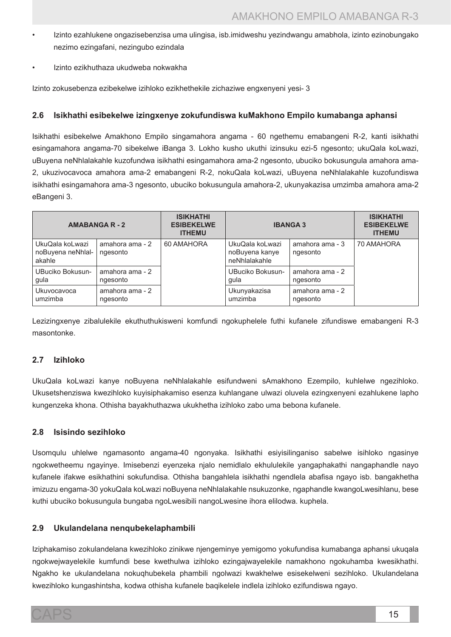- Izinto ezahlukene ongazisebenzisa uma ulingisa, isb.imidweshu yezindwangu amabhola, izinto ezinobungako nezimo ezingafani, nezingubo ezindala
- Izinto ezikhuthaza ukudweba nokwakha

Izinto zokusebenza ezibekelwe izihloko ezikhethekile zichaziwe engxenyeni yesi- 3

# **2.6 Isikhathi esibekelwe izingxenye zokufundiswa kuMakhono Empilo kumabanga aphansi**

Isikhathi esibekelwe Amakhono Empilo singamahora angama - 60 ngethemu emabangeni R-2, kanti isikhathi esingamahora angama-70 sibekelwe iBanga 3. Lokho kusho ukuthi izinsuku ezi-5 ngesonto; ukuQala koLwazi, uBuyena neNhlalakahle kuzofundwa isikhathi esingamahora ama-2 ngesonto, ubuciko bokusungula amahora ama-2, ukuzivocavoca amahora ama-2 emabangeni R-2, nokuQala koLwazi, uBuyena neNhlalakahle kuzofundiswa isikhathi esingamahora ama-3 ngesonto, ubuciko bokusungula amahora-2, ukunyakazisa umzimba amahora ama-2 eBangeni 3.

|                                                | <b>AMABANGA R - 2</b>       | <b>ISIKHATHI</b><br><b>ESIBEKELWE</b><br><b>ITHEMU</b> |                                                    | <b>IBANGA 3</b>             | <b>ISIKHATHI</b><br><b>ESIBEKELWE</b><br><b>ITHEMU</b> |
|------------------------------------------------|-----------------------------|--------------------------------------------------------|----------------------------------------------------|-----------------------------|--------------------------------------------------------|
| UkuQala koLwazi<br>noBuyena neNhlal-<br>akahle | amahora ama - 2<br>ngesonto | 60 AMAHORA                                             | UkuQala koLwazi<br>noBuyena kanye<br>neNhlalakahle | amahora ama - 3<br>ngesonto | 70 AMAHORA                                             |
| UBuciko Bokusun-<br>qula                       | amahora ama - 2<br>ngesonto |                                                        | UBuciko Bokusun-<br>qula                           | amahora ama - 2<br>ngesonto |                                                        |
| Ukuvocavoca<br>umzimba                         | amahora ama - 2<br>ngesonto |                                                        | Ukunyakazisa<br>umzimba                            | amahora ama - 2<br>ngesonto |                                                        |

Lezizingxenye zibalulekile ekuthuthukisweni komfundi ngokuphelele futhi kufanele zifundiswe emabangeni R-3 masontonke.

# **2.7 Izihloko**

UkuQala koLwazi kanye noBuyena neNhlalakahle esifundweni sAmakhono Ezempilo, kuhlelwe ngezihloko. Ukusetshenziswa kwezihloko kuyisiphakamiso esenza kuhlangane ulwazi oluvela ezingxenyeni ezahlukene lapho kungenzeka khona. Othisha bayakhuthazwa ukukhetha izihloko zabo uma bebona kufanele.

# **2.8 Isisindo sezihloko**

Usomqulu uhlelwe ngamasonto angama-40 ngonyaka. Isikhathi esiyisilinganiso sabelwe isihloko ngasinye ngokwetheemu ngayinye. Imisebenzi eyenzeka njalo nemidlalo ekhululekile yangaphakathi nangaphandle nayo kufanele ifakwe esikhathini sokufundisa. Othisha bangahlela isikhathi ngendlela abafisa ngayo isb. bangakhetha imizuzu engama-30 yokuQala koLwazi noBuyena neNhlalakahle nsukuzonke, ngaphandle kwangoLwesihlanu, bese kuthi ubuciko bokusungula bungaba ngoLwesibili nangoLwesine ihora elilodwa. kuphela.

# **2.9 Ukulandelana nenqubekelaphambili**

Iziphakamiso zokulandelana kwezihloko zinikwe njengeminye yemigomo yokufundisa kumabanga aphansi ukuqala ngokwejwayelekile kumfundi bese kwethulwa izihloko ezingajwayelekile namakhono ngokuhamba kwesikhathi. Ngakho ke ukulandelana nokuqhubekela phambili ngolwazi kwakhelwe esisekelweni sezihloko. Ukulandelana kwezihloko kungashintsha, kodwa othisha kufanele baqikelele indlela izihloko ezifundiswa ngayo.

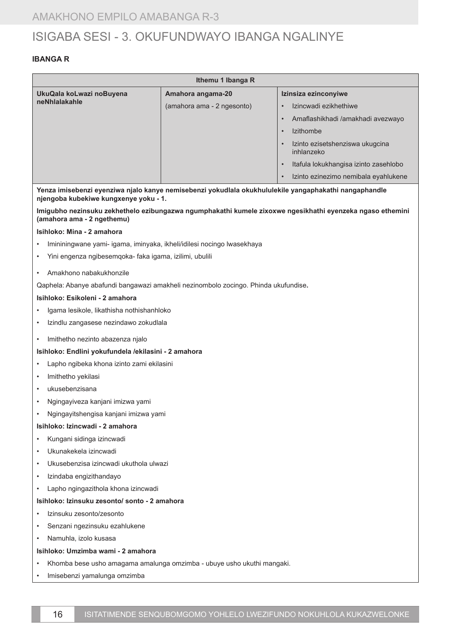# AMAKHONO EMPILO Amabanga R-3

# ISIGABA SESI - 3. Okufundwayo iBanga ngalinye

# **IBANGA R**

| Ithemu 1 Ibanga R                                                                                                                              |                            |                                                                                                           |  |
|------------------------------------------------------------------------------------------------------------------------------------------------|----------------------------|-----------------------------------------------------------------------------------------------------------|--|
| UkuQala koLwazi noBuyena                                                                                                                       | Amahora angama-20          | Izinsiza ezinconyiwe                                                                                      |  |
| neNhlalakahle                                                                                                                                  | (amahora ama - 2 ngesonto) | Izincwadi ezikhethiwe<br>$\bullet$                                                                        |  |
|                                                                                                                                                |                            | Amaflashikhadi /amakhadi avezwayo<br>$\bullet$                                                            |  |
|                                                                                                                                                |                            | <b>Izithombe</b><br>$\bullet$                                                                             |  |
|                                                                                                                                                |                            | Izinto ezisetshenziswa ukugcina<br>$\bullet$<br>inhlanzeko                                                |  |
|                                                                                                                                                |                            | Itafula lokukhangisa izinto zasehlobo<br>$\bullet$                                                        |  |
|                                                                                                                                                |                            | Izinto ezinezimo nemibala eyahlukene<br>$\bullet$                                                         |  |
| Yenza imisebenzi eyenziwa njalo kanye nemisebenzi yokudlala okukhululekile yangaphakathi nangaphandle<br>njengoba kubekiwe kungxenye yoku - 1. |                            |                                                                                                           |  |
| (amahora ama - 2 ngethemu)                                                                                                                     |                            | Imigubho nezinsuku zekhethelo ezibungazwa ngumphakathi kumele zixoxwe ngesikhathi eyenzeka ngaso ethemini |  |
| Isihloko: Mina - 2 amahora                                                                                                                     |                            |                                                                                                           |  |
| Imininingwane yami- igama, iminyaka, ikheli/idilesi nocingo lwasekhaya                                                                         |                            |                                                                                                           |  |
| Yini engenza ngibesemqoka- faka igama, izilimi, ubulili                                                                                        |                            |                                                                                                           |  |
| Amakhono nabakukhonzile                                                                                                                        |                            |                                                                                                           |  |
| Qaphela: Abanye abafundi bangawazi amakheli nezinombolo zocingo. Phinda ukufundise.                                                            |                            |                                                                                                           |  |
| Isihloko: Esikoleni - 2 amahora                                                                                                                |                            |                                                                                                           |  |
| Igama lesikole, likathisha nothishanhloko                                                                                                      |                            |                                                                                                           |  |
| Izindlu zangasese nezindawo zokudlala                                                                                                          |                            |                                                                                                           |  |
| Imithetho nezinto abazenza njalo                                                                                                               |                            |                                                                                                           |  |
| Isihloko: Endlini yokufundela /ekilasini - 2 amahora                                                                                           |                            |                                                                                                           |  |
| Lapho ngibeka khona izinto zami ekilasini                                                                                                      |                            |                                                                                                           |  |
| Imithetho yekilasi<br>٠                                                                                                                        |                            |                                                                                                           |  |
| ukusebenzisana                                                                                                                                 |                            |                                                                                                           |  |
| Ngingayiveza kanjani imizwa yami                                                                                                               |                            |                                                                                                           |  |
| Ngingayitshengisa kanjani imizwa yami                                                                                                          |                            |                                                                                                           |  |
| Isihloko: Izincwadi - 2 amahora                                                                                                                |                            |                                                                                                           |  |
| Kungani sidinga izincwadi<br>$\bullet$                                                                                                         |                            |                                                                                                           |  |
| Ukunakekela izincwadi<br>$\bullet$                                                                                                             |                            |                                                                                                           |  |
| Ukusebenzisa izincwadi ukuthola ulwazi<br>$\bullet$                                                                                            |                            |                                                                                                           |  |
| Izindaba engizithandayo<br>$\bullet$                                                                                                           |                            |                                                                                                           |  |
| Lapho ngingazithola khona izincwadi<br>$\bullet$                                                                                               |                            |                                                                                                           |  |
| Isihloko: Izinsuku zesonto/ sonto - 2 amahora                                                                                                  |                            |                                                                                                           |  |
| Izinsuku zesonto/zesonto                                                                                                                       |                            |                                                                                                           |  |
| Senzani ngezinsuku ezahlukene<br>٠                                                                                                             |                            |                                                                                                           |  |
| Namuhla, izolo kusasa<br>$\bullet$                                                                                                             |                            |                                                                                                           |  |
| Isihloko: Umzimba wami - 2 amahora                                                                                                             |                            |                                                                                                           |  |
| Khomba bese usho amagama amalunga omzimba - ubuye usho ukuthi mangaki.<br>$\bullet$                                                            |                            |                                                                                                           |  |
| Imisebenzi yamalunga omzimba                                                                                                                   |                            |                                                                                                           |  |
|                                                                                                                                                |                            |                                                                                                           |  |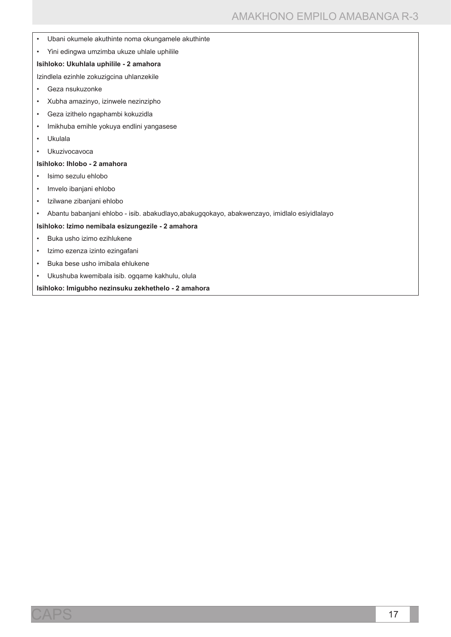- • Ubani okumele akuthinte noma okungamele akuthinte
- • Yini edingwa umzimba ukuze uhlale uphilile

### **Isihloko: Ukuhlala uphilile - 2 amahora**

Izindlela ezinhle zokuzigcina uhlanzekile

- • Geza nsukuzonke
- • Xubha amazinyo, izinwele nezinzipho
- • Geza izithelo ngaphambi kokuzidla
- • Imikhuba emihle yokuya endlini yangasese
- • Ukulala
- • Ukuzivocavoca

#### **Isihloko: Ihlobo - 2 amahora**

- • Isimo sezulu ehlobo
- • Imvelo ibanjani ehlobo
- • Izilwane zibanjani ehlobo
- • Abantu babanjani ehlobo isib. abakudlayo,abakugqokayo, abakwenzayo, imidlalo esiyidlalayo

#### **Isihloko: Izimo nemibala esizungezile - 2 amahora**

- • Buka usho izimo ezihlukene
- • Izimo ezenza izinto ezingafani
- • Buka bese usho imibala ehlukene
- • Ukushuba kwemibala isib. ogqame kakhulu, olula

**Isihloko: Imigubho nezinsuku zekhethelo - 2 amahora**

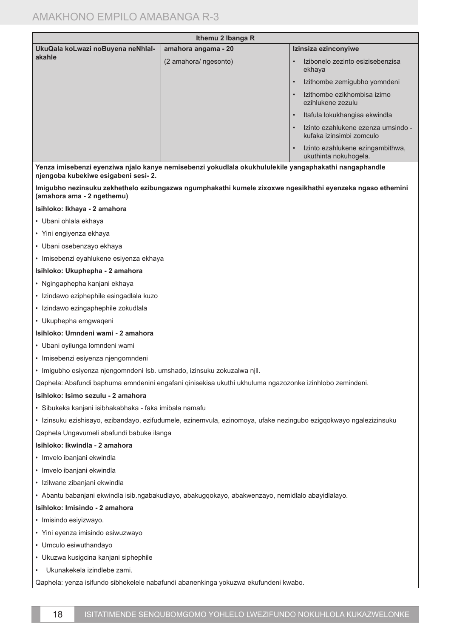| Ithemu 2 Ibanga R                                                                                                                             |                       |                                                                |  |
|-----------------------------------------------------------------------------------------------------------------------------------------------|-----------------------|----------------------------------------------------------------|--|
| UkuQala koLwazi noBuyena neNhlal-                                                                                                             | amahora angama - 20   | Izinsiza ezinconyiwe                                           |  |
| akahle                                                                                                                                        | (2 amahora/ ngesonto) | Izibonelo zezinto esizisebenzisa<br>ekhaya                     |  |
|                                                                                                                                               |                       | Izithombe zemigubho yomndeni                                   |  |
|                                                                                                                                               |                       | Izithombe ezikhombisa izimo<br>ezihlukene zezulu               |  |
|                                                                                                                                               |                       | Itafula lokukhangisa ekwindla                                  |  |
|                                                                                                                                               |                       | Izinto ezahlukene ezenza umsindo -<br>kufaka izinsimbi zomculo |  |
|                                                                                                                                               |                       | Izinto ezahlukene ezingambithwa,<br>ukuthinta nokuhogela.      |  |
| Yenza imisebenzi eyenziwa njalo kanye nemisebenzi yokudlala okukhululekile yangaphakathi nangaphandle<br>njengoba kubekiwe esigabeni sesi- 2. |                       |                                                                |  |
| Imigubho nezinsuku zekhethelo ezibungazwa ngumphakathi kumele zixoxwe ngesikhathi eyenzeka ngaso ethemini<br>(amahora ama - 2 ngethemu)       |                       |                                                                |  |
| Isihloko: Ikhaya - 2 amahora                                                                                                                  |                       |                                                                |  |
| • Ubani ohlala ekhaya                                                                                                                         |                       |                                                                |  |
|                                                                                                                                               |                       |                                                                |  |

- • Yini engiyenza ekhaya
- • Ubani osebenzayo ekhaya
- • Imisebenzi eyahlukene esiyenza ekhaya

#### **Isihloko: Ukuphepha - 2 amahora**

- • Ngingaphepha kanjani ekhaya
- • Izindawo eziphephile esingadlala kuzo
- • Izindawo ezingaphephile zokudlala
- • Ukuphepha emgwaqeni

#### **Isihloko: Umndeni wami - 2 amahora**

- • Ubani oyilunga lomndeni wami
- • Imisebenzi esiyenza njengomndeni
- • Imigubho esiyenza njengomndeni Isb. umshado, izinsuku zokuzalwa njll.

Qaphela: Abafundi baphuma emndenini engafani qinisekisa ukuthi ukhuluma ngazozonke izinhlobo zemindeni.

#### **Isihloko: Isimo sezulu - 2 amahora**

- • Sibukeka kanjani isibhakabhaka faka imibala namafu
- • Izinsuku ezishisayo, ezibandayo, ezifudumele, ezinemvula, ezinomoya, ufake nezingubo ezigqokwayo ngalezizinsuku

Qaphela Ungavumeli abafundi babuke ilanga

#### **Isihloko: Ikwindla - 2 amahora**

- • Imvelo ibanjani ekwindla
- • Imvelo ibanjani ekwindla
- • Izilwane zibanjani ekwindla
- • Abantu babanjani ekwindla isib.ngabakudlayo, abakugqokayo, abakwenzayo, nemidlalo abayidlalayo.

#### **Isihloko: Imisindo - 2 amahora**

- • Imisindo esiyizwayo.
- • Yini eyenza imisindo esiwuzwayo
- • Umculo esiwuthandayo
- • Ukuzwa kusigcina kanjani siphephile
- • Ukunakekela izindlebe zami.

Qaphela: yenza isifundo sibhekelele nabafundi abanenkinga yokuzwa ekufundeni kwabo.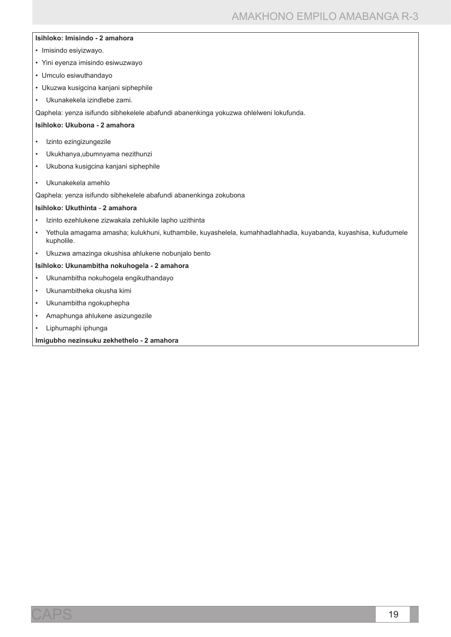# AMAKHONO EMPILO Amabanga R-3

#### **Isihloko: Imisindo - 2 amahora**

- • Imisindo esiyizwayo.
- • Yini eyenza imisindo esiwuzwayo
- • Umculo esiwuthandayo
- • Ukuzwa kusigcina kanjani siphephile
- • Ukunakekela izindlebe zami.

Qaphela: yenza isifundo sibhekelele abafundi abanenkinga yokuzwa ohlelweni lokufunda.

### **Isihloko: Ukubona - 2 amahora**

- • Izinto ezingizungezile
- Ukukhanya,ubumnyama nezithunzi
- • Ukubona kusigcina kanjani siphephile
- • Ukunakekela amehlo

Qaphela: yenza isifundo sibhekelele abafundi abanenkinga zokubona

### **Isihloko: Ukuthinta** - **2 amahora**

- Izinto ezehlukene zizwakala zehlukile lapho uzithinta
- • Yethula amagama amasha; kulukhuni, kuthambile, kuyashelela, kumahhadlahhadla, kuyabanda, kuyashisa, kufudumele kupholile.
- • Ukuzwa amazinga okushisa ahlukene nobunjalo bento

# **Isihloko: Ukunambitha nokuhogela - 2 amahora**

- • Ukunambitha nokuhogela engikuthandayo
- • Ukunambitheka okusha kimi
- • Ukunambitha ngokuphepha
- • Amaphunga ahlukene asizungezile
- • Liphumaphi iphunga

**Imigubho nezinsuku zekhethelo - 2 amahora**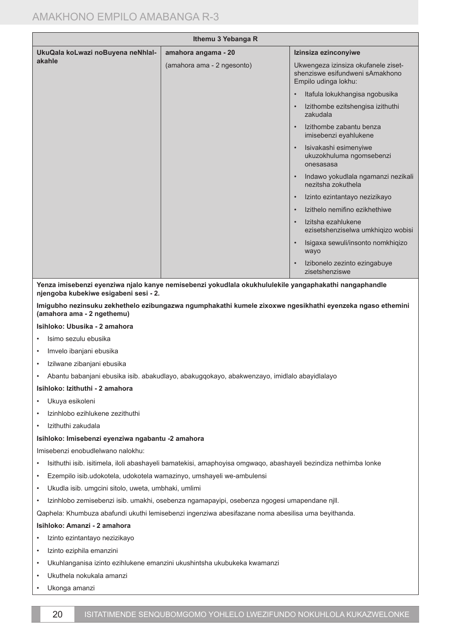| Ithemu 3 Yebanga R                |                            |                                                                                                |  |
|-----------------------------------|----------------------------|------------------------------------------------------------------------------------------------|--|
| UkuQala koLwazi noBuyena neNhlal- | amahora angama - 20        | Izinsiza ezinconyiwe                                                                           |  |
| akahle                            | (amahora ama - 2 ngesonto) | Ukwengeza izinsiza okufanele ziset-<br>shenziswe esifundweni sAmakhono<br>Empilo udinga lokhu: |  |
|                                   |                            | Itafula lokukhangisa ngobusika<br>$\bullet$                                                    |  |
|                                   |                            | Izithombe ezitshengisa izithuthi<br>$\bullet$<br>zakudala                                      |  |
|                                   |                            | Izithombe zabantu benza<br>$\bullet$<br>imisebenzi eyahlukene                                  |  |
|                                   |                            | Isivakashi esimenyiwe<br>$\bullet$<br>ukuzokhuluma ngomsebenzi<br>onesasasa                    |  |
|                                   |                            | Indawo yokudlala ngamanzi nezikali<br>$\bullet$<br>nezitsha zokuthela                          |  |
|                                   |                            | Izinto ezintantayo nezizikayo<br>$\bullet$                                                     |  |
|                                   |                            | Izithelo nemifino ezikhethiwe<br>$\bullet$                                                     |  |
|                                   |                            | Izitsha ezahlukene<br>$\bullet$<br>ezisetshenziselwa umkhiqizo wobisi                          |  |
|                                   |                            | Isigaxa sewuli/insonto nomkhiqizo<br>$\bullet$<br>wayo                                         |  |
|                                   |                            | Izibonelo zezinto ezingabuye<br>$\bullet$<br>zisetshenziswe                                    |  |

**Yenza imisebenzi eyenziwa njalo kanye nemisebenzi yokudlala okukhululekile yangaphakathi nangaphandle njengoba kubekiwe esigabeni sesi - 2.**

**Imigubho nezinsuku zekhethelo ezibungazwa ngumphakathi kumele zixoxwe ngesikhathi eyenzeka ngaso ethemini (amahora ama - 2 ngethemu)** 

#### **Isihloko: Ubusika - 2 amahora**

- • Isimo sezulu ebusika
- • Imvelo ibanjani ebusika
- Izilwane zibanjani ebusika
- Abantu babanjani ebusika isib. abakudlayo, abakugqokayo, abakwenzayo, imidlalo abayidlalayo

## **Isihloko: Izithuthi - 2 amahora**

- Ukuva esikoleni
- • Izinhlobo ezihlukene zezithuthi
- • Izithuthi zakudala

#### **Isihloko: Imisebenzi eyenziwa ngabantu -2 amahora**

Imisebenzi enobudlelwano nalokhu:

- Isithuthi isib. isitimela, iloli abashayeli bamatekisi, amaphoyisa omgwaqo, abashayeli bezindiza nethimba lonke
- Ezempilo isib.udokotela, udokotela wamazinyo, umshayeli we-ambulensi
- Ukudla isib. umgcini sitolo, uweta, umbhaki, umlimi
- Izinhlobo zemisebenzi isib. umakhi, osebenza ngamapayipi, osebenza ngogesi umapendane njll.

Qaphela: Khumbuza abafundi ukuthi lemisebenzi ingenziwa abesifazane noma abesilisa uma beyithanda.

## **Isihloko: Amanzi - 2 amahora**

- Izinto ezintantayo nezizikayo
- Izinto eziphila emanzini
- Ukuhlanganisa izinto ezihlukene emanzini ukushintsha ukubukeka kwamanzi
- • Ukuthela nokukala amanzi
- Ukonga amanzi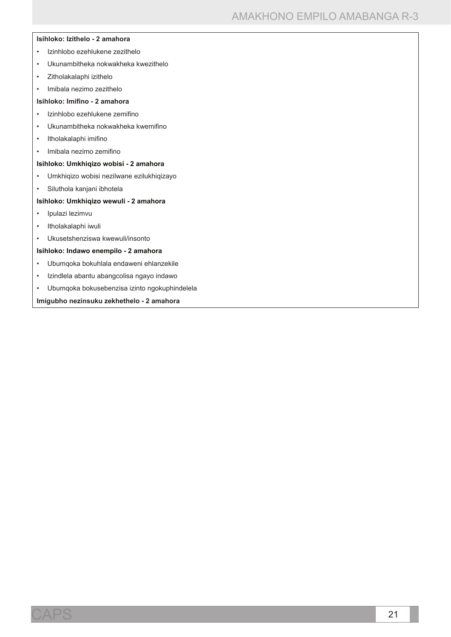#### **Isihloko: Izithelo - 2 amahora**

- • Izinhlobo ezehlukene zezithelo
- • Ukunambitheka nokwakheka kwezithelo
- • Zitholakalaphi izithelo
- • Imibala nezimo zezithelo

# **Isihloko: Imifino - 2 amahora**

- • Izinhlobo ezehlukene zemifino
- • Ukunambitheka nokwakheka kwemifino
- • Itholakalaphi imifino
- • Imibala nezimo zemifino

## **Isihloko: Umkhiqizo wobisi - 2 amahora**

- • Umkhiqizo wobisi nezilwane ezilukhiqizayo
- • Siluthola kanjani ibhotela

# **Isihloko: Umkhiqizo wewuli - 2 amahora**

- • Ipulazi lezimvu
- • Itholakalaphi iwuli
- • Ukusetshenziswa kwewuli/insonto

## **Isihloko: Indawo enempilo - 2 amahora**

- • Ubumqoka bokuhlala endaweni ehlanzekile
- • Izindlela abantu abangcolisa ngayo indawo
- • Ubumqoka bokusebenzisa izinto ngokuphindelela

**Imigubho nezinsuku zekhethelo - 2 amahora**

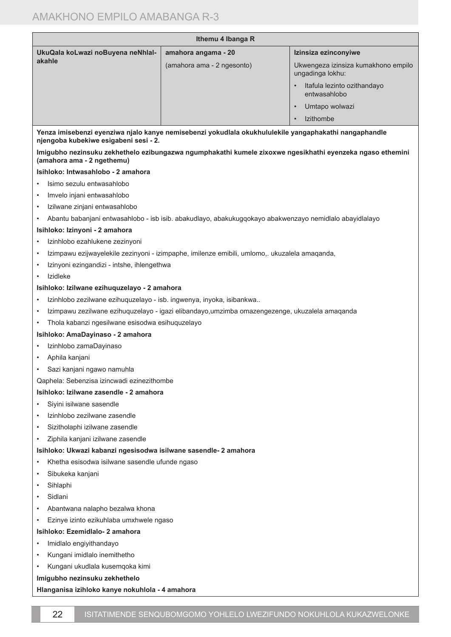| Ithemu 4 Ibanga R                 |                                                                                                    |                                                         |  |
|-----------------------------------|----------------------------------------------------------------------------------------------------|---------------------------------------------------------|--|
| UkuQala koLwazi noBuyena neNhlal- | amahora angama - 20                                                                                | Izinsiza ezinconyiwe                                    |  |
| akahle                            | (amahora ama - 2 ngesonto)                                                                         | Ukwengeza izinsiza kumakhono empilo<br>ungadinga lokhu: |  |
|                                   |                                                                                                    | Itafula lezinto ozithandayo<br>entwasahlobo             |  |
|                                   |                                                                                                    | Umtapo wolwazi                                          |  |
|                                   |                                                                                                    | <b>Izithombe</b>                                        |  |
|                                   | Anna bahasa kang atang bilang kang nambahang trakindala akikko lidak di sananakakata bananakan kan |                                                         |  |

**Yenza imisebenzi eyenziwa njalo kanye nemisebenzi yokudlala okukhululekile yangaphakathi nangaphandle njengoba kubekiwe esigabeni sesi - 2.**

**Imigubho nezinsuku zekhethelo ezibungazwa ngumphakathi kumele zixoxwe ngesikhathi eyenzeka ngaso ethemini (amahora ama - 2 ngethemu)** 

### **Isihloko: Intwasahlobo - 2 amahora**

- Isimo sezulu entwasahlobo
- Imvelo injani entwasahlobo
- Izilwane zinjani entwasahlobo
- • Abantu babanjani entwasahlobo isb isib. abakudlayo, abakukugqokayo abakwenzayo nemidlalo abayidlalayo

#### **Isihloko: Izinyoni - 2 amahora**

- • Izinhlobo ezahlukene zezinyoni
- Izimpawu ezijwayelekile zezinyoni izimpaphe, imilenze emibili, umlomo,. ukuzalela amaqanda,
- Izinyoni ezingandizi intshe, ihlengethwa
- **Izidleke**

#### **Isihloko: Izilwane ezihuquzelayo - 2 amahora**

- Izinhlobo zezilwane ezihuquzelayo isb. ingwenya, inyoka, isibankwa..
- • Izimpawu zezilwane ezihuquzelayo igazi elibandayo,umzimba omazengezenge, ukuzalela amaqanda
- Thola kabanzi ngesilwane esisodwa esihuquzelayo

#### **Isihloko: AmaDayinaso - 2 amahora**

- • Izinhlobo zamaDayinaso
- Aphila kanjani
- Sazi kanjani ngawo namuhla

Qaphela: Sebenzisa izincwadi ezinezithombe

## **Isihloko: Izilwane zasendle - 2 amahora**

- Siyini isilwane sasendle
- • Izinhlobo zezilwane zasendle
- Sizitholaphi izilwane zasendle
- • Ziphila kanjani izilwane zasendle

## **Isihloko: Ukwazi kabanzi ngesisodwa isilwane sasendle- 2 amahora**

## • Khetha esisodwa isilwane sasendle ufunde ngaso

- • Sibukeka kanjani
- • Sihlaphi
- **Sidlani**
- Abantwana nalapho bezalwa khona
- Ezinye izinto ezikuhlaba umxhwele ngaso

# **Isihloko: Ezemidlalo- 2 amahora**

- Imidlalo engivithandayo
- Kungani imidlalo inemithetho
- Kungani ukudlala kusemqoka kimi

## **Imigubho nezinsuku zekhethelo**

# **Hlanganisa izihloko kanye nokuhlola - 4 amahora**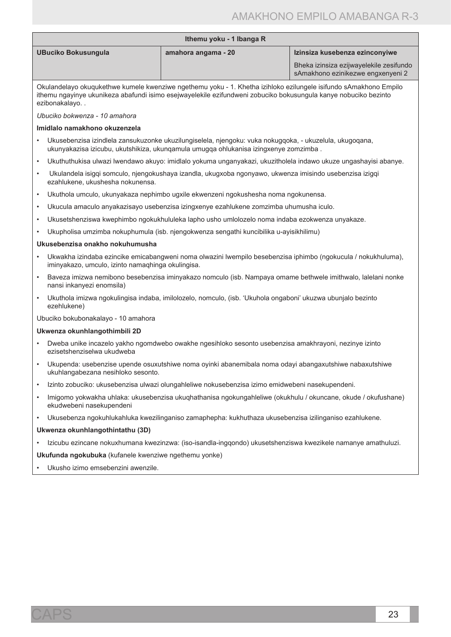| Ithemu yoku - 1 Ibanga R |                     |                                                                              |  |
|--------------------------|---------------------|------------------------------------------------------------------------------|--|
| UBuciko Bokusungula      | amahora angama - 20 | Izinsiza kusebenza ezinconyiwe                                               |  |
|                          |                     | Bheka izinsiza ezijwayelekile zesifundo<br>sAmakhono ezinikezwe engxenyeni 2 |  |
|                          |                     |                                                                              |  |

Okulandelayo okuqukethwe kumele kwenziwe ngethemu yoku - 1. Khetha izihloko ezilungele isifundo sAmakhono Empilo ithemu ngayinye ukunikeza abafundi isimo esejwayelekile ezifundweni zobuciko bokusungula kanye nobuciko bezinto ezibonakalayo. .

*Ubuciko bokwenza - 10 amahora*

### **Imidlalo namakhono okuzenzela**

- Ukusebenzisa izindlela zansukuzonke ukuzilungiselela, njengoku: vuka nokuggoka, ukuzelula, ukugogana, ukunyakazisa izicubu, ukutshikiza, ukunqamula umugqa ohlukanisa izingxenye zomzimba .
- Ukuthuthukisa ulwazi lwendawo akuyo: imidlalo yokuma unganyakazi, ukuzitholela indawo ukuze ungashayisi abanye.
- Ukulandela isigqi somculo, njengokushaya izandla, ukugxoba ngonyawo, ukwenza imisindo usebenzisa izigqi ezahlukene, ukushesha nokunensa.
- Ukuthola umculo, ukunyakaza nephimbo ugxile ekwenzeni ngokushesha noma ngokunensa.
- Ukucula amaculo anyakazisayo usebenzisa izingxenye ezahlukene zomzimba uhumusha iculo.
- Ukusetshenziswa kwephimbo ngokukhululeka lapho usho umlolozelo noma indaba ezokwenza unyakaze.
- Ukupholisa umzimba nokuphumula (isb. njengokwenza sengathi kuncibilika u-ayisikhilimu)

### **Ukusebenzisa onakho nokuhumusha**

- Ukwakha izindaba ezincike emicabangweni noma olwazini lwempilo besebenzisa iphimbo (ngokucula / nokukhuluma), iminyakazo, umculo, izinto namaqhinga okulingisa.
- Baveza imizwa nemibono besebenzisa iminyakazo nomculo (isb. Nampaya omame bethwele imithwalo, lalelani nonke nansi inkanyezi enomsila)
- Ukuthola imizwa ngokulingisa indaba, imilolozelo, nomculo, (isb. 'Ukuhola ongaboni' ukuzwa ubunjalo bezinto ezehlukene)

Ubuciko bokubonakalayo - 10 amahora

#### **Ukwenza okunhlangothimbili 2D**

- Dweba unike incazelo yakho ngomdwebo owakhe ngesihloko sesonto usebenzisa amakhrayoni, nezinye izinto ezisetshenziselwa ukudweba
- Ukupenda: usebenzise upende osuxutshiwe noma oyinki abanemibala noma odayi abangaxutshiwe nabaxutshiwe ukuhlangabezana nesihloko sesonto.
- Izinto zobuciko: ukusebenzisa ulwazi olungahleliwe nokusebenzisa izimo emidwebeni nasekupendeni.
- Imigomo yokwakha uhlaka: ukusebenzisa ukuqhathanisa ngokungahleliwe (okukhulu / okuncane, okude / okufushane) ekudwebeni nasekupendeni
- Ukusebenza ngokuhlukahluka kwezilinganiso zamaphepha: kukhuthaza ukusebenzisa izilinganiso ezahlukene.

#### **Ukwenza okunhlangothintathu (3D)**

Izicubu ezincane nokuxhumana kwezinzwa: (iso-isandla-ingqondo) ukusetshenziswa kwezikele namanye amathuluzi.

**Ukufunda ngokubuka** (kufanele kwenziwe ngethemu yonke)

Ukusho izimo emsebenzini awenzile.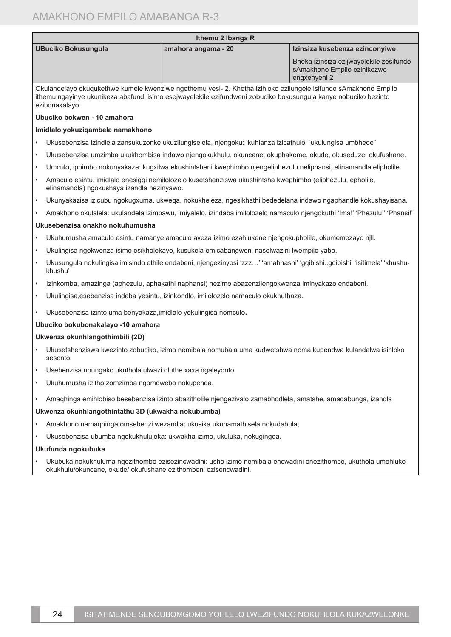| Ithemu 2 Ibanga R                                                                                                                                                                                                                                    |                                                                                                            |                                                                                        |  |
|------------------------------------------------------------------------------------------------------------------------------------------------------------------------------------------------------------------------------------------------------|------------------------------------------------------------------------------------------------------------|----------------------------------------------------------------------------------------|--|
| <b>UBuciko Bokusungula</b><br>amahora angama - 20<br>Izinsiza kusebenza ezinconyiwe                                                                                                                                                                  |                                                                                                            |                                                                                        |  |
|                                                                                                                                                                                                                                                      |                                                                                                            | Bheka izinsiza ezijwayelekile zesifundo<br>sAmakhono Empilo ezinikezwe<br>engxenyeni 2 |  |
| Okulandelayo okuqukethwe kumele kwenziwe ngethemu yesi- 2. Khetha izihloko ezilungele isifundo sAmakhono Empilo<br>ithemu ngayinye ukunikeza abafundi isimo esejwayelekile ezifundweni zobuciko bokusungula kanye nobuciko bezinto<br>ezibonakalayo. |                                                                                                            |                                                                                        |  |
| Ubuciko bokwen - 10 amahora                                                                                                                                                                                                                          |                                                                                                            |                                                                                        |  |
| Imidlalo yokuziqambela namakhono                                                                                                                                                                                                                     |                                                                                                            |                                                                                        |  |
| $\bullet$                                                                                                                                                                                                                                            | Ukusebenzisa izindlela zansukuzonke ukuzilungiselela, njengoku: 'kuhlanza izicathulo' "ukulungisa umbhede" |                                                                                        |  |
| Ukusebenzisa umzimba ukukhombisa indawo njengokukhulu, okuncane, okuphakeme, okude, okuseduze, okufushane.<br>$\bullet$                                                                                                                              |                                                                                                            |                                                                                        |  |
| Umculo, iphimbo nokunyakaza: kugxilwa ekushintsheni kwephimbo njengeliphezulu neliphansi, elinamandla elipholile.<br>$\bullet$                                                                                                                       |                                                                                                            |                                                                                        |  |
| Amaculo esintu, imidlalo enesigqi nemilolozelo kusetshenziswa ukushintsha kwephimbo (eliphezulu, epholile,<br>$\bullet$<br>elinamandla) ngokushaya izandla nezinyawo.                                                                                |                                                                                                            |                                                                                        |  |
| Ukunyakazisa izicubu ngokugxuma, ukweqa, nokukheleza, ngesikhathi bededelana indawo ngaphandle kokushayisana.<br>$\bullet$                                                                                                                           |                                                                                                            |                                                                                        |  |
| Amakhono okulalela: ukulandela izimpawu, imiyalelo, izindaba imilolozelo namaculo njengokuthi 'Ima!' 'Phezulu!' 'Phansi!'<br>$\bullet$                                                                                                               |                                                                                                            |                                                                                        |  |
| Ukusebenzisa onakho nokuhumusha                                                                                                                                                                                                                      |                                                                                                            |                                                                                        |  |
| $\bullet$                                                                                                                                                                                                                                            | Ukuhumusha amaculo esintu namanye amaculo aveza izimo ezahlukene njengokupholile, okumemezayo njll.        |                                                                                        |  |
| $\bullet$                                                                                                                                                                                                                                            | Ukulingisa ngokwenza isimo esikholekayo, kusukela emicabangweni naselwazini lwempilo yabo.                 |                                                                                        |  |
| Ukusungula nokulingisa imisindo ethile endabeni, njengezinyosi 'zzz' 'amahhashi' 'gqibishigqibishi' 'isitimela' 'khushu-<br>$\bullet$<br>khushu'                                                                                                     |                                                                                                            |                                                                                        |  |
| $\bullet$                                                                                                                                                                                                                                            | Izinkomba, amazinga (aphezulu, aphakathi naphansi) nezimo abazenzilengokwenza iminyakazo endabeni.         |                                                                                        |  |
| Ukulingisa, esebenzisa indaba yesintu, izinkondlo, imilolozelo namaculo okukhuthaza.<br>$\bullet$                                                                                                                                                    |                                                                                                            |                                                                                        |  |
| Ukusebenzisa izinto uma benyakaza, imidlalo yokulingisa nomculo.<br>$\bullet$                                                                                                                                                                        |                                                                                                            |                                                                                        |  |
| Ubuciko bokubonakalayo -10 amahora                                                                                                                                                                                                                   |                                                                                                            |                                                                                        |  |

## **Ukwenza okunhlangothimbili (2D)**

- • Ukusetshenziswa kwezinto zobuciko, izimo nemibala nomubala uma kudwetshwa noma kupendwa kulandelwa isihloko sesonto.
- Usebenzisa ubungako ukuthola ulwazi oluthe xaxa ngaleyonto
- Ukuhumusha izitho zomzimba ngomdwebo nokupenda.
- • Amaqhinga emihlobiso besebenzisa izinto abazitholile njengezivalo zamabhodlela, amatshe, amaqabunga, izandla

## **Ukwenza okunhlangothintathu 3D (ukwakha nokubumba)**

- • Amakhono namaqhinga omsebenzi wezandla: ukusika ukunamathisela,nokudabula;
- • Ukusebenzisa ubumba ngokukhululeka: ukwakha izimo, ukuluka, nokugingqa.

## **Ukufunda ngokubuka**

Ukubuka nokukhuluma ngezithombe ezisezincwadini: usho izimo nemibala encwadini enezithombe, ukuthola umehluko okukhulu/okuncane, okude/ okufushane ezithombeni ezisencwadini.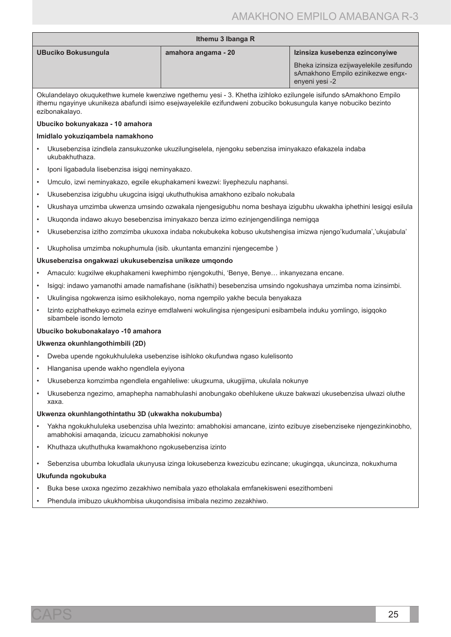| Ithemu 3 Ibanga R                                                                                                                                                                                                                                     |                                                                                                                    |                                                                                                |  |
|-------------------------------------------------------------------------------------------------------------------------------------------------------------------------------------------------------------------------------------------------------|--------------------------------------------------------------------------------------------------------------------|------------------------------------------------------------------------------------------------|--|
| <b>UBuciko Bokusungula</b>                                                                                                                                                                                                                            | amahora angama - 20                                                                                                | Izinsiza kusebenza ezinconyiwe                                                                 |  |
|                                                                                                                                                                                                                                                       |                                                                                                                    | Bheka izinsiza ezijwayelekile zesifundo<br>sAmakhono Empilo ezinikezwe engx-<br>enyeni yesi -2 |  |
| Okulandelayo okuqukethwe kumele kwenziwe ngethemu yesi - 3. Khetha izihloko ezilungele isifundo sAmakhono Empilo<br>ithemu ngayinye ukunikeza abafundi isimo esejwayelekile ezifundweni zobuciko bokusungula kanye nobuciko bezinto<br>ezibonakalayo. |                                                                                                                    |                                                                                                |  |
| Ubuciko bokunyakaza - 10 amahora                                                                                                                                                                                                                      |                                                                                                                    |                                                                                                |  |
| Imidlalo yokuziqambela namakhono                                                                                                                                                                                                                      |                                                                                                                    |                                                                                                |  |
| ukubakhuthaza.                                                                                                                                                                                                                                        | Ukusebenzisa izindlela zansukuzonke ukuzilungiselela, njengoku sebenzisa iminyakazo efakazela indaba               |                                                                                                |  |
| ٠                                                                                                                                                                                                                                                     | Iponi ligabadula lisebenzisa isigqi neminyakazo.                                                                   |                                                                                                |  |
| $\bullet$                                                                                                                                                                                                                                             | Umculo, izwi neminyakazo, egxile ekuphakameni kwezwi: liyephezulu naphansi.                                        |                                                                                                |  |
| ٠                                                                                                                                                                                                                                                     | Ukusebenzisa izigubhu ukugcina isigqi ukuthuthukisa amakhono ezibalo nokubala                                      |                                                                                                |  |
| ٠                                                                                                                                                                                                                                                     | Ukushaya umzimba ukwenza umsindo ozwakala njengesigubhu noma beshaya izigubhu ukwakha iphethini lesigqi esilula    |                                                                                                |  |
| ٠                                                                                                                                                                                                                                                     | Ukuqonda indawo akuyo besebenzisa iminyakazo benza izimo ezinjengendilinga nemigqa                                 |                                                                                                |  |
| ٠                                                                                                                                                                                                                                                     | Ukusebenzisa izitho zomzimba ukuxoxa indaba nokubukeka kobuso ukutshengisa imizwa njengo'kudumala','ukujabula'     |                                                                                                |  |
| $\bullet$                                                                                                                                                                                                                                             | Ukupholisa umzimba nokuphumula (isib. ukuntanta emanzini njengecembe)                                              |                                                                                                |  |
| Ukusebenzisa ongakwazi ukukusebenzisa unikeze umqondo                                                                                                                                                                                                 |                                                                                                                    |                                                                                                |  |
| ٠                                                                                                                                                                                                                                                     | Amaculo: kugxilwe ekuphakameni kwephimbo njengokuthi, 'Benye, Benye inkanyezana encane.                            |                                                                                                |  |
| ٠                                                                                                                                                                                                                                                     | Isigqi: indawo yamanothi amade namafishane (isikhathi) besebenzisa umsindo ngokushaya umzimba noma izinsimbi.      |                                                                                                |  |
| ٠                                                                                                                                                                                                                                                     | Ukulingisa ngokwenza isimo esikholekayo, noma ngempilo yakhe becula benyakaza                                      |                                                                                                |  |
| ٠<br>sibambele isondo lemoto                                                                                                                                                                                                                          | Izinto eziphathekayo ezimela ezinye emdlalweni wokulingisa njengesipuni esibambela induku yomlingo, isigqoko       |                                                                                                |  |
| Ubuciko bokubonakalayo -10 amahora                                                                                                                                                                                                                    |                                                                                                                    |                                                                                                |  |
| Ukwenza okunhlangothimbili (2D)                                                                                                                                                                                                                       |                                                                                                                    |                                                                                                |  |
| ٠                                                                                                                                                                                                                                                     | Dweba upende ngokukhululeka usebenzise isihloko okufundwa ngaso kulelisonto                                        |                                                                                                |  |
| Hlanganisa upende wakho ngendlela eyiyona<br>٠                                                                                                                                                                                                        |                                                                                                                    |                                                                                                |  |
| ٠                                                                                                                                                                                                                                                     | Ukusebenza komzimba ngendlela engahleliwe: ukugxuma, ukugijima, ukulala nokunye                                    |                                                                                                |  |
| xaxa.                                                                                                                                                                                                                                                 | Ukusebenza ngezimo, amaphepha namabhulashi anobungako obehlukene ukuze bakwazi ukusebenzisa ulwazi oluthe          |                                                                                                |  |
| Ukwenza okunhlangothintathu 3D (ukwakha nokubumba)                                                                                                                                                                                                    |                                                                                                                    |                                                                                                |  |
| ٠<br>amabhokisi amaqanda, izicucu zamabhokisi nokunye                                                                                                                                                                                                 | Yakha ngokukhululeka usebenzisa uhla lwezinto: amabhokisi amancane, izinto ezibuye zisebenziseke njengezinkinobho, |                                                                                                |  |
| Khuthaza ukuthuthuka kwamakhono ngokusebenzisa izinto<br>٠                                                                                                                                                                                            |                                                                                                                    |                                                                                                |  |
| Sebenzisa ubumba lokudlala ukunyusa izinga lokusebenza kwezicubu ezincane; ukugingqa, ukuncinza, nokuxhuma<br>٠                                                                                                                                       |                                                                                                                    |                                                                                                |  |
| Ukufunda ngokubuka                                                                                                                                                                                                                                    |                                                                                                                    |                                                                                                |  |
|                                                                                                                                                                                                                                                       | Buka bese uxoxa ngezimo zezakhiwo nemibala yazo etholakala emfanekisweni esezithombeni                             |                                                                                                |  |
| Phendula imibuzo ukukhombisa ukuqondisisa imibala nezimo zezakhiwo.                                                                                                                                                                                   |                                                                                                                    |                                                                                                |  |
|                                                                                                                                                                                                                                                       |                                                                                                                    |                                                                                                |  |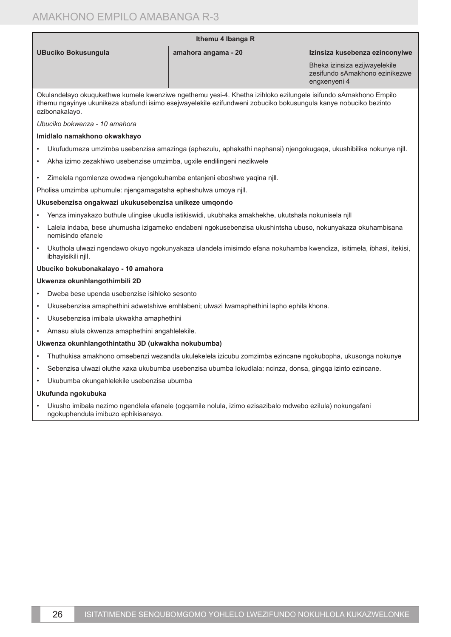|           |                                                                                                                                                                                                                                                     | Ithemu 4 Ibanga R   |                                                                                                                 |
|-----------|-----------------------------------------------------------------------------------------------------------------------------------------------------------------------------------------------------------------------------------------------------|---------------------|-----------------------------------------------------------------------------------------------------------------|
|           | <b>UBuciko Bokusungula</b>                                                                                                                                                                                                                          | amahora angama - 20 | Izinsiza kusebenza ezinconyiwe                                                                                  |
|           |                                                                                                                                                                                                                                                     |                     | Bheka izinsiza ezijwayelekile<br>zesifundo sAmakhono ezinikezwe<br>engxenyeni 4                                 |
|           | Okulandelayo okuqukethwe kumele kwenziwe ngethemu yesi-4. Khetha izihloko ezilungele isifundo sAmakhono Empilo<br>ithemu ngayinye ukunikeza abafundi isimo esejwayelekile ezifundweni zobuciko bokusungula kanye nobuciko bezinto<br>ezibonakalayo. |                     |                                                                                                                 |
|           | Ubuciko bokwenza - 10 amahora                                                                                                                                                                                                                       |                     |                                                                                                                 |
|           | Imidlalo namakhono okwakhayo                                                                                                                                                                                                                        |                     |                                                                                                                 |
| $\bullet$ |                                                                                                                                                                                                                                                     |                     | Ukufudumeza umzimba usebenzisa amazinga (aphezulu, aphakathi naphansi) njengokugaqa, ukushibilika nokunye njll. |
| $\bullet$ | Akha izimo zezakhiwo usebenzise umzimba, ugxile endilingeni nezikwele                                                                                                                                                                               |                     |                                                                                                                 |
| $\bullet$ | Zimelela ngomlenze owodwa njengokuhamba entanjeni eboshwe yaqina njll.                                                                                                                                                                              |                     |                                                                                                                 |
|           | Pholisa umzimba uphumule: njengamagatsha epheshulwa umoya njll.                                                                                                                                                                                     |                     |                                                                                                                 |
|           |                                                                                                                                                                                                                                                     |                     |                                                                                                                 |
|           | Ukusebenzisa ongakwazi ukukusebenzisa unikeze umqondo<br>Yenza iminyakazo buthule ulingise ukudla istikiswidi, ukubhaka amakhekhe, ukutshala nokunisela njll                                                                                        |                     |                                                                                                                 |
| $\bullet$ | Lalela indaba, bese uhumusha izigameko endabeni ngokusebenzisa ukushintsha ubuso, nokunyakaza okuhambisana<br>nemisindo efanele                                                                                                                     |                     |                                                                                                                 |
| $\bullet$ | Ukuthola ulwazi ngendawo okuyo ngokunyakaza ulandela imisimdo efana nokuhamba kwendiza, isitimela, ibhasi, itekisi,<br>ibhayisikili njll.                                                                                                           |                     |                                                                                                                 |
|           | Ubuciko bokubonakalayo - 10 amahora                                                                                                                                                                                                                 |                     |                                                                                                                 |
|           | Ukwenza okunhlangothimbili 2D                                                                                                                                                                                                                       |                     |                                                                                                                 |
| $\bullet$ | Dweba bese upenda usebenzise isihloko sesonto                                                                                                                                                                                                       |                     |                                                                                                                 |
| $\bullet$ | Ukusebenzisa amaphethini adwetshiwe emhlabeni; ulwazi lwamaphethini lapho ephila khona.                                                                                                                                                             |                     |                                                                                                                 |
| $\bullet$ | Ukusebenzisa imibala ukwakha amaphethini                                                                                                                                                                                                            |                     |                                                                                                                 |
| $\bullet$ | Amasu alula okwenza amaphethini angahlelekile.                                                                                                                                                                                                      |                     |                                                                                                                 |
|           | Ukwenza okunhlangothintathu 3D (ukwakha nokubumba)                                                                                                                                                                                                  |                     |                                                                                                                 |
|           |                                                                                                                                                                                                                                                     |                     | Thuthukisa amakhono omsebenzi wezandla ukulekelela izicubu zomzimba ezincane ngokubopha, ukusonga nokunye       |
| $\bullet$ | Sebenzisa ulwazi oluthe xaxa ukubumba usebenzisa ubumba lokudlala: ncinza, donsa, gingga izinto ezincane.                                                                                                                                           |                     |                                                                                                                 |
| $\bullet$ | Ukubumba okungahlelekile usebenzisa ubumba                                                                                                                                                                                                          |                     |                                                                                                                 |
|           | Ukufunda ngokubuka                                                                                                                                                                                                                                  |                     |                                                                                                                 |
| $\bullet$ | Ukusho imibala nezimo ngendlela efanele (ogqamile nolula, izimo ezisazibalo mdwebo ezilula) nokungafani<br>ngokuphendula imibuzo ephikisanayo.                                                                                                      |                     |                                                                                                                 |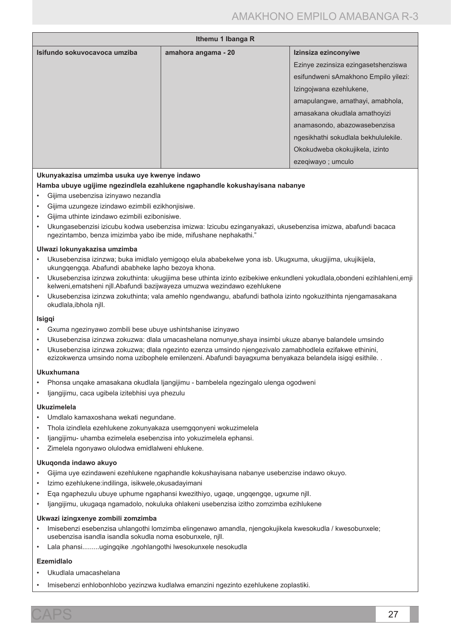| Ithemu 1 Ibanga R            |                     |                                      |  |
|------------------------------|---------------------|--------------------------------------|--|
| Isifundo sokuvocavoca umziba | amahora angama - 20 | Izinsiza ezinconyiwe                 |  |
|                              |                     | Ezinye zezinsiza ezingasetshenziswa  |  |
|                              |                     | esifundweni sAmakhono Empilo yilezi: |  |
|                              |                     | Izingojwana ezehlukene,              |  |
|                              |                     | amapulangwe, amathayi, amabhola,     |  |
|                              |                     | amasakana okudlala amathoyizi        |  |
|                              |                     | anamasondo, abazowasebenzisa         |  |
|                              |                     | ngesikhathi sokudlala bekhululekile. |  |
|                              |                     | Okokudweba okokujikela, izinto       |  |
|                              |                     | ezegiwayo; umculo                    |  |

#### **Ukunyakazisa umzimba usuka uye kwenye indawo**

#### **Hamba ubuye ugijime ngezindlela ezahlukene ngaphandle kokushayisana nabanye**

- Gijima usebenzisa izinyawo nezandla
- Gijima uzungeze izindawo ezimbili ezikhonjisiwe.
- Gijima uthinte izindawo ezimbili ezibonisiwe.
- Ukungasebenzisi izicubu kodwa usebenzisa imizwa: Izicubu ezinganyakazi, ukusebenzisa imizwa, abafundi bacaca ngezintambo, benza imizimba yabo ibe mide, mifushane nephakathi."

#### **Ulwazi lokunyakazisa umzimba**

- Ukusebenzisa izinzwa; buka imidlalo yemigoqo elula ababekelwe yona isb. Ukugxuma, ukugijima, ukujikijela, ukungqengqa. Abafundi ababheke lapho bezoya khona.
- Ukusebenzisa izinzwa zokuthinta: ukugijima bese uthinta izinto ezibekiwe enkundleni yokudlala,obondeni ezihlahleni,emii kelweni,ematsheni njll.Abafundi bazijwayeza umuzwa wezindawo ezehlukene
- Ukusebenzisa izinzwa zokuthinta; vala amehlo ngendwangu, abafundi bathola izinto ngokuzithinta njengamasakana okudlala,ibhola njll.

#### **Isigqi**

- Gxuma ngezinyawo zombili bese ubuye ushintshanise izinyawo
- Ukusebenzisa izinzwa zokuzwa: dlala umacashelana nomunye, shaya insimbi ukuze abanye balandele umsindo
- Ukusebenzisa izinzwa zokuzwa; dlala ngezinto ezenza umsindo njengezivalo zamabhodlela ezifakwe ethinini, ezizokwenza umsindo noma uzibophele emilenzeni. Abafundi bayagxuma benyakaza belandela isigqi esithile. .

#### **Ukuxhumana**

- Phonsa unqake amasakana okudlala Ijangijimu bambelela ngezingalo ulenga ogodweni
- • Ijangijimu, caca ugibela izitebhisi uya phezulu

#### **Ukuzimelela**

- • Umdlalo kamaxoshana wekati negundane.
- Thola izindlela ezehlukene zokunyakaza usemgqonyeni wokuzimelela
- Ijangijimu- uhamba ezimelela esebenzisa into yokuzimelela ephansi.
- Zimelela ngonyawo olulodwa emidlalweni ehlukene.

#### **Ukuqonda indawo akuyo**

- Gijima uye ezindaweni ezehlukene ngaphandle kokushayisana nabanye usebenzise indawo okuyo.
- Izimo ezehlukene:indilinga, isikwele,okusadayimani
- Eqa ngaphezulu ubuye uphume ngaphansi kwezithiyo, ugaqe, ungqengqe, ugxume njll.
- ljangijimu, ukugaqa ngamadolo, nokuluka ohlakeni usebenzisa izitho zomzimba ezihlukene

#### **Ukwazi izingxenye zombili zomzimba**

- Imisebenzi esebenzisa uhlangothi lomzimba elingenawo amandla, njengokujikela kwesokudla / kwesobunxele; usebenzisa isandla isandla sokudla noma esobunxele, njll.
- • Lala phansi.........ugingqike .ngohlangothi lwesokunxele nesokudla

### **Ezemidlalo**

- Ukudlala umacashelana
- Imisebenzi enhlobonhlobo yezinzwa kudlalwa emanzini ngezinto ezehlukene zoplastiki.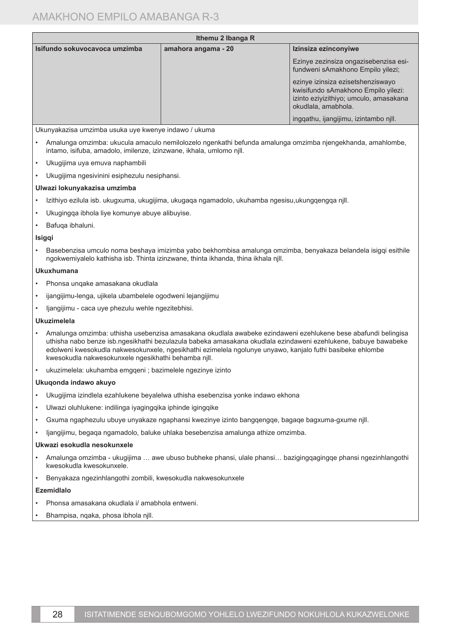| Ithemu 2 Ibanga R             |                     |                                                                                                                                           |  |
|-------------------------------|---------------------|-------------------------------------------------------------------------------------------------------------------------------------------|--|
| Isifundo sokuvocavoca umzimba | amahora angama - 20 | Izinsiza ezinconyiwe                                                                                                                      |  |
|                               |                     | Ezinye zezinsiza ongazisebenzisa esi-<br>fundweni sAmakhono Empilo yilezi;                                                                |  |
|                               |                     | ezinye izinsiza ezisetshenziswayo<br>kwisifundo sAmakhono Empilo yilezi:<br>izinto eziyizithiyo; umculo, amasakana<br>okudlala, amabhola. |  |
|                               |                     | ingqathu, ijangijimu, izintambo njll.                                                                                                     |  |

Ukunyakazisa umzimba usuka uye kwenye indawo / ukuma

- • Amalunga omzimba: ukucula amaculo nemilolozelo ngenkathi befunda amalunga omzimba njengekhanda, amahlombe, intamo, isifuba, amadolo, imilenze, izinzwane, ikhala, umlomo njll.
- Ukugijima uya emuva naphambili
- • Ukugijima ngesivinini esiphezulu nesiphansi.

#### **Ulwazi lokunyakazisa umzimba**

- Izithiyo ezilula isb. ukugxuma, ukugijima, ukugaqa ngamadolo, ukuhamba ngesisu,ukungqengqa njll.
- Ukugingqa ibhola liye komunye abuye alibuyise.
- Bafuqa ibhaluni.

#### **Isigqi**

Basebenzisa umculo noma beshaya imizimba yabo bekhombisa amalunga omzimba, benyakaza belandela isigqi esithile ngokwemiyalelo kathisha isb. Thinta izinzwane, thinta ikhanda, thina ikhala njll.

#### **Ukuxhumana**

- Phonsa unqake amasakana okudlala
- ijangijimu-lenga, ujikela ubambelele ogodweni lejangijimu
- ljangijimu caca uye phezulu wehle ngezitebhisi.

#### **Ukuzimelela**

- Amalunga omzimba: uthisha usebenzisa amasakana okudlala awabeke ezindaweni ezehlukene bese abafundi belingisa uthisha nabo benze isb.ngesikhathi bezulazula babeka amasakana okudlala ezindaweni ezehlukene, babuye bawabeke edolweni kwesokudla nakwesokunxele, ngesikhathi ezimelela ngolunye unyawo, kanjalo futhi basibeke ehlombe kwesokudla nakwesokunxele ngesikhathi behamba njll.
- ukuzimelela: ukuhamba emgqeni ; bazimelele ngezinye izinto

#### **Ukuqonda indawo akuyo**

- • Ukugijima izindlela ezahlukene beyalelwa uthisha esebenzisa yonke indawo ekhona
- Ulwazi oluhlukene: indilinga iyagingqika iphinde igingqike
- Gxuma ngaphezulu ubuye unyakaze ngaphansi kwezinye izinto banggengge, bagage bagxuma-gxume njll.
- ljangijimu, begaqa ngamadolo, baluke uhlaka besebenzisa amalunga athize omzimba.

#### **Ukwazi esokudla nesokunxele**

- Amalunga omzimba ukugijima ... awe ubuso bubheke phansi, ulale phansi... bazigingqagingqe phansi ngezinhlangothi kwesokudla kwesokunxele.
- Benyakaza ngezinhlangothi zombili, kwesokudla nakwesokunxele

#### **Ezemidlalo**

- Phonsa amasakana okudlala i/ amabhola entweni.
- Bhampisa, nqaka, phosa ibhola njll.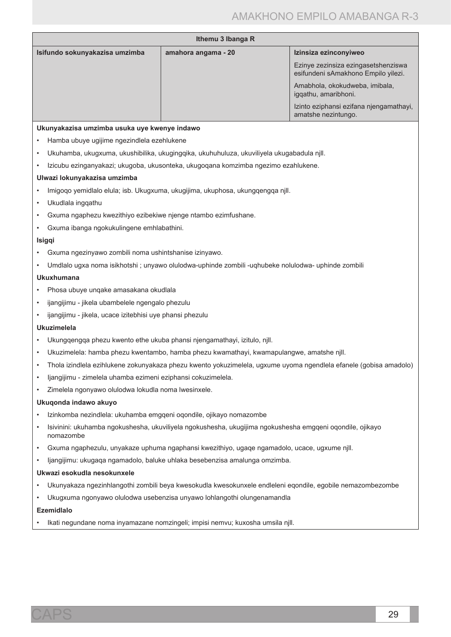| Ithemu 3 Ibanga R                                                                                      |                                                                                |                                                                            |  |
|--------------------------------------------------------------------------------------------------------|--------------------------------------------------------------------------------|----------------------------------------------------------------------------|--|
| Isifundo sokunyakazisa umzimba                                                                         | amahora angama - 20                                                            | Izinsiza ezinconyiweo                                                      |  |
|                                                                                                        |                                                                                | Ezinye zezinsiza ezingasetshenziswa<br>esifundeni sAmakhono Empilo yilezi. |  |
|                                                                                                        |                                                                                | Amabhola, okokudweba, imibala,<br>igqathu, amaribhoni.                     |  |
|                                                                                                        |                                                                                | Izinto eziphansi ezifana njengamathayi,<br>amatshe nezintungo.             |  |
| Ukunyakazisa umzimba usuka uye kwenye indawo                                                           |                                                                                |                                                                            |  |
| $\bullet$                                                                                              | Hamba ubuye ugijime ngezindlela ezehlukene                                     |                                                                            |  |
| Ukuhamba, ukugxuma, ukushibilika, ukugingqika, ukuhuhuluza, ukuviliyela ukugabadula njll.<br>$\bullet$ |                                                                                |                                                                            |  |
| Izicubu ezinganyakazi; ukugoba, ukusonteka, ukugoqana komzimba ngezimo ezahlukene.<br>$\bullet$        |                                                                                |                                                                            |  |
| Ulwazi lokunyakazisa umzimba                                                                           |                                                                                |                                                                            |  |
| ٠                                                                                                      | Imigoqo yemidlalo elula; isb. Ukugxuma, ukugijima, ukuphosa, ukungqengqa njll. |                                                                            |  |
| Ukudlala ingqathu<br>$\bullet$                                                                         |                                                                                |                                                                            |  |
| Gxuma ngaphezu kwezithiyo ezibekiwe njenge ntambo ezimfushane.                                         |                                                                                |                                                                            |  |
| Gxuma ibanga ngokukulingene emhlabathini.<br>$\bullet$                                                 |                                                                                |                                                                            |  |
| <b>Isigqi</b>                                                                                          |                                                                                |                                                                            |  |
| Gxuma ngezinyawo zombili noma ushintshanise izinyawo.                                                  |                                                                                |                                                                            |  |

Umdlalo ugxa noma isikhotshi ; unyawo olulodwa-uphinde zombili -uqhubeke nolulodwa- uphinde zombili

#### **Ukuxhumana**

- • Phosa ubuye unqake amasakana okudlala
- • ijangijimu jikela ubambelele ngengalo phezulu
- • ijangijimu jikela, ucace izitebhisi uye phansi phezulu

### **Ukuzimelela**

- Ukungqengqa phezu kwento ethe ukuba phansi njengamathayi, izitulo, njll.
- • Ukuzimelela: hamba phezu kwentambo, hamba phezu kwamathayi, kwamapulangwe, amatshe njll.
- • Thola izindlela ezihlukene zokunyakaza phezu kwento yokuzimelela, ugxume uyoma ngendlela efanele (gobisa amadolo)
- • Ijangijimu zimelela uhamba ezimeni eziphansi cokuzimelela.
- • Zimelela ngonyawo olulodwa lokudla noma lwesinxele.

#### **Ukuqonda indawo akuyo**

- Izinkomba nezindlela: ukuhamba emgqeni oqondile, ojikayo nomazombe
- • Isivinini: ukuhamba ngokushesha, ukuviliyela ngokushesha, ukugijima ngokushesha emgqeni oqondile, ojikayo nomazombe
- • Gxuma ngaphezulu, unyakaze uphuma ngaphansi kwezithiyo, ugaqe ngamadolo, ucace, ugxume njll.
- • Ijangijimu: ukugaqa ngamadolo, baluke uhlaka besebenzisa amalunga omzimba.

#### **Ukwazi esokudla nesokunxele**

- Ukunyakaza ngezinhlangothi zombili beya kwesokudla kwesokunxele endleleni eqondile, egobile nemazombezombe
- • Ukugxuma ngonyawo olulodwa usebenzisa unyawo lohlangothi olungenamandla

### **Ezemidlalo**

Ikati negundane noma inyamazane nomzingeli; impisi nemvu; kuxosha umsila njll.

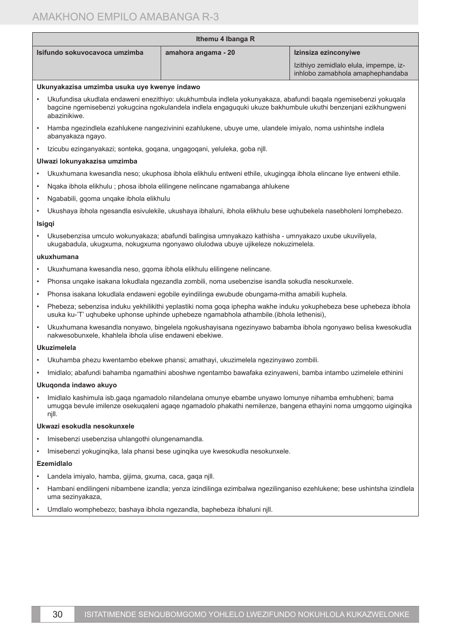# AMAKHONO EMPILO Amabanga R-3

| Ithemu 4 Ibanga R             |                     |                                                                            |
|-------------------------------|---------------------|----------------------------------------------------------------------------|
| Isifundo sokuvocavoca umzimba | amahora angama - 20 | Izinsiza ezinconyiwe                                                       |
|                               |                     | Izithiyo zemidlalo elula, impempe, iz-<br>inhlobo zamabhola amaphephandaba |

#### **Ukunyakazisa umzimba usuka uye kwenye indawo**

- Ukufundisa ukudlala endaweni enezithiyo: ukukhumbula indlela yokunyakaza, abafundi baqala ngemisebenzi yokuqala bagcine ngemisebenzi yokugcina ngokulandela indlela engaguquki ukuze bakhumbule ukuthi benzenjani ezikhungweni abazinikiwe.
- Hamba ngezindlela ezahlukene nangezivinini ezahlukene, ubuye ume, ulandele imiyalo, noma ushintshe indlela abanyakaza ngayo.
- Izicubu ezinganyakazi; sonteka, goqana, ungagoqani, yeluleka, goba njll.

#### **Ulwazi lokunyakazisa umzimba**

- Ukuxhumana kwesandla neso; ukuphosa ibhola elikhulu entweni ethile, ukugingqa ibhola elincane liye entweni ethile.
- Nqaka ibhola elikhulu ; phosa ibhola elilingene nelincane ngamabanga ahlukene
- Ngababili, gqoma unqake ibhola elikhulu
- Ukushaya ibhola ngesandla esivulekile, ukushaya ibhaluni, ibhola elikhulu bese uqhubekela nasebholeni lomphebezo.

#### **Isigqi**

Ukusebenzisa umculo wokunyakaza; abafundi balingisa umnyakazo kathisha - umnyakazo uxube ukuviliyela. ukugabadula, ukugxuma, nokugxuma ngonyawo olulodwa ubuye ujikeleze nokuzimelela.

#### **ukuxhumana**

- Ukuxhumana kwesandla neso, gqoma ibhola elikhulu elilingene nelincane.
- Phonsa unqake isakana lokudlala ngezandla zombili, noma usebenzise isandla sokudla nesokunxele.
- • Phonsa isakana lokudlala endaweni egobile eyindilinga ewubude obungama-mitha amabili kuphela.
- Phebeza; sebenzisa induku yekhilikithi yeplastiki noma goqa iphepha wakhe induku yokuphebeza bese uphebeza ibhola usuka ku-'T' uqhubeke uphonse uphinde uphebeze ngamabhola athambile.(ibhola lethenisi),
- Ukuxhumana kwesandla nonyawo, bingelela ngokushayisana ngezinyawo babamba ibhola ngonyawo belisa kwesokudla nakwesobunxele, khahlela ibhola ulise endaweni ebekiwe.

#### **Ukuzimelela**

- Ukuhamba phezu kwentambo ebekwe phansi; amathayi, ukuzimelela ngezinyawo zombili.
- Imidlalo; abafundi bahamba ngamathini aboshwe ngentambo bawafaka ezinyaweni, bamba intambo uzimelele ethinini

#### **Ukuqonda indawo akuyo**

Imidlalo kashimula isb.gaqa ngamadolo nilandelana omunye ebambe unyawo lomunye nihamba emhubheni; bama umugqa bevule imilenze osekuqaleni agaqe ngamadolo phakathi nemilenze, bangena ethayini noma umgqomo uiginqika njll.

#### **Ukwazi esokudla nesokunxele**

- Imisebenzi usebenzisa uhlangothi olungenamandla.
- Imisebenzi yokuginqika, lala phansi bese uginqika uye kwesokudla nesokunxele.

#### **Ezemidlalo**

- Landela imiyalo, hamba, gijima, gxuma, caca, gaqa njll.
- Hambani endilingeni nibambene izandla; yenza izindilinga ezimbalwa ngezilinganiso ezehlukene; bese ushintsha izindlela uma sezinyakaza,
- Umdlalo womphebezo; bashaya ibhola ngezandla, baphebeza ibhaluni njll.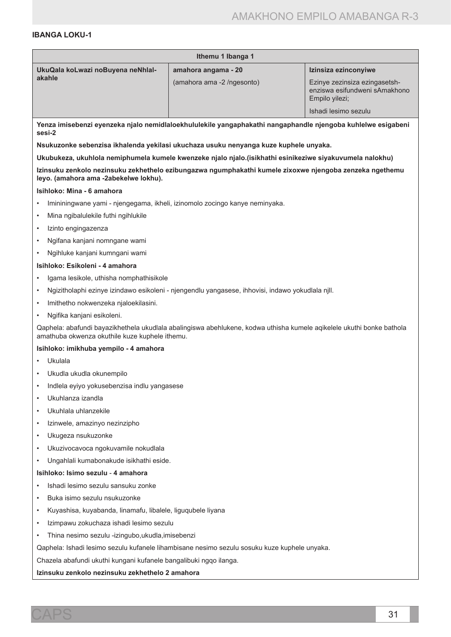## **IBANGA LOKU-1**

| Ithemu 1 Ibanga 1                           |                            |                                                                                                          |
|---------------------------------------------|----------------------------|----------------------------------------------------------------------------------------------------------|
| UkuQala koLwazi noBuyena neNhlal-<br>akahle | amahora angama - 20        | Izinsiza ezinconyiwe                                                                                     |
|                                             | (amahora ama -2 /ngesonto) | Ezinye zezinsiza ezingasetsh-<br>enziswa esifundweni sAmakhono<br>Empilo vilezi:<br>Ishadi lesimo sezulu |
| .<br>.                                      | .                          | .                                                                                                        |

**Yenza imisebenzi eyenzeka njalo nemidlaloekhululekile yangaphakathi nangaphandle njengoba kuhlelwe esigabeni sesi-2**

**Nsukuzonke sebenzisa ikhalenda yekilasi ukuchaza usuku nenyanga kuze kuphele unyaka.**

#### **Ukubukeza, ukuhlola nemiphumela kumele kwenzeke njalo njalo.(isikhathi esinikeziwe siyakuvumela nalokhu)**

**Izinsuku zenkolo nezinsuku zekhethelo ezibungazwa ngumphakathi kumele zixoxwe njengoba zenzeka ngethemu leyo. (amahora ama -2abekelwe lokhu).** 

#### **Isihloko: Mina - 6 amahora**

- • Imininingwane yami njengegama, ikheli, izinomolo zocingo kanye neminyaka.
- • Mina ngibalulekile futhi ngihlukile
- • Izinto engingazenza
- Ngifana kanjani nomngane wami
- Ngihluke kanjani kumngani wami

#### **Isihloko: Esikoleni - 4 amahora**

- • Igama lesikole, uthisha nomphathisikole
- • Ngizitholaphi ezinye izindawo esikoleni njengendlu yangasese, ihhovisi, indawo yokudlala njll.
- • Imithetho nokwenzeka njaloekilasini.
- Ngifika kanjani esikoleni.

Qaphela: abafundi bayazikhethela ukudlala abalingiswa abehlukene, kodwa uthisha kumele aqikelele ukuthi bonke bathola amathuba okwenza okuthile kuze kuphele ithemu.

#### **Isihloko: imikhuba yempilo - 4 amahora**

- • Ukulala
- Ukudla ukudla okunempilo
- Indlela eyiyo yokusebenzisa indlu yangasese
- • Ukuhlanza izandla
- • Ukuhlala uhlanzekile
- Izinwele, amazinyo nezinzipho
- Ukugeza nsukuzonke
- • Ukuzivocavoca ngokuvamile nokudlala
- • Ungahlali kumabonakude isikhathi eside.

#### **Isihloko: Isimo sezulu** - **4 amahora**

- • Ishadi lesimo sezulu sansuku zonke
- • Buka isimo sezulu nsukuzonke
- Kuyashisa, kuyabanda, linamafu, libalele, liguqubele liyana
- Izimpawu zokuchaza ishadi lesimo sezulu
- Thina nesimo sezulu -izingubo,ukudla,imisebenzi

Qaphela: Ishadi lesimo sezulu kufanele lihambisane nesimo sezulu sosuku kuze kuphele unyaka.

Chazela abafundi ukuthi kungani kufanele bangalibuki ngqo ilanga.

**Izinsuku zenkolo nezinsuku zekhethelo 2 amahora**

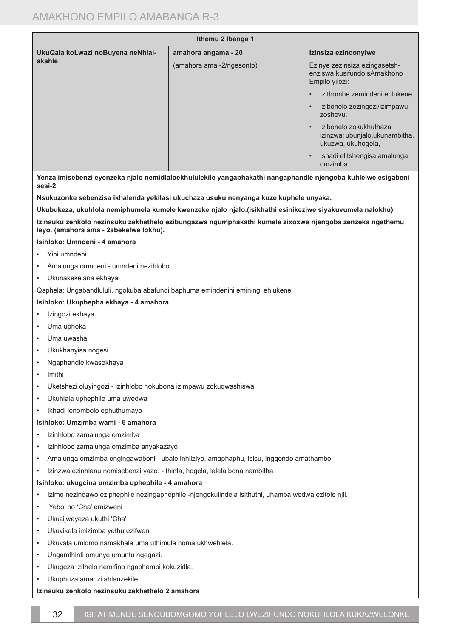| Ithemu 2 Ibanga 1                 |                           |                                                                                              |  |
|-----------------------------------|---------------------------|----------------------------------------------------------------------------------------------|--|
| UkuQala koLwazi noBuyena neNhlal- | amahora angama - 20       | Izinsiza ezinconyiwe                                                                         |  |
| akahle                            | (amahora ama -2/ngesonto) | Ezinye zezinsiza ezingasetsh-<br>enziswa kusifundo sAmakhono<br>Empilo yilezi:               |  |
|                                   |                           | Izithombe zemindeni ehlukene<br>$\bullet$                                                    |  |
|                                   |                           | Izibonelo zezingozi/izimpawu<br>$\bullet$<br>zoshevu.                                        |  |
|                                   |                           | Izibonelo zokukhuthaza<br>$\bullet$<br>izinzwa; ubunjalo, ukunambitha,<br>ukuzwa, ukuhogela, |  |
|                                   |                           | Ishadi elitshengisa amalunga<br>$\bullet$<br>omzimba                                         |  |

**Yenza imisebenzi eyenzeka njalo nemidlaloekhululekile yangaphakathi nangaphandle njengoba kuhlelwe esigabeni sesi-2**

**Nsukuzonke sebenzisa ikhalenda yekilasi ukuchaza usuku nenyanga kuze kuphele unyaka.**

**Ukubukeza, ukuhlola nemiphumela kumele kwenzeke njalo njalo.(isikhathi esinikeziwe siyakuvumela nalokhu)** 

**Izinsuku zenkolo nezinsuku zekhethelo ezibungazwa ngumphakathi kumele zixoxwe njengoba zenzeka ngethemu leyo. (amahora ama - 2abekelwe lokhu).** 

## **Isihloko: Umndeni - 4 amahora**

- • Yini umndeni
- Amalunga omndeni umndeni nezihlobo
- • Ukunakekelana ekhaya

Qaphela: Ungabandlululi, ngokuba abafundi baphuma emindenini eminingi ehlukene

## **Isihloko: Ukuphepha ekhaya - 4 amahora**

- Izingozi ekhaya
- Uma upheka
- Uma uwasha
- Ukukhanyisa nogesi
- • Ngaphandle kwasekhaya
- **Imithi**
- Uketshezi oluyingozi izinhlobo nokubona izimpawu zokuqwashiswa
- • Ukuhlala uphephile uma uwedwa
- Ikhadi lenombolo ephuthumayo

# **Isihloko: Umzimba wami - 6 amahora**

- Izinhlobo zamalunga omzimba
- • Izinhlobo zamalunga omzimba anyakazayo
- Amalunga omzimba engingawaboni ubale inhliziyo, amaphaphu, isisu, ingqondo amathambo.
- • Izinzwa ezinhlanu nemisebenzi yazo. thinta, hogela, lalela,bona nambitha

## **Isihloko: ukugcina umzimba uphephile - 4 amahora**

- Izimo nezindawo eziphephile nezingaphephile -njengokulindela isithuthi, uhamba wedwa ezitolo njll.
- • 'Yebo' no 'Cha' emizweni
- Ukuzijwayeza ukuthi 'Cha'
- Ukuvikela imizimba yethu ezifweni
- • Ukuvala umlomo namakhala uma uthimula noma ukhwehlela.
- Ungamthinti omunye umuntu ngegazi.
- • Ukugeza izithelo nemifino ngaphambi kokuzidla.
- • Ukuphuza amanzi ahlanzekile

## **Izinsuku zenkolo nezinsuku zekhethelo 2 amahora**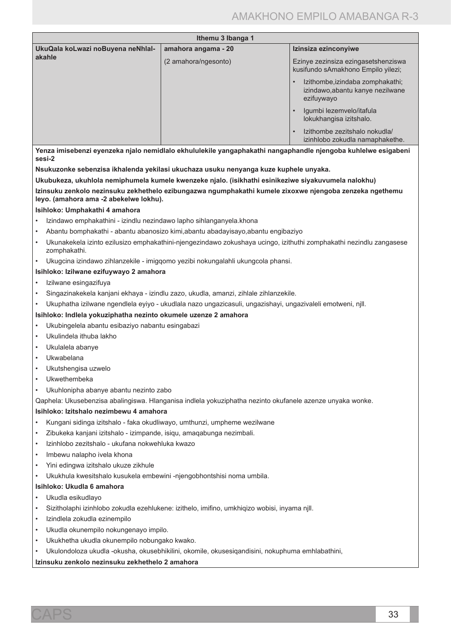| Ithemu 3 Ibanga 1                                                                                                       |                      |                                                                                                 |  |
|-------------------------------------------------------------------------------------------------------------------------|----------------------|-------------------------------------------------------------------------------------------------|--|
| UkuQala koLwazi noBuyena neNhlal-<br>akahle                                                                             | amahora angama - 20  | Izinsiza ezinconyiwe                                                                            |  |
|                                                                                                                         | (2 amahora/ngesonto) | Ezinye zezinsiza ezingasetshenziswa<br>kusifundo sAmakhono Empilo vilezi;                       |  |
|                                                                                                                         |                      | Izithombe, izindaba zomphakathi;<br>$\bullet$<br>izindawo, abantu kanye nezilwane<br>ezifuywayo |  |
|                                                                                                                         |                      | Igumbi lezemvelo/itafula<br>$\bullet$<br>lokukhangisa izitshalo.                                |  |
|                                                                                                                         |                      | Izithombe zezitshalo nokudla/<br>$\bullet$<br>izinhlobo zokudla namaphakethe.                   |  |
| Yenza imisebenzi eyenzeka njalo nemidlalo ekhululekile yangaphakathi nangaphandle njengoba kuhlelwe esigabeni<br>sesi-2 |                      |                                                                                                 |  |
| Nsukuzonke sebenzisa ikhalenda yekilasi ukuchaza usuku nenyanga kuze kuphele unyaka.                                    |                      |                                                                                                 |  |
| Ukubukeza, ukuhlola nemiphumela kumele kwenzeke njalo. (isikhathi esinikeziwe siyakuvumela nalokhu)                     |                      |                                                                                                 |  |
| Izinsuku zenkolo nezinsuku zekhethelo ezibungazwa ngumphakathi kumele zixoxwe njengoba zenzeka ngethemu                 |                      |                                                                                                 |  |

# **leyo. (amahora ama -2 abekelwe lokhu).**

## **Isihloko: Umphakathi 4 amahora**

- • Izindawo emphakathini izindlu nezindawo lapho sihlanganyela.khona
- • Abantu bomphakathi abantu abanosizo kimi,abantu abadayisayo,abantu engibaziyo
- • Ukunakekela izinto ezilusizo emphakathini-njengezindawo zokushaya ucingo, izithuthi zomphakathi nezindlu zangasese zomphakathi.
- Ukugcina izindawo zihlanzekile imigqomo yezibi nokungalahli ukungcola phansi.

## **Isihloko: Izilwane ezifuywayo 2 amahora**

- Izilwane esingazifuya
- Singazinakekela kanjani ekhaya izindlu zazo, ukudla, amanzi, zihlale zihlanzekile.
- Ukuphatha izilwane ngendlela eviyo ukudlala nazo ungazicasuli, ungazishayi, ungazivaleli emotweni, nill.

## **Isihloko: Indlela yokuziphatha nezinto okumele uzenze 2 amahora**

- Ukubingelela abantu esibaziyo nabantu esingabazi
- Ukulindela ithuba lakho
- Ukulalela abanye
- Ukwabelana
- • Ukutshengisa uzwelo
- **Ukwethembeka**
- Ukuhlonipha abanye abantu nezinto zabo

Qaphela: Ukusebenzisa abalingiswa. Hlanganisa indlela yokuziphatha nezinto okufanele azenze unyaka wonke.

# **Isihloko: Izitshalo nezimbewu 4 amahora**

- • Kungani sidinga izitshalo faka okudliwayo, umthunzi, umpheme wezilwane
- Zibukeka kanjani izitshalo izimpande, isiqu, amaqabunga nezimbali.
- Izinhlobo zezitshalo ukufana nokwehluka kwazo
- Imbewu nalapho ivela khona
- Yini edingwa izitshalo ukuze zikhule
- Ukukhula kwesitshalo kusukela embewini -njengobhontshisi noma umbila.

# **Isihloko: Ukudla 6 amahora**

- • Ukudla esikudlayo
- • Sizitholaphi izinhlobo zokudla ezehlukene: izithelo, imifino, umkhiqizo wobisi, inyama njll.
- Izindlela zokudla ezinempilo
- Ukudla okunempilo nokungenayo impilo.
- Ukukhetha ukudla okunempilo nobungako kwako.
- Ukulondoloza ukudla -okusha, okusebhikilini, okomile, okusesiqandisini, nokuphuma emhlabathini,

## **Izinsuku zenkolo nezinsuku zekhethelo 2 amahora**

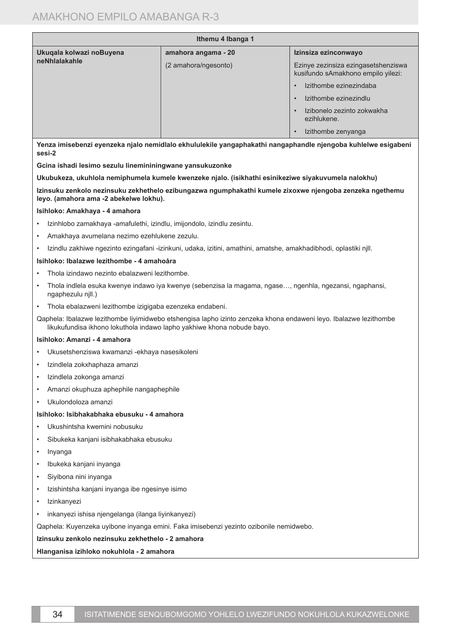| Ithemu 4 Ibanga 1                         |                      |                                                                           |  |
|-------------------------------------------|----------------------|---------------------------------------------------------------------------|--|
| Ukugala kolwazi noBuyena<br>neNhlalakahle | amahora angama - 20  | Izinsiza ezinconwayo                                                      |  |
|                                           | (2 amahora/ngesonto) | Ezinye zezinsiza ezingasetshenziswa<br>kusifundo sAmakhono empilo yilezi: |  |
|                                           |                      | Izithombe ezinezindaba                                                    |  |
|                                           |                      | Izithombe ezinezindlu                                                     |  |
|                                           |                      | Izibonelo zezinto zokwakha<br>ezihlukene.                                 |  |
|                                           |                      | Izithombe zenyanga                                                        |  |

**Yenza imisebenzi eyenzeka njalo nemidlalo ekhululekile yangaphakathi nangaphandle njengoba kuhlelwe esigabeni sesi-2**

**Gcina ishadi lesimo sezulu linemininingwane yansukuzonke**

**Ukubukeza, ukuhlola nemiphumela kumele kwenzeke njalo. (isikhathi esinikeziwe siyakuvumela nalokhu)** 

**Izinsuku zenkolo nezinsuku zekhethelo ezibungazwa ngumphakathi kumele zixoxwe njengoba zenzeka ngethemu leyo. (amahora ama -2 abekelwe lokhu).** 

## **Isihloko: Amakhaya - 4 amahora**

- Izinhlobo zamakhaya -amafulethi, izindlu, imijondolo, izindlu zesintu.
- • Amakhaya avumelana nezimo ezehlukene zezulu.
- Izindlu zakhiwe ngezinto ezingafani -izinkuni, udaka, izitini, amathini, amatshe, amakhadibhodi, oplastiki nill.

#### **Isihloko: Ibalazwe lezithombe - 4 amahoåra**

- Thola izindawo nezinto ebalazweni lezithombe.
- Thola indlela esuka kwenye indawo iya kwenye (sebenzisa la magama, ngase..., ngenhla, ngezansi, ngaphansi, ngaphezulu njll.)
- Thola ebalazweni lezithombe izigigaba ezenzeka endabeni.

Qaphela: Ibalazwe lezithombe liyimidwebo etshengisa lapho izinto zenzeka khona endaweni leyo. Ibalazwe lezithombe likukufundisa ikhono lokuthola indawo lapho yakhiwe khona nobude bayo.

#### **Isihloko: Amanzi - 4 amahora**

- Ukusetshenziswa kwamanzi -ekhaya nasesikoleni
- Izindlela zokxhaphaza amanzi
- Izindlela zokonga amanzi
- Amanzi okuphuza aphephile nangaphephile
- Ukulondoloza amanzi

## **Isihloko: Isibhakabhaka ebusuku - 4 amahora**

- Ukushintsha kwemini nobusuku
- • Sibukeka kanjani isibhakabhaka ebusuku
- **Inyanga**
- • Ibukeka kanjani inyanga
- Siyibona nini inyanga
- Izishintsha kanjani inyanga ibe ngesinye isimo
- **Izinkanyezi**
- inkanyezi ishisa njengelanga (ilanga liyinkanyezi)

Qaphela: Kuyenzeka uyibone inyanga emini. Faka imisebenzi yezinto ozibonile nemidwebo.

## **Izinsuku zenkolo nezinsuku zekhethelo - 2 amahora**

**Hlanganisa izihloko nokuhlola - 2 amahora**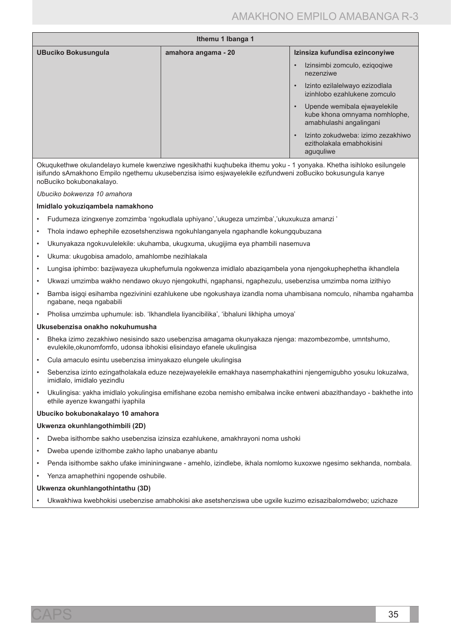| Ithemu 1 Ibanga 1          |                     |                                                                                          |  |
|----------------------------|---------------------|------------------------------------------------------------------------------------------|--|
| <b>UBuciko Bokusungula</b> | amahora angama - 20 | Izinsiza kufundisa ezinconyiwe                                                           |  |
|                            |                     | Izinsimbi zomculo, eziqoqiwe<br>nezenziwe                                                |  |
|                            |                     | Izinto ezilalelwayo ezizodlala<br>$\bullet$<br>izinhlobo ezahlukene zomculo              |  |
|                            |                     | Upende wemibala ejwayelekile<br>kube khona omnyama nomhlophe,<br>amabhulashi angalingani |  |
|                            |                     | Izinto zokudweba: izimo zezakhiwo<br>ezitholakala emabhokisini<br>aguguliwe              |  |

Okuqukethwe okulandelayo kumele kwenziwe ngesikhathi kuqhubeka ithemu yoku - 1 yonyaka. Khetha isihloko esilungele isifundo sAmakhono Empilo ngethemu ukusebenzisa isimo esjwayelekile ezifundweni zoBuciko bokusungula kanye noBuciko bokubonakalayo.

*Ubuciko bokwenza 10 amahora*

#### **Imidlalo yokuziqambela namakhono**

- • Fudumeza izingxenye zomzimba 'ngokudlala uphiyano','ukugeza umzimba','ukuxukuza amanzi '
- Thola indawo ephephile ezosetshenziswa ngokuhlanganyela ngaphandle kokungqubuzana
- • Ukunyakaza ngokuvulelekile: ukuhamba, ukugxuma, ukugijima eya phambili nasemuva
- • Ukuma: ukugobisa amadolo, amahlombe nezihlakala
- • Lungisa iphimbo: bazijwayeza ukuphefumula ngokwenza imidlalo abaziqambela yona njengokuphephetha ikhandlela
- Ukwazi umzimba wakho nendawo okuyo njengokuthi, ngaphansi, ngaphezulu, usebenzisa umzimba noma izithiyo
- Bamba isigqi esihamba ngezivinini ezahlukene ube ngokushaya izandla noma uhambisana nomculo, nihamba ngahamba ngabane, neqa ngababili
- • Pholisa umzimba uphumule: isb. 'Ikhandlela liyancibilika', 'ibhaluni likhipha umoya'

#### **Ukusebenzisa onakho nokuhumusha**

- • Bheka izimo zezakhiwo nesisindo sazo usebenzisa amagama okunyakaza njenga: mazombezombe, umntshumo, evulekile,okunomfomfo, udonsa ibhokisi elisindayo efanele ukulingisa
- Cula amaculo esintu usebenzisa iminyakazo elungele ukulingisa
- Sebenzisa izinto ezingatholakala eduze nezejwayelekile emakhaya nasemphakathini njengemigubho yosuku lokuzalwa, imidlalo, imidlalo yezindlu
- Ukulingisa: yakha imidlalo yokulingisa emifishane ezoba nemisho emibalwa incike entweni abazithandayo bakhethe into ethile ayenze kwangathi iyaphila

#### **Ubuciko bokubonakalayo 10 amahora**

#### **Ukwenza okunhlangothimbili (2D)**

- Dweba isithombe sakho usebenzisa izinsiza ezahlukene, amakhrayoni noma ushoki
- Dweba upende izithombe zakho lapho unabanye abantu
- Penda isithombe sakho ufake imininingwane amehlo, izindlebe, ikhala nomlomo kuxoxwe ngesimo sekhanda, nombala.

# Yenza amaphethini ngopende oshubile.

## **Ukwenza okunhlangothintathu (3D)**

Ukwakhiwa kwebhokisi usebenzise amabhokisi ake asetshenziswa ube ugxile kuzimo ezisazibalomdwebo; uzichaze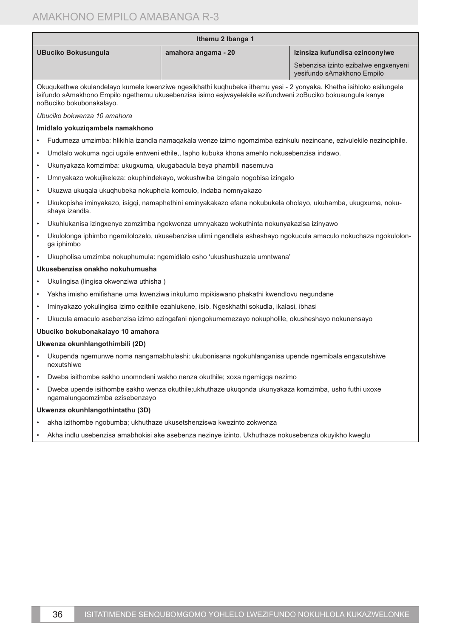|           | AIVIANNUINU EIVIPILU AIVIADAINUA K-3                                                                                           |                                                                                                                                                                                                                                  |                                                                    |  |
|-----------|--------------------------------------------------------------------------------------------------------------------------------|----------------------------------------------------------------------------------------------------------------------------------------------------------------------------------------------------------------------------------|--------------------------------------------------------------------|--|
|           | Ithemu 2 Ibanga 1                                                                                                              |                                                                                                                                                                                                                                  |                                                                    |  |
|           | <b>UBuciko Bokusungula</b>                                                                                                     | amahora angama - 20                                                                                                                                                                                                              | Izinsiza kufundisa ezinconyiwe                                     |  |
|           |                                                                                                                                |                                                                                                                                                                                                                                  | Sebenzisa izinto ezibalwe engxenyeni<br>yesifundo sAmakhono Empilo |  |
|           | noBuciko bokubonakalayo.                                                                                                       | Okuqukethwe okulandelayo kumele kwenziwe ngesikhathi kuqhubeka ithemu yesi - 2 yonyaka. Khetha isihloko esilungele<br>isifundo sAmakhono Empilo ngethemu ukusebenzisa isimo esiwayelekile ezifundweni zoBuciko bokusungula kanye |                                                                    |  |
|           | Ubuciko bokwenza 10 amahora                                                                                                    |                                                                                                                                                                                                                                  |                                                                    |  |
|           | Imidlalo yokuziqambela namakhono                                                                                               |                                                                                                                                                                                                                                  |                                                                    |  |
| $\bullet$ |                                                                                                                                | Fudumeza umzimba: hlikihla izandla namaqakala wenze izimo ngomzimba ezinkulu nezincane, ezivulekile nezinciphile.                                                                                                                |                                                                    |  |
| ٠         |                                                                                                                                | Umdlalo wokuma ngci ugxile entweni ethile,, lapho kubuka khona amehlo nokusebenzisa indawo.                                                                                                                                      |                                                                    |  |
| $\bullet$ | Ukunyakaza komzimba: ukugxuma, ukugabadula beya phambili nasemuva                                                              |                                                                                                                                                                                                                                  |                                                                    |  |
| $\bullet$ |                                                                                                                                | Umnyakazo wokujikeleza: okuphindekayo, wokushwiba izingalo nogobisa izingalo                                                                                                                                                     |                                                                    |  |
| $\bullet$ | Ukuzwa ukuqala ukuqhubeka nokuphela komculo, indaba nomnyakazo                                                                 |                                                                                                                                                                                                                                  |                                                                    |  |
| $\bullet$ | shaya izandla.                                                                                                                 | Ukukopisha iminyakazo, isigqi, namaphethini eminyakakazo efana nokubukela oholayo, ukuhamba, ukugxuma, noku-                                                                                                                     |                                                                    |  |
| $\bullet$ | Ukuhlukanisa izingxenye zomzimba ngokwenza umnyakazo wokuthinta nokunyakazisa izinyawo                                         |                                                                                                                                                                                                                                  |                                                                    |  |
| $\bullet$ | Ukulolonga iphimbo ngemilolozelo, ukusebenzisa ulimi ngendlela esheshayo ngokucula amaculo nokuchaza ngokulolon-<br>ga iphimbo |                                                                                                                                                                                                                                  |                                                                    |  |
| $\bullet$ | Ukupholisa umzimba nokuphumula: ngemidlalo esho 'ukushushuzela umntwana'                                                       |                                                                                                                                                                                                                                  |                                                                    |  |
|           | Ukusebenzisa onakho nokuhumusha                                                                                                |                                                                                                                                                                                                                                  |                                                                    |  |
| $\bullet$ | Ukulingisa (lingisa okwenziwa uthisha)                                                                                         |                                                                                                                                                                                                                                  |                                                                    |  |
| $\bullet$ |                                                                                                                                | Yakha imisho emifishane uma kwenziwa inkulumo mpikiswano phakathi kwendlovu negundane                                                                                                                                            |                                                                    |  |
| $\bullet$ |                                                                                                                                | Iminyakazo yokulingisa izimo ezithile ezahlukene, isib. Ngeskhathi sokudla, ikalasi, ibhasi                                                                                                                                      |                                                                    |  |
| $\bullet$ |                                                                                                                                | Ukucula amaculo asebenzisa izimo ezingafani njengokumemezayo nokupholile, okusheshayo nokunensayo                                                                                                                                |                                                                    |  |
|           | Ubuciko bokubonakalayo 10 amahora                                                                                              |                                                                                                                                                                                                                                  |                                                                    |  |
|           | Ukwenza okunhlangothimbili (2D)                                                                                                |                                                                                                                                                                                                                                  |                                                                    |  |
|           | nexutshiwe                                                                                                                     | Ukupenda ngemunwe noma nangamabhulashi: ukubonisana ngokuhlanganisa upende ngemibala engaxutshiwe                                                                                                                                |                                                                    |  |
| $\bullet$ |                                                                                                                                | Dweba isithombe sakho unomndeni wakho nenza okuthile; xoxa ngemigga nezimo                                                                                                                                                       |                                                                    |  |
| $\bullet$ | ngamalungaomzimba ezisebenzayo                                                                                                 | Dweba upende isithombe sakho wenza okuthile;ukhuthaze ukuqonda ukunyakaza komzimba, usho futhi uxoxe                                                                                                                             |                                                                    |  |
|           | Ukwenza okunhlangothintathu (3D)                                                                                               |                                                                                                                                                                                                                                  |                                                                    |  |
| $\bullet$ |                                                                                                                                | akha izithombe ngobumba; ukhuthaze ukusetshenziswa kwezinto zokwenza                                                                                                                                                             |                                                                    |  |
| ٠         |                                                                                                                                | Akha indlu usebenzisa amabhokisi ake asebenza nezinye izinto. Ukhuthaze nokusebenza okuyikho kweglu                                                                                                                              |                                                                    |  |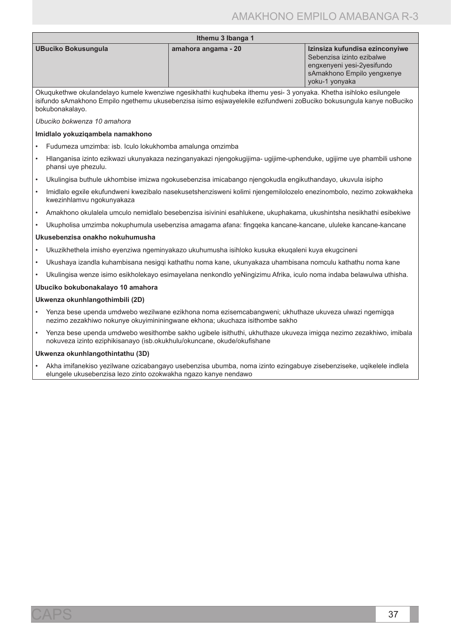|                                  | Ithemu 3 Ibanga 1                                                       |                                                                                                                                                                                                                                         |                                                                                                                                           |  |
|----------------------------------|-------------------------------------------------------------------------|-----------------------------------------------------------------------------------------------------------------------------------------------------------------------------------------------------------------------------------------|-------------------------------------------------------------------------------------------------------------------------------------------|--|
|                                  | <b>UBuciko Bokusungula</b>                                              | amahora angama - 20                                                                                                                                                                                                                     | Izinsiza kufundisa ezinconyiwe<br>Sebenzisa izinto ezibalwe<br>engxenyeni yesi-2yesifundo<br>sAmakhono Empilo yengxenye<br>yoku-1 yonyaka |  |
|                                  | bokubonakalayo.                                                         | Okuqukethwe okulandelayo kumele kwenziwe ngesikhathi kuqhubeka ithemu yesi-3 yonyaka. Khetha isihloko esilungele<br>isifundo sAmakhono Empilo ngethemu ukusebenzisa isimo esjwayelekile ezifundweni zoBuciko bokusungula kanye noBuciko |                                                                                                                                           |  |
|                                  | Ubuciko bokwenza 10 amahora                                             |                                                                                                                                                                                                                                         |                                                                                                                                           |  |
|                                  | Imidlalo yokuziqambela namakhono                                        |                                                                                                                                                                                                                                         |                                                                                                                                           |  |
| $\bullet$                        | Fudumeza umzimba: isb. Iculo lokukhomba amalunga omzimba                |                                                                                                                                                                                                                                         |                                                                                                                                           |  |
| $\bullet$                        | phansi uye phezulu.                                                     | Hlanganisa izinto ezikwazi ukunyakaza nezinganyakazi njengokugijima- ugijime-uphenduke, ugijime uye phambili ushone                                                                                                                     |                                                                                                                                           |  |
| $\bullet$                        |                                                                         | Ukulingisa buthule ukhombise imizwa ngokusebenzisa imicabango njengokudla engikuthandayo, ukuvula isipho                                                                                                                                |                                                                                                                                           |  |
| $\bullet$                        | kwezinhlamvu ngokunyakaza                                               | Imidlalo egxile ekufundweni kwezibalo nasekusetshenzisweni kolimi njengemilolozelo enezinombolo, nezimo zokwakheka                                                                                                                      |                                                                                                                                           |  |
| $\bullet$                        |                                                                         | Amakhono okulalela umculo nemidlalo besebenzisa isivinini esahlukene, ukuphakama, ukushintsha nesikhathi esibekiwe                                                                                                                      |                                                                                                                                           |  |
| $\bullet$                        |                                                                         | Ukupholisa umzimba nokuphumula usebenzisa amagama afana: fingqeka kancane-kancane, ululeke kancane-kancane                                                                                                                              |                                                                                                                                           |  |
|                                  | Ukusebenzisa onakho nokuhumusha                                         |                                                                                                                                                                                                                                         |                                                                                                                                           |  |
| $\bullet$                        |                                                                         | Ukuzikhethela imisho eyenziwa ngeminyakazo ukuhumusha isihloko kusuka ekuqaleni kuya ekugcineni                                                                                                                                         |                                                                                                                                           |  |
| $\bullet$                        |                                                                         | Ukushaya izandla kuhambisana nesigqi kathathu noma kane, ukunyakaza uhambisana nomculu kathathu noma kane                                                                                                                               |                                                                                                                                           |  |
|                                  |                                                                         | Ukulingisa wenze isimo esikholekayo esimayelana nenkondlo yeNingizimu Afrika, iculo noma indaba belawulwa uthisha.                                                                                                                      |                                                                                                                                           |  |
|                                  | Ubuciko bokubonakalayo 10 amahora                                       |                                                                                                                                                                                                                                         |                                                                                                                                           |  |
|                                  | Ukwenza okunhlangothimbili (2D)                                         |                                                                                                                                                                                                                                         |                                                                                                                                           |  |
|                                  |                                                                         | Yenza bese upenda umdwebo wezilwane ezikhona noma ezisemcabangweni; ukhuthaze ukuveza ulwazi ngemigqa<br>nezimo zezakhiwo nokunye okuyimininingwane ekhona; ukuchaza isithombe sakho                                                    |                                                                                                                                           |  |
| $\bullet$                        | nokuveza izinto eziphikisanayo (isb.okukhulu/okuncane, okude/okufishane | Yenza bese upenda umdwebo wesithombe sakho ugibele isithuthi, ukhuthaze ukuveza imigqa nezimo zezakhiwo, imibala                                                                                                                        |                                                                                                                                           |  |
| Ukwenza okunhlangothintathu (3D) |                                                                         |                                                                                                                                                                                                                                         |                                                                                                                                           |  |
|                                  | elungele ukusebenzisa lezo zinto ozokwakha ngazo kanye nendawo          | Akha imifanekiso yezilwane ozicabangayo usebenzisa ubumba, noma izinto ezingabuye zisebenziseke, uqikelele indlela                                                                                                                      |                                                                                                                                           |  |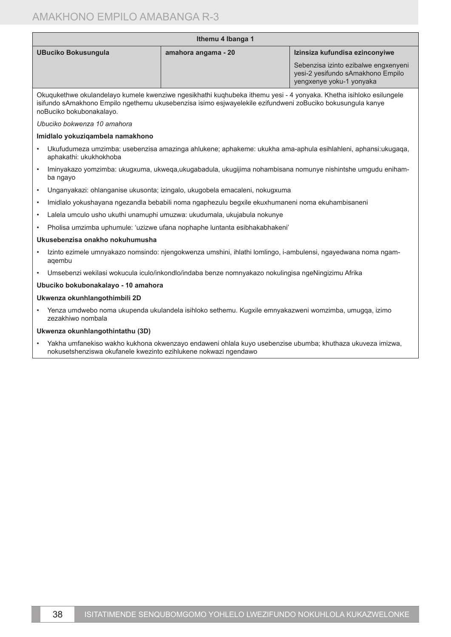|  | Ithemu 4 Ibanga 1                                                                                             |                                                                                                                                                                                                                                  |                                                                                                       |  |
|--|---------------------------------------------------------------------------------------------------------------|----------------------------------------------------------------------------------------------------------------------------------------------------------------------------------------------------------------------------------|-------------------------------------------------------------------------------------------------------|--|
|  | <b>UBuciko Bokusungula</b>                                                                                    | amahora angama - 20                                                                                                                                                                                                              | Izinsiza kufundisa ezinconyiwe                                                                        |  |
|  |                                                                                                               |                                                                                                                                                                                                                                  | Sebenzisa izinto ezibalwe engxenyeni<br>yesi-2 yesifundo sAmakhono Empilo<br>yengxenye yoku-1 yonyaka |  |
|  | noBuciko bokubonakalayo.                                                                                      | Okuqukethwe okulandelayo kumele kwenziwe ngesikhathi kuqhubeka ithemu yesi - 4 yonyaka. Khetha isihloko esilungele<br>isifundo sAmakhono Empilo ngethemu ukusebenzisa isimo esjwayelekile ezifundweni zoBuciko bokusungula kanye |                                                                                                       |  |
|  | Ubuciko bokwenza 10 amahora                                                                                   |                                                                                                                                                                                                                                  |                                                                                                       |  |
|  | Imidlalo yokuziqambela namakhono                                                                              |                                                                                                                                                                                                                                  |                                                                                                       |  |
|  | aphakathi: ukukhokhoba                                                                                        | Ukufudumeza umzimba: usebenzisa amazinga ahlukene; aphakeme: ukukha ama-aphula esihlahleni, aphansi:ukugaqa,                                                                                                                     |                                                                                                       |  |
|  | $\bullet$<br>ba ngayo                                                                                         | Iminyakazo yomzimba: ukugxuma, ukweqa,ukugabadula, ukugijima nohambisana nomunye nishintshe umgudu eniham-                                                                                                                       |                                                                                                       |  |
|  | Unganyakazi: ohlanganise ukusonta; izingalo, ukugobela emacaleni, nokugxuma<br>$\bullet$                      |                                                                                                                                                                                                                                  |                                                                                                       |  |
|  | Imidlalo yokushayana ngezandla bebabili noma ngaphezulu begxile ekuxhumaneni noma ekuhambisaneni<br>$\bullet$ |                                                                                                                                                                                                                                  |                                                                                                       |  |
|  | $\bullet$                                                                                                     | Lalela umculo usho ukuthi unamuphi umuzwa: ukudumala, ukujabula nokunye                                                                                                                                                          |                                                                                                       |  |
|  | $\bullet$                                                                                                     | Pholisa umzimba uphumule: 'uzizwe ufana nophaphe luntanta esibhakabhakeni'                                                                                                                                                       |                                                                                                       |  |
|  | Ukusebenzisa onakho nokuhumusha                                                                               |                                                                                                                                                                                                                                  |                                                                                                       |  |
|  | $\bullet$<br>aqembu                                                                                           | Izinto ezimele umnyakazo nomsindo: njengokwenza umshini, ihlathi lomlingo, i-ambulensi, ngayedwana noma ngam-                                                                                                                    |                                                                                                       |  |
|  | $\bullet$                                                                                                     | Umsebenzi wekilasi wokucula iculo/inkondlo/indaba benze nomnyakazo nokulingisa ngeNingizimu Afrika                                                                                                                               |                                                                                                       |  |
|  | Ubuciko bokubonakalayo - 10 amahora                                                                           |                                                                                                                                                                                                                                  |                                                                                                       |  |
|  | Ukwenza okunhlangothimbili 2D                                                                                 |                                                                                                                                                                                                                                  |                                                                                                       |  |
|  | $\bullet$<br>zezakhiwo nombala                                                                                | Yenza umdwebo noma ukupenda ukulandela isihloko sethemu. Kugxile emnyakazweni womzimba, umugqa, izimo                                                                                                                            |                                                                                                       |  |
|  | Ukwenza okunhlangothintathu (3D)                                                                              |                                                                                                                                                                                                                                  |                                                                                                       |  |
|  | nokusetshenziswa okufanele kwezinto ezihlukene nokwazi ngendawo                                               | Yakha umfanekiso wakho kukhona okwenzayo endaweni ohlala kuyo usebenzise ubumba; khuthaza ukuveza imizwa,                                                                                                                        |                                                                                                       |  |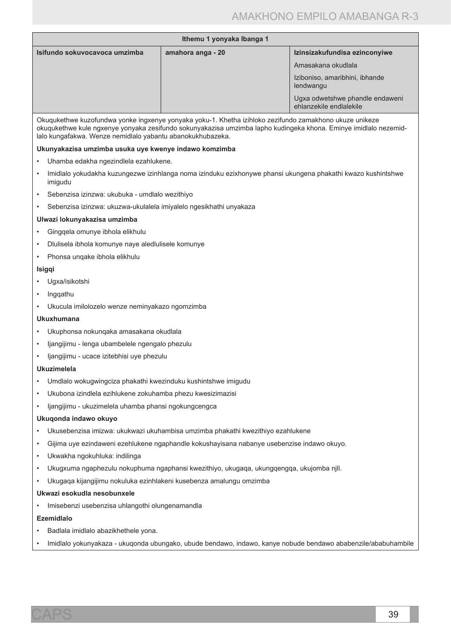| Ithemu 1 yonyaka Ibanga 1     |                   |                                                            |  |
|-------------------------------|-------------------|------------------------------------------------------------|--|
| Isifundo sokuvocavoca umzimba | amahora anga - 20 | Izinsizakufundisa ezinconyiwe                              |  |
|                               |                   | Amasakana okudlala                                         |  |
|                               |                   | Iziboniso, amaribhini, ibhande<br>lendwangu                |  |
|                               |                   | Ugxa odwetshwe phandle endaweni<br>ehlanzekile endlalekile |  |

Okuqukethwe kuzofundwa yonke ingxenye yonyaka yoku-1. Khetha izihloko zezifundo zamakhono ukuze unikeze okuqukethwe kule ngxenye yonyaka zesifundo sokunyakazisa umzimba lapho kudingeka khona. Eminye imidlalo nezemidlalo kungafakwa. Wenze nemidlalo yabantu abanokukhubazeka.

#### **Ukunyakazisa umzimba usuka uye kwenye indawo komzimba**

- Uhamba edakha ngezindlela ezahlukene.
- Imidlalo yokudakha kuzungezwe izinhlanga noma izinduku ezixhonywe phansi ukungena phakathi kwazo kushintshwe imigudu
- Sebenzisa izinzwa: ukubuka umdlalo wezithiyo
- Sebenzisa izinzwa: ukuzwa-ukulalela imiyalelo ngesikhathi unyakaza

#### **Ulwazi lokunyakazisa umzimba**

- • Gingqela omunye ibhola elikhulu
- • Dlulisela ibhola komunye naye aledlulisele komunye
- • Phonsa unqake ibhola elikhulu

#### **Isigqi**

- Ugxa/isikotshi
- **Ingqathu**
- Ukucula imilolozelo wenze neminyakazo ngomzimba

#### **Ukuxhumana**

- Ukuphonsa nokunqaka amasakana okudlala
- ljangijimu lenga ubambelele ngengalo phezulu
- Ijangijimu ucace izitebhisi uye phezulu

## **Ukuzimelela**

- Umdlalo wokugwingciza phakathi kwezinduku kushintshwe imigudu
- Ukubona izindlela ezihlukene zokuhamba phezu kwesizimazisi
- ljangijimu ukuzimelela uhamba phansi ngokungcengca

#### **Ukuqonda indawo okuyo**

- • Ukusebenzisa imizwa: ukukwazi ukuhambisa umzimba phakathi kwezithiyo ezahlukene
- Gijima uye ezindaweni ezehlukene ngaphandle kokushayisana nabanye usebenzise indawo okuyo.
- • Ukwakha ngokuhluka: indilinga
- • Ukugxuma ngaphezulu nokuphuma ngaphansi kwezithiyo, ukugaqa, ukungqengqa, ukujomba njll.
- Ukugaqa kijangijimu nokuluka ezinhlakeni kusebenza amalungu omzimba

#### **Ukwazi esokudla nesobunxele**

• Imisebenzi usebenzisa uhlangothi olungenamandla

- Badlala imidlalo abazikhethele yona.
- • Imidlalo yokunyakaza ukuqonda ubungako, ubude bendawo, indawo, kanye nobude bendawo ababenzile/ababuhambile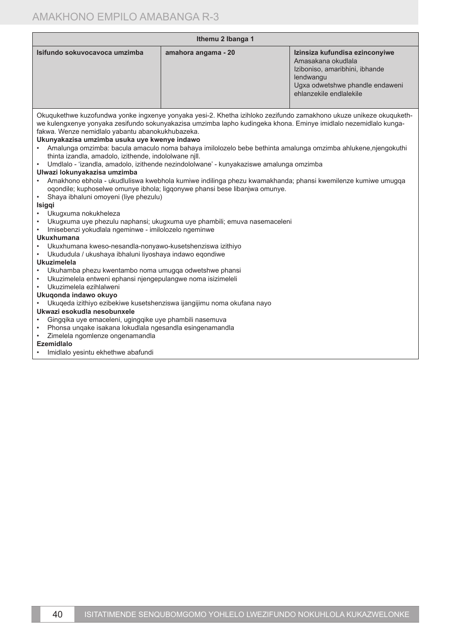| Ithemu 2 Ibanga 1                                                                                                                                                                                                                                                                                                                                                                                                                                                                                                                                                                                                                                                                                                                                                                                                                                                                                                                                                                                                                                                                                                       |                                                                                                                                                                                                                                                                                                                                                                                                                                                                                                                                                                                                                                                                                                                           |                                                                                                                                                                   |  |
|-------------------------------------------------------------------------------------------------------------------------------------------------------------------------------------------------------------------------------------------------------------------------------------------------------------------------------------------------------------------------------------------------------------------------------------------------------------------------------------------------------------------------------------------------------------------------------------------------------------------------------------------------------------------------------------------------------------------------------------------------------------------------------------------------------------------------------------------------------------------------------------------------------------------------------------------------------------------------------------------------------------------------------------------------------------------------------------------------------------------------|---------------------------------------------------------------------------------------------------------------------------------------------------------------------------------------------------------------------------------------------------------------------------------------------------------------------------------------------------------------------------------------------------------------------------------------------------------------------------------------------------------------------------------------------------------------------------------------------------------------------------------------------------------------------------------------------------------------------------|-------------------------------------------------------------------------------------------------------------------------------------------------------------------|--|
| Isifundo sokuvocavoca umzimba                                                                                                                                                                                                                                                                                                                                                                                                                                                                                                                                                                                                                                                                                                                                                                                                                                                                                                                                                                                                                                                                                           | amahora angama - 20                                                                                                                                                                                                                                                                                                                                                                                                                                                                                                                                                                                                                                                                                                       | Izinsiza kufundisa ezinconyiwe<br>Amasakana okudlala<br>Iziboniso, amaribhini, ibhande<br>lendwangu<br>Ugxa odwetshwe phandle endaweni<br>ehlanzekile endlalekile |  |
| fakwa. Wenze nemidlalo yabantu abanokukhubazeka.<br>Ukunyakazisa umzimba usuka uye kwenye indawo<br>$\bullet$<br>thinta izandla, amadolo, izithende, indololwane njll.<br>$\bullet$<br>Ulwazi lokunyakazisa umzimba<br>$\bullet$<br>Shaya ibhaluni omoyeni (liye phezulu)<br>$\bullet$<br><b>Isigqi</b><br>Ukugxuma nokukheleza<br>$\bullet$<br>$\bullet$<br>Imisebenzi yokudlala ngeminwe - imilolozelo ngeminwe<br>$\bullet$<br>Ukuxhumana<br>Ukuxhumana kweso-nesandla-nonyawo-kusetshenziswa izithiyo<br>Ukududula / ukushaya ibhaluni liyoshaya indawo eqondiwe<br><b>Ukuzimelela</b><br>Ukuhamba phezu kwentambo noma umugqa odwetshwe phansi<br>$\bullet$<br>Ukuzimelela entweni ephansi njengepulangwe noma isizimeleli<br>$\bullet$<br>Ukuzimelela ezihlalweni<br>$\bullet$<br>Ukuqonda indawo okuyo<br>Ukuqeda izithiyo ezibekiwe kusetshenziswa ijangijimu noma okufana nayo<br>$\bullet$<br>Ukwazi esokudla nesobunxele<br>Gingqika uye emaceleni, ugingqike uye phambili nasemuva<br>$\bullet$<br>Phonsa unqake isakana lokudlala ngesandla esingenamandla<br>$\bullet$<br>Zimelela ngomlenze ongenamandla | Okuqukethwe kuzofundwa yonke ingxenye yonyaka yesi-2. Khetha izihloko zezifundo zamakhono ukuze unikeze okuquketh-<br>we kulengxenye yonyaka zesifundo sokunyakazisa umzimba lapho kudingeka khona. Eminye imidlalo nezemidlalo kunga-<br>Amalunga omzimba: bacula amaculo noma bahaya imilolozelo bebe bethinta amalunga omzimba ahlukene, njengokuthi<br>Umdlalo - 'izandla, amadolo, izithende nezindololwane' - kunyakaziswe amalunga omzimba<br>Amakhono ebhola - ukudluliswa kwebhola kumiwe indilinga phezu kwamakhanda; phansi kwemilenze kumiwe umugqa<br>oqondile; kuphoselwe omunye ibhola; ligqonywe phansi bese libanjwa omunye.<br>Ukugxuma uye phezulu naphansi; ukugxuma uye phambili; emuva nasemaceleni |                                                                                                                                                                   |  |

• Imidlalo yesintu ekhethwe abafundi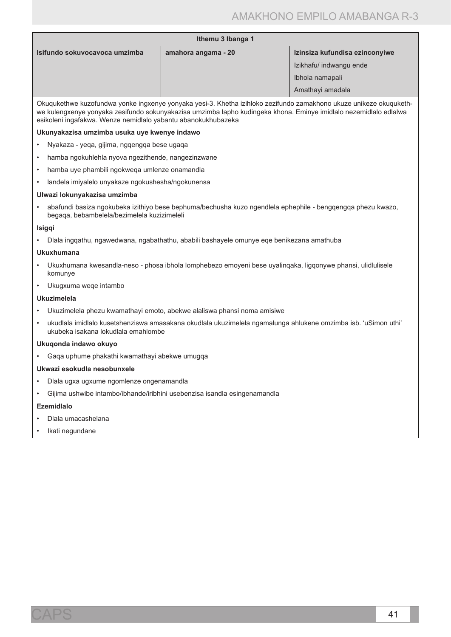| Ithemu 3 Ibanga 1             |                     |                                |
|-------------------------------|---------------------|--------------------------------|
| Isifundo sokuvocavoca umzimba | amahora angama - 20 | Izinsiza kufundisa ezinconyiwe |
|                               |                     | Izikhafu/ indwangu ende        |
|                               |                     | Ibhola namapali                |
|                               |                     | Amathayi amadala               |

Okuqukethwe kuzofundwa yonke ingxenye yonyaka yesi-3. Khetha izihloko zezifundo zamakhono ukuze unikeze okuqukethwe kulengxenye yonyaka zesifundo sokunyakazisa umzimba lapho kudingeka khona. Eminye imidlalo nezemidlalo edlalwa esikoleni ingafakwa. Wenze nemidlalo yabantu abanokukhubazeka

#### **Ukunyakazisa umzimba usuka uye kwenye indawo**

- Nyakaza yeqa, gijima, ngqengqa bese ugaqa
- hamba ngokuhlehla nyova ngezithende, nangezinzwane
- hamba uye phambili ngokweqa umlenze onamandla
- landela imiyalelo unyakaze ngokushesha/ngokunensa

#### **Ulwazi lokunyakazisa umzimba**

• abafundi basiza ngokubeka izithiyo bese bephuma/bechusha kuzo ngendlela ephephile - bengqengqa phezu kwazo, begaqa, bebambelela/bezimelela kuzizimeleli

#### **Isigqi**

Dlala ingqathu, ngawedwana, ngabathathu, ababili bashayele omunye eqe benikezana amathuba

## **Ukuxhumana**

- Ukuxhumana kwesandla-neso phosa ibhola lomphebezo emoyeni bese uyalingaka, liggonywe phansi, ulidlulisele komunye
- • Ukugxuma weqe intambo

#### **Ukuzimelela**

- • Ukuzimelela phezu kwamathayi emoto, abekwe alaliswa phansi noma amisiwe
- • ukudlala imidlalo kusetshenziswa amasakana okudlala ukuzimelela ngamalunga ahlukene omzimba isb. 'uSimon uthi' ukubeka isakana lokudlala emahlombe

#### **Ukuqonda indawo okuyo**

Gaqa uphume phakathi kwamathayi abekwe umugqa

## **Ukwazi esokudla nesobunxele**

- Dlala ugxa ugxume ngomlenze ongenamandla
- Gijima ushwibe intambo/ibhande/iribhini usebenzisa isandla esingenamandla

- Dlala umacashelana
- Ikati negundane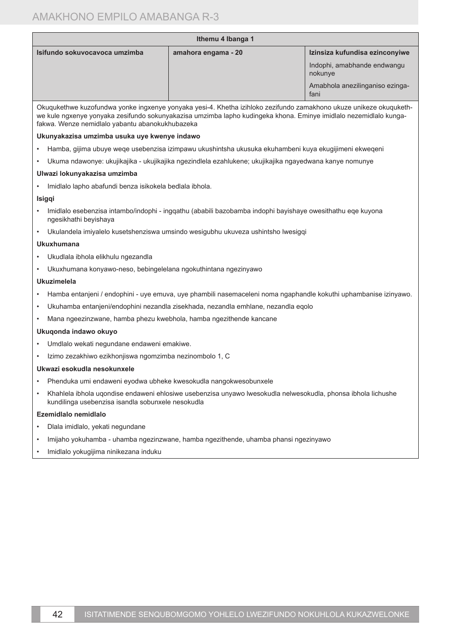| Ithemu 4 Ibanga 1             |                     |                                         |  |
|-------------------------------|---------------------|-----------------------------------------|--|
| Isifundo sokuvocavoca umzimba | amahora engama - 20 | Izinsiza kufundisa ezinconyiwe          |  |
|                               |                     | Indophi, amabhande endwangu<br>nokunye  |  |
|                               |                     | Amabhola anezilinganiso ezinga-<br>fani |  |

Okuqukethwe kuzofundwa yonke ingxenye yonyaka yesi-4. Khetha izihloko zezifundo zamakhono ukuze unikeze okuqukethwe kule ngxenye yonyaka zesifundo sokunyakazisa umzimba lapho kudingeka khona. Eminye imidlalo nezemidlalo kungafakwa. Wenze nemidlalo yabantu abanokukhubazeka

#### **Ukunyakazisa umzimba usuka uye kwenye indawo**

- Hamba, gijima ubuye weqe usebenzisa izimpawu ukushintsha ukusuka ekuhambeni kuya ekugijimeni ekweqeni
- Ukuma ndawonye: ukujikajika ukujikajika ngezindlela ezahlukene; ukujikajika ngayedwana kanye nomunye

#### **Ulwazi lokunyakazisa umzimba**

Imidlalo lapho abafundi benza isikokela bedlala ibhola.

#### **Isigqi**

- Imidlalo esebenzisa intambo/indophi ingqathu (ababili bazobamba indophi bayishaye owesithathu eqe kuyona ngesikhathi beyishaya
- Ukulandela imiyalelo kusetshenziswa umsindo wesigubhu ukuveza ushintsho lwesigqi

## **Ukuxhumana**

- Ukudlala ibhola elikhulu ngezandla
- Ukuxhumana konyawo-neso, bebingelelana ngokuthintana ngezinyawo

#### **Ukuzimelela**

- • Hamba entanjeni / endophini uye emuva, uye phambili nasemaceleni noma ngaphandle kokuthi uphambanise izinyawo.
- Ukuhamba entanjeni/endophini nezandla zisekhada, nezandla emhlane, nezandla eqolo
- Mana ngeezinzwane, hamba phezu kwebhola, hamba ngezithende kancane

## **Ukuqonda indawo okuyo**

- Umdlalo wekati negundane endaweni emakiwe.
- Izimo zezakhiwo ezikhonjiswa ngomzimba nezinombolo 1, C

## **Ukwazi esokudla nesokunxele**

- Phenduka umi endaweni eyodwa ubheke kwesokudla nangokwesobunxele
- Khahlela ibhola uqondise endaweni ehlosiwe usebenzisa unyawo lwesokudla nelwesokudla, phonsa ibhola lichushe kundilinga usebenzisa isandla sobunxele nesokudla

## **Ezemidlalo nemidlalo**

- Dlala imidlalo, yekati negundane
- Imijaho yokuhamba uhamba ngezinzwane, hamba ngezithende, uhamba phansi ngezinyawo
- Imidlalo yokugijima ninikezana induku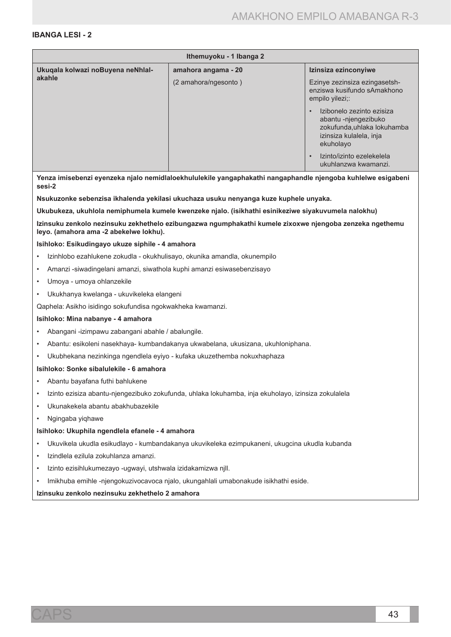# **IBANGA LESI - 2**

| Ithemuyoku - 1 Ibanga 2           |                      |                                                                                                                                                                                                     |  |
|-----------------------------------|----------------------|-----------------------------------------------------------------------------------------------------------------------------------------------------------------------------------------------------|--|
| Ukuqala kolwazi noBuyena neNhlal- | amahora angama - 20  | Izinsiza ezinconyiwe                                                                                                                                                                                |  |
| akahle                            | (2 amahora/ngesonto) | Ezinye zezinsiza ezingasetsh-<br>enziswa kusifundo sAmakhono<br>empilo yilezi;:<br>Izibonelo zezinto ezisiza<br>٠<br>abantu -njengezibuko<br>zokufunda, uhlaka lokuhamba<br>izinsiza kulalela, inja |  |
|                                   |                      | ekuholayo                                                                                                                                                                                           |  |
|                                   |                      | Izinto/izinto ezelekelela<br>$\bullet$<br>ukuhlanzwa kwamanzi.                                                                                                                                      |  |

**Yenza imisebenzi eyenzeka njalo nemidlaloekhululekile yangaphakathi nangaphandle njengoba kuhlelwe esigabeni sesi-2**

**Nsukuzonke sebenzisa ikhalenda yekilasi ukuchaza usuku nenyanga kuze kuphele unyaka.**

**Ukubukeza, ukuhlola nemiphumela kumele kwenzeke njalo. (isikhathi esinikeziwe siyakuvumela nalokhu)** 

**Izinsuku zenkolo nezinsuku zekhethelo ezibungazwa ngumphakathi kumele zixoxwe njengoba zenzeka ngethemu leyo. (amahora ama -2 abekelwe lokhu).** 

#### **Isihloko: Esikudingayo ukuze siphile - 4 amahora**

- Izinhlobo ezahlukene zokudla okukhulisayo, okunika amandla, okunempilo
- • Amanzi -siwadingelani amanzi, siwathola kuphi amanzi esiwasebenzisayo
- • Umoya umoya ohlanzekile
- • Ukukhanya kwelanga ukuvikeleka elangeni

Qaphela: Asikho isidingo sokufundisa ngokwakheka kwamanzi.

#### **Isihloko: Mina nabanye - 4 amahora**

- Abangani -izimpawu zabangani abahle / abalungile.
- Abantu: esikoleni nasekhaya- kumbandakanya ukwabelana, ukusizana, ukuhloniphana.
- Ukubhekana nezinkinga ngendlela eyiyo kufaka ukuzethemba nokuxhaphaza

#### **Isihloko: Sonke sibalulekile - 6 amahora**

- Abantu bayafana futhi bahlukene
- Izinto ezisiza abantu-njengezibuko zokufunda, uhlaka lokuhamba, inja ekuholayo, izinsiza zokulalela
- Ukunakekela abantu abakhubazekile
- • Ngingaba yiqhawe

## **Isihloko: Ukuphila ngendlela efanele - 4 amahora**

- Ukuvikela ukudla esikudlayo kumbandakanya ukuvikeleka ezimpukaneni, ukugcina ukudla kubanda
- • Izindlela ezilula zokuhlanza amanzi.
- • Izinto ezisihlukumezayo -ugwayi, utshwala izidakamizwa njll.
- Imikhuba emihle -njengokuzivocavoca njalo, ukungahlali umabonakude isikhathi eside.

**Izinsuku zenkolo nezinsuku zekhethelo 2 amahora**

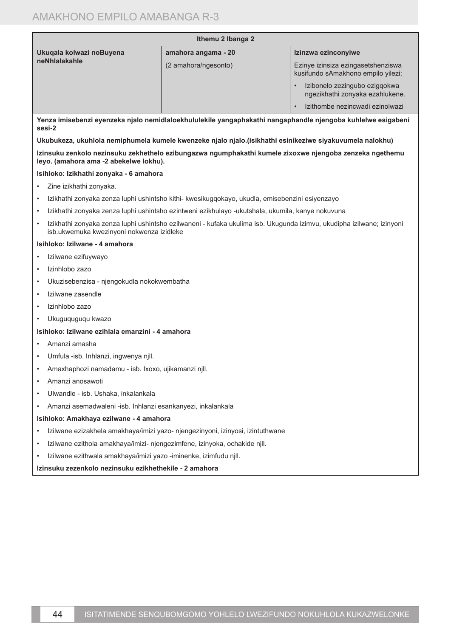| Ithemu 2 Ibanga 2        |                      |                                                                          |
|--------------------------|----------------------|--------------------------------------------------------------------------|
| Ukuqala kolwazi noBuyena | amahora angama - 20  | Izinzwa ezinconyiwe                                                      |
| neNhlalakahle            | (2 amahora/ngesonto) | Ezinye izinsiza ezingasetshenziswa<br>kusifundo sAmakhono empilo yilezi; |
|                          |                      | Izibonelo zezingubo ezigqokwa<br>ngezikhathi zonyaka ezahlukene.         |
|                          |                      | Izithombe nezincwadi ezinolwazi                                          |

**Yenza imisebenzi eyenzeka njalo nemidlaloekhululekile yangaphakathi nangaphandle njengoba kuhlelwe esigabeni sesi-2**

#### **Ukubukeza, ukuhlola nemiphumela kumele kwenzeke njalo njalo.(isikhathi esinikeziwe siyakuvumela nalokhu)**

**Izinsuku zenkolo nezinsuku zekhethelo ezibungazwa ngumphakathi kumele zixoxwe njengoba zenzeka ngethemu leyo. (amahora ama -2 abekelwe lokhu).** 

#### **Isihloko: Izikhathi zonyaka - 6 amahora**

- Zine izikhathi zonyaka.
- Izikhathi zonyaka zenza luphi ushintsho kithi- kwesikugqokayo, ukudla, emisebenzini esiyenzayo
- Izikhathi zonyaka zenza luphi ushintsho ezintweni ezikhulayo -ukutshala, ukumila, kanye nokuvuna
- Izikhathi zonyaka zenza luphi ushintsho ezilwaneni kufaka ukulima isb. Ukugunda izimvu, ukudipha izilwane; izinvoni isb.ukwemuka kwezinyoni nokwenza izidleke

#### **Isihloko: Izilwane - 4 amahora**

- Izilwane ezifuywayo
- Izinhlobo zazo
- Ukuzisebenzisa njengokudla nokokwembatha
- • Izilwane zasendle
- • Izinhlobo zazo
- Ukuguquguqu kwazo

## **Isihloko: Izilwane ezihlala emanzini - 4 amahora**

- • Amanzi amasha
- Umfula -isb. Inhlanzi, ingwenya njll.
- Amaxhaphozi namadamu isb. Ixoxo, ujikamanzi njll.
- Amanzi anosawoti
- Ulwandle isb. Ushaka, inkalankala
- Amanzi asemadwaleni -isb. Inhlanzi esankanyezi, inkalankala

#### **Isihloko: Amakhaya ezilwane - 4 amahora**

- Izilwane ezizakhela amakhaya/imizi yazo- njengezinyoni, izinyosi, izintuthwane
- Izilwane ezithola amakhaya/imizi- njengezimfene, izinyoka, ochakide nill.
- Izilwane ezithwala amakhaya/imizi yazo -iminenke, izimfudu njll.

**Izinsuku zezenkolo nezinsuku ezikhethekile - 2 amahora**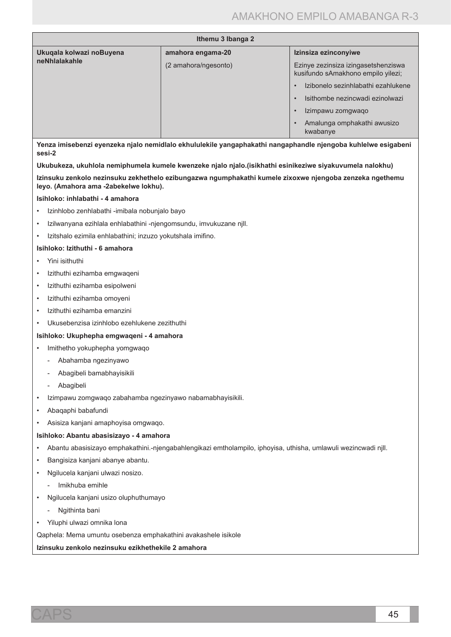| Ithemu 3 Ibanga 2                         |                      |                                                                           |  |
|-------------------------------------------|----------------------|---------------------------------------------------------------------------|--|
| Ukugala kolwazi noBuyena<br>neNhlalakahle | amahora engama-20    | Izinsiza ezinconyiwe                                                      |  |
|                                           | (2 amahora/ngesonto) | Ezinye zezinsiza izingasetshenziswa<br>kusifundo sAmakhono empilo yilezi; |  |
|                                           |                      | Izibonelo sezinhlabathi ezahlukene                                        |  |
|                                           |                      | Isithombe nezincwadi ezinolwazi                                           |  |
|                                           |                      | Izimpawu zomgwago                                                         |  |
|                                           |                      | Amalunga omphakathi awusizo<br>$\bullet$<br>kwabanye                      |  |

**Yenza imisebenzi eyenzeka njalo nemidlalo ekhululekile yangaphakathi nangaphandle njengoba kuhlelwe esigabeni sesi-2**

**Ukubukeza, ukuhlola nemiphumela kumele kwenzeke njalo njalo.(isikhathi esinikeziwe siyakuvumela nalokhu)** 

**Izinsuku zenkolo nezinsuku zekhethelo ezibungazwa ngumphakathi kumele zixoxwe njengoba zenzeka ngethemu leyo. (Amahora ama -2abekelwe lokhu).** 

## **Isihloko: inhlabathi - 4 amahora**

- Izinhlobo zenhlabathi -imibala nobunjalo bayo
- Izilwanyana ezihlala enhlabathini -njengomsundu, imvukuzane njll.
- • Izitshalo ezimila enhlabathini; inzuzo yokutshala imifino.

#### **Isihloko: Izithuthi - 6 amahora**

- • Yini isithuthi
- • Izithuthi ezihamba emgwaqeni
- • Izithuthi ezihamba esipolweni
- • Izithuthi ezihamba omoyeni
- • Izithuthi ezihamba emanzini
- Ukusebenzisa izinhlobo ezehlukene zezithuthi

## **Isihloko: Ukuphepha emgwaqeni - 4 amahora**

- Imithetho yokuphepha yomgwaqo
	- Abahamba ngezinyawo
	- Abagibeli bamabhayisikili
	- Abagibeli
- Izimpawu zomgwaqo zabahamba ngezinyawo nabamabhayisikili.
- Abaqaphi babafundi
- • Asisiza kanjani amaphoyisa omgwaqo.

#### **Isihloko: Abantu abasisizayo - 4 amahora**

- • Abantu abasisizayo emphakathini.-njengabahlengikazi emtholampilo, iphoyisa, uthisha, umlawuli wezincwadi njll.
- Bangisiza kanjani abanye abantu.
- • Ngilucela kanjani ulwazi nosizo.
	- Imikhuba emihle
- Ngilucela kanjani usizo oluphuthumayo
	- Ngithinta bani
- • Yiluphi ulwazi omnika lona

Qaphela: Mema umuntu osebenza emphakathini avakashele isikole

# **Izinsuku zenkolo nezinsuku ezikhethekile 2 amahora**

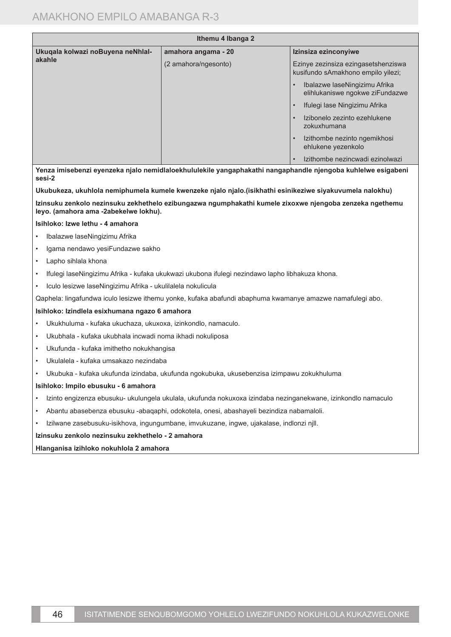| Ithemu 4 Ibanga 2                 |                      |                                                                               |  |
|-----------------------------------|----------------------|-------------------------------------------------------------------------------|--|
| Ukuqala kolwazi noBuyena neNhlal- | amahora angama - 20  | Izinsiza ezinconyiwe                                                          |  |
| akahle                            | (2 amahora/ngesonto) | Ezinye zezinsiza ezingasetshenziswa<br>kusifundo sAmakhono empilo vilezi;     |  |
|                                   |                      | Ibalazwe laseNingizimu Afrika<br>$\bullet$<br>elihlukaniswe ngokwe ziFundazwe |  |
|                                   |                      | Ifulegi lase Ningizimu Afrika                                                 |  |
|                                   |                      | Izibonelo zezinto ezehlukene<br>$\bullet$<br>zokuxhumana                      |  |
|                                   |                      | Izithombe nezinto ngemikhosi<br>$\bullet$<br>ehlukene yezenkolo               |  |
|                                   |                      | Izithombe nezincwadi ezinolwazi<br>$\bullet$                                  |  |

**Yenza imisebenzi eyenzeka njalo nemidlaloekhululekile yangaphakathi nangaphandle njengoba kuhlelwe esigabeni sesi-2**

**Ukubukeza, ukuhlola nemiphumela kumele kwenzeke njalo njalo.(isikhathi esinikeziwe siyakuvumela nalokhu)** 

**Izinsuku zenkolo nezinsuku zekhethelo ezibungazwa ngumphakathi kumele zixoxwe njengoba zenzeka ngethemu leyo. (amahora ama -2abekelwe lokhu).** 

**Isihloko: Izwe lethu - 4 amahora**

- Ibalazwe laseNingizimu Afrika
- Igama nendawo yesiFundazwe sakho
- • Lapho sihlala khona
- Ifulegi laseNingizimu Afrika kufaka ukukwazi ukubona ifulegi nezindawo lapho libhakuza khona.
- Iculo lesizwe laseNingizimu Afrika ukulilalela nokulicula

Qaphela: lingafundwa iculo lesizwe ithemu yonke, kufaka abafundi abaphuma kwamanye amazwe namafulegi abo.

#### **Isihloko: Izindlela esixhumana ngazo 6 amahora**

- Ukukhuluma kufaka ukuchaza, ukuxoxa, izinkondlo, namaculo.
- • Ukubhala kufaka ukubhala incwadi noma ikhadi nokuliposa
- Ukufunda kufaka imithetho nokukhangisa
- • Ukulalela kufaka umsakazo nezindaba
- Ukubuka kufaka ukufunda izindaba, ukufunda ngokubuka, ukusebenzisa izimpawu zokukhuluma

## **Isihloko: Impilo ebusuku - 6 amahora**

- Izinto engizenza ebusuku- ukulungela ukulala, ukufunda nokuxoxa izindaba nezinganekwane, izinkondlo namaculo
- Abantu abasebenza ebusuku -abaqaphi, odokotela, onesi, abashayeli bezindiza nabamaloli.
- Izilwane zasebusuku-isikhova, ingungumbane, imvukuzane, ingwe, ujakalase, indlonzi njll.

## **Izinsuku zenkolo nezinsuku zekhethelo - 2 amahora**

#### **Hlanganisa izihloko nokuhlola 2 amahora**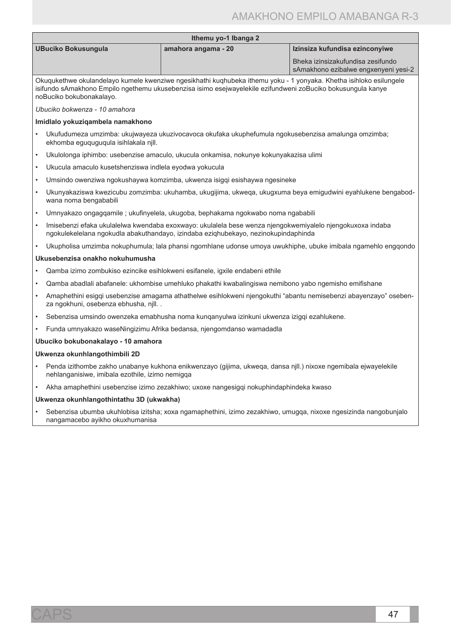|                                                   | Ithemu yo-1 Ibanga 2                                                                                                                                                                            |                                                                                                                                                                                                                                   |                                                                           |  |
|---------------------------------------------------|-------------------------------------------------------------------------------------------------------------------------------------------------------------------------------------------------|-----------------------------------------------------------------------------------------------------------------------------------------------------------------------------------------------------------------------------------|---------------------------------------------------------------------------|--|
| <b>UBuciko Bokusungula</b><br>amahora angama - 20 |                                                                                                                                                                                                 | Izinsiza kufundisa ezinconyiwe                                                                                                                                                                                                    |                                                                           |  |
|                                                   |                                                                                                                                                                                                 |                                                                                                                                                                                                                                   | Bheka izinsizakufundisa zesifundo<br>sAmakhono ezibalwe engxenyeni yesi-2 |  |
|                                                   | noBuciko bokubonakalayo.                                                                                                                                                                        | Okuqukethwe okulandelayo kumele kwenziwe ngesikhathi kuqhubeka ithemu yoku - 1 yonyaka. Khetha isihloko esilungele<br>isifundo sAmakhono Empilo ngethemu ukusebenzisa isimo esejwayelekile ezifundweni zoBuciko bokusungula kanye |                                                                           |  |
|                                                   | Ubuciko bokwenza - 10 amahora                                                                                                                                                                   |                                                                                                                                                                                                                                   |                                                                           |  |
|                                                   | Imidlalo yokuziqambela namakhono                                                                                                                                                                |                                                                                                                                                                                                                                   |                                                                           |  |
|                                                   | ekhomba eguquguqula isihlakala njll.                                                                                                                                                            | Ukufudumeza umzimba: ukujwayeza ukuzivocavoca okufaka ukuphefumula ngokusebenzisa amalunga omzimba;                                                                                                                               |                                                                           |  |
| $\bullet$                                         |                                                                                                                                                                                                 | Ukulolonga iphimbo: usebenzise amaculo, ukucula onkamisa, nokunye kokunyakazisa ulimi                                                                                                                                             |                                                                           |  |
| $\bullet$                                         | Ukucula amaculo kusetshenziswa indlela eyodwa yokucula                                                                                                                                          |                                                                                                                                                                                                                                   |                                                                           |  |
| $\bullet$                                         |                                                                                                                                                                                                 | Umsindo owenziwa ngokushaywa komzimba, ukwenza isigqi esishaywa ngesineke                                                                                                                                                         |                                                                           |  |
| $\bullet$                                         | wana noma bengababili                                                                                                                                                                           | Ukunyakaziswa kwezicubu zomzimba: ukuhamba, ukugijima, ukweqa, ukugxuma beya emigudwini eyahlukene bengabod-                                                                                                                      |                                                                           |  |
| $\bullet$                                         |                                                                                                                                                                                                 | Umnyakazo ongagqamile; ukufinyelela, ukugoba, bephakama ngokwabo noma ngababili                                                                                                                                                   |                                                                           |  |
| $\bullet$                                         | Imisebenzi efaka ukulalelwa kwendaba exoxwayo: ukulalela bese wenza njengokwemiyalelo njengokuxoxa indaba<br>ngokulekelelana ngokudla abakuthandayo, izindaba eziqhubekayo, nezinokupindaphinda |                                                                                                                                                                                                                                   |                                                                           |  |
| $\bullet$                                         | Ukupholisa umzimba nokuphumula; lala phansi ngomhlane udonse umoya uwukhiphe, ubuke imibala ngamehlo engqondo                                                                                   |                                                                                                                                                                                                                                   |                                                                           |  |
|                                                   | Ukusebenzisa onakho nokuhumusha                                                                                                                                                                 |                                                                                                                                                                                                                                   |                                                                           |  |
| ٠                                                 | Qamba izimo zombukiso ezincike esihlokweni esifanele, igxile endabeni ethile                                                                                                                    |                                                                                                                                                                                                                                   |                                                                           |  |
| $\bullet$                                         | Qamba abadlali abafanele: ukhombise umehluko phakathi kwabalingiswa nemibono yabo ngemisho emifishane                                                                                           |                                                                                                                                                                                                                                   |                                                                           |  |
| $\bullet$                                         | Amaphethini esigqi usebenzise amagama athathelwe esihlokweni njengokuthi "abantu nemisebenzi abayenzayo" oseben-<br>za ngokhuni, osebenza ebhusha, njll. .                                      |                                                                                                                                                                                                                                   |                                                                           |  |
| $\bullet$                                         |                                                                                                                                                                                                 | Sebenzisa umsindo owenzeka emabhusha noma kunganyulwa izinkuni ukwenza izigqi ezahlukene.                                                                                                                                         |                                                                           |  |
| ٠                                                 |                                                                                                                                                                                                 | Funda umnyakazo waseNingizimu Afrika bedansa, njengomdanso wamadadla                                                                                                                                                              |                                                                           |  |
|                                                   | Ubuciko bokubonakalayo - 10 amahora                                                                                                                                                             |                                                                                                                                                                                                                                   |                                                                           |  |
|                                                   | Ukwenza okunhlangothimbili 2D                                                                                                                                                                   |                                                                                                                                                                                                                                   |                                                                           |  |
|                                                   | Penda izithombe zakho unabanye kukhona enikwenzayo (gijima, ukweqa, dansa njll.) nixoxe ngemibala ejwayelekile<br>nehlanganisiwe, imibala ezothile, izimo nemigqa                               |                                                                                                                                                                                                                                   |                                                                           |  |
|                                                   |                                                                                                                                                                                                 | Akha amaphethini usebenzise izimo zezakhiwo; uxoxe nangesigqi nokuphindaphindeka kwaso                                                                                                                                            |                                                                           |  |
|                                                   | Ukwenza okunhlangothintathu 3D (ukwakha)                                                                                                                                                        |                                                                                                                                                                                                                                   |                                                                           |  |
|                                                   | Sebenzisa ubumba ukuhlobisa izitsha; xoxa ngamaphethini, izimo zezakhiwo, umugqa, nixoxe ngesizinda nangobunjalo<br>nangamacebo ayikho okuxhumanisa                                             |                                                                                                                                                                                                                                   |                                                                           |  |
|                                                   |                                                                                                                                                                                                 |                                                                                                                                                                                                                                   |                                                                           |  |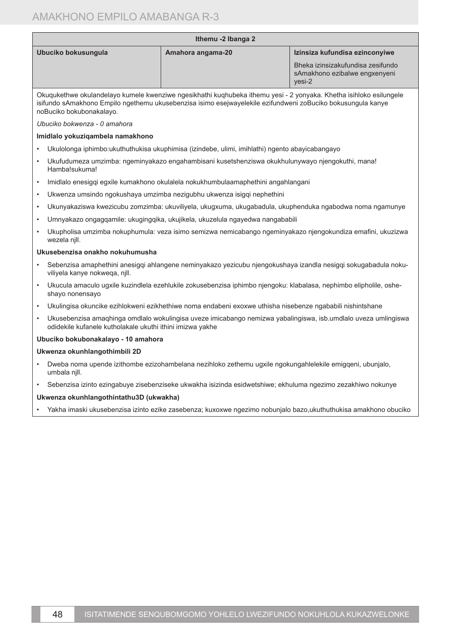|                                                                                                                 |                                                                                                                                                                             | Ithemu -2 Ibanga 2                                                                             |                                                                                                                                                                                                                                   |
|-----------------------------------------------------------------------------------------------------------------|-----------------------------------------------------------------------------------------------------------------------------------------------------------------------------|------------------------------------------------------------------------------------------------|-----------------------------------------------------------------------------------------------------------------------------------------------------------------------------------------------------------------------------------|
|                                                                                                                 | Ubuciko bokusungula                                                                                                                                                         | Amahora angama-20                                                                              | Izinsiza kufundisa ezinconyiwe                                                                                                                                                                                                    |
|                                                                                                                 |                                                                                                                                                                             |                                                                                                | Bheka izinsizakufundisa zesifundo<br>sAmakhono ezibalwe engxenyeni<br>yesi-2                                                                                                                                                      |
|                                                                                                                 | noBuciko bokubonakalayo.                                                                                                                                                    |                                                                                                | Okuqukethwe okulandelayo kumele kwenziwe ngesikhathi kuqhubeka ithemu yesi - 2 yonyaka. Khetha isihloko esilungele<br>isifundo sAmakhono Empilo ngethemu ukusebenzisa isimo esejwayelekile ezifundweni zoBuciko bokusungula kanye |
|                                                                                                                 | Ubuciko bokwenza - 0 amahora                                                                                                                                                |                                                                                                |                                                                                                                                                                                                                                   |
|                                                                                                                 | Imidlalo yokuziqambela namakhono                                                                                                                                            |                                                                                                |                                                                                                                                                                                                                                   |
| $\bullet$                                                                                                       |                                                                                                                                                                             | Ukulolonga iphimbo:ukuthuthukisa ukuphimisa (izindebe, ulimi, imihlathi) ngento abayicabangayo |                                                                                                                                                                                                                                   |
| $\bullet$                                                                                                       | Hamba!sukuma!                                                                                                                                                               |                                                                                                | Ukufudumeza umzimba: ngeminyakazo engahambisani kusetshenziswa okukhulunywayo njengokuthi, mana!                                                                                                                                  |
| $\bullet$                                                                                                       |                                                                                                                                                                             | Imidlalo enesigqi egxile kumakhono okulalela nokukhumbulaamaphethini angahlangani              |                                                                                                                                                                                                                                   |
| $\bullet$                                                                                                       |                                                                                                                                                                             | Ukwenza umsindo ngokushaya umzimba nezigubhu ukwenza isigqi nephethini                         |                                                                                                                                                                                                                                   |
| $\bullet$                                                                                                       | Ukunyakaziswa kwezicubu zomzimba: ukuviliyela, ukugxuma, ukugabadula, ukuphenduka ngabodwa noma ngamunye                                                                    |                                                                                                |                                                                                                                                                                                                                                   |
| $\bullet$                                                                                                       | Umnyakazo ongagqamile: ukugingqika, ukujikela, ukuzelula ngayedwa nangababili                                                                                               |                                                                                                |                                                                                                                                                                                                                                   |
|                                                                                                                 | Ukupholisa umzimba nokuphumula: veza isimo semizwa nemicabango ngeminyakazo njengokundiza emafini, ukuzizwa<br>wezela njll.                                                 |                                                                                                |                                                                                                                                                                                                                                   |
| Ukusebenzisa onakho nokuhumusha                                                                                 |                                                                                                                                                                             |                                                                                                |                                                                                                                                                                                                                                   |
|                                                                                                                 | Sebenzisa amaphethini anesigqi ahlangene neminyakazo yezicubu njengokushaya izandla nesigqi sokugabadula noku-<br>viliyela kanye nokweqa, njll.                             |                                                                                                |                                                                                                                                                                                                                                   |
| $\bullet$                                                                                                       | Ukucula amaculo ugxile kuzindlela ezehlukile zokusebenzisa iphimbo njengoku: klabalasa, nephimbo elipholile, oshe-<br>shayo nonensayo                                       |                                                                                                |                                                                                                                                                                                                                                   |
| $\bullet$                                                                                                       |                                                                                                                                                                             |                                                                                                | Ukulingisa okuncike ezihlokweni ezikhethiwe noma endabeni exoxwe uthisha nisebenze ngababili nishintshane                                                                                                                         |
| $\bullet$                                                                                                       | Ukusebenzisa amaghinga omdlalo wokulingisa uveze imicabango nemizwa yabalingiswa, isb.umdlalo uveza umlingiswa<br>odidekile kufanele kutholakale ukuthi ithini imizwa yakhe |                                                                                                |                                                                                                                                                                                                                                   |
| Ubuciko bokubonakalayo - 10 amahora                                                                             |                                                                                                                                                                             |                                                                                                |                                                                                                                                                                                                                                   |
| Ukwenza okunhlangothimbili 2D                                                                                   |                                                                                                                                                                             |                                                                                                |                                                                                                                                                                                                                                   |
|                                                                                                                 | umbala njll.                                                                                                                                                                |                                                                                                | Dweba noma upende izithombe ezizohambelana nezihloko zethemu ugxile ngokungahlelekile emigqeni, ubunjalo,                                                                                                                         |
| $\bullet$                                                                                                       |                                                                                                                                                                             |                                                                                                | Sebenzisa izinto ezingabuye zisebenziseke ukwakha isizinda esidwetshiwe; ekhuluma ngezimo zezakhiwo nokunye                                                                                                                       |
|                                                                                                                 | Ukwenza okunhlangothintathu3D (ukwakha)                                                                                                                                     |                                                                                                |                                                                                                                                                                                                                                   |
| Yakha imaski ukusebenzisa izinto ezike zasebenza; kuxoxwe ngezimo nobunjalo bazo,ukuthuthukisa amakhono obuciko |                                                                                                                                                                             |                                                                                                |                                                                                                                                                                                                                                   |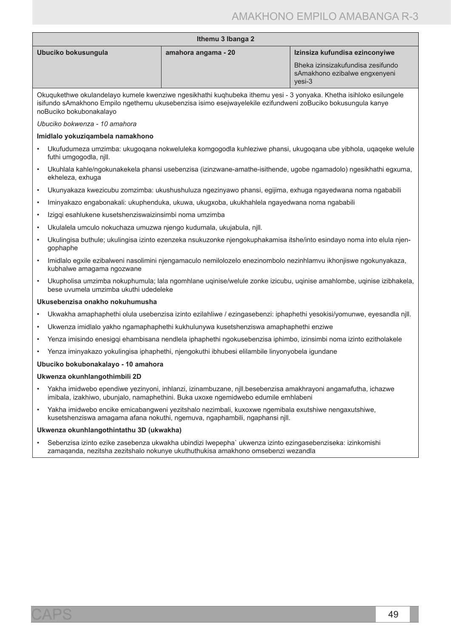|           | Ithemu 3 Ibanga 2                                                                                                                                            |                                                                                                                                                                                                                                   |                                                                              |  |
|-----------|--------------------------------------------------------------------------------------------------------------------------------------------------------------|-----------------------------------------------------------------------------------------------------------------------------------------------------------------------------------------------------------------------------------|------------------------------------------------------------------------------|--|
|           | Ubuciko bokusungula                                                                                                                                          | amahora angama - 20                                                                                                                                                                                                               | Izinsiza kufundisa ezinconyiwe                                               |  |
|           |                                                                                                                                                              |                                                                                                                                                                                                                                   | Bheka izinsizakufundisa zesifundo<br>sAmakhono ezibalwe engxenyeni<br>yesi-3 |  |
|           | noBuciko bokubonakalayo                                                                                                                                      | Okuqukethwe okulandelayo kumele kwenziwe ngesikhathi kuqhubeka ithemu yesi - 3 yonyaka. Khetha isihloko esilungele<br>isifundo sAmakhono Empilo ngethemu ukusebenzisa isimo esejwayelekile ezifundweni zoBuciko bokusungula kanye |                                                                              |  |
|           | Ubuciko bokwenza - 10 amahora                                                                                                                                |                                                                                                                                                                                                                                   |                                                                              |  |
|           | Imidlalo yokuziqambela namakhono                                                                                                                             |                                                                                                                                                                                                                                   |                                                                              |  |
|           | futhi umgogodla, njll.                                                                                                                                       | Ukufudumeza umzimba: ukugoqana nokweluleka komgogodla kuhleziwe phansi, ukugoqana ube yibhola, uqaqeke welule                                                                                                                     |                                                                              |  |
| $\bullet$ | ekheleza, exhuga                                                                                                                                             | Ukuhlala kahle/ngokunakekela phansi usebenzisa (izinzwane-amathe-isithende, ugobe ngamadolo) ngesikhathi egxuma,                                                                                                                  |                                                                              |  |
| $\bullet$ |                                                                                                                                                              | Ukunyakaza kwezicubu zomzimba: ukushushuluza ngezinyawo phansi, egijima, exhuga ngayedwana noma ngababili                                                                                                                         |                                                                              |  |
| $\bullet$ |                                                                                                                                                              | Iminyakazo engabonakali: ukuphenduka, ukuwa, ukugxoba, ukukhahlela ngayedwana noma ngababili                                                                                                                                      |                                                                              |  |
| $\bullet$ | Izigqi esahlukene kusetshenziswaizinsimbi noma umzimba                                                                                                       |                                                                                                                                                                                                                                   |                                                                              |  |
| $\bullet$ | Ukulalela umculo nokuchaza umuzwa njengo kudumala, ukujabula, njll.                                                                                          |                                                                                                                                                                                                                                   |                                                                              |  |
| $\bullet$ | gophaphe                                                                                                                                                     | Ukulingisa buthule; ukulingisa izinto ezenzeka nsukuzonke njengokuphakamisa itshe/into esindayo noma into elula njen-                                                                                                             |                                                                              |  |
| $\bullet$ | Imidlalo egxile ezibalweni nasolimini njengamaculo nemilolozelo enezinombolo nezinhlamvu ikhonjiswe ngokunyakaza,<br>kubhalwe amagama ngozwane               |                                                                                                                                                                                                                                   |                                                                              |  |
| $\bullet$ | Ukupholisa umzimba nokuphumula; lala ngomhlane uqinise/welule zonke izicubu, uqinise amahlombe, uqinise izibhakela,<br>bese uvumela umzimba ukuthi udedeleke |                                                                                                                                                                                                                                   |                                                                              |  |
|           | Ukusebenzisa onakho nokuhumusha                                                                                                                              |                                                                                                                                                                                                                                   |                                                                              |  |
| $\bullet$ | Ukwakha amaphaphethi olula usebenzisa izinto ezilahliwe / ezingasebenzi: iphaphethi yesokisi/yomunwe, eyesandla njll.                                        |                                                                                                                                                                                                                                   |                                                                              |  |
| $\bullet$ | Ukwenza imidlalo yakho ngamaphaphethi kukhulunywa kusetshenziswa amaphaphethi enziwe                                                                         |                                                                                                                                                                                                                                   |                                                                              |  |
|           | Yenza imisindo enesigqi ehambisana nendlela iphaphethi ngokusebenzisa iphimbo, izinsimbi noma izinto ezitholakele                                            |                                                                                                                                                                                                                                   |                                                                              |  |
| $\bullet$ | Yenza iminyakazo yokulingisa iphaphethi, njengokuthi ibhubesi elilambile linyonyobela igundane                                                               |                                                                                                                                                                                                                                   |                                                                              |  |
|           | Ubuciko bokubonakalayo - 10 amahora                                                                                                                          |                                                                                                                                                                                                                                   |                                                                              |  |
|           | Ukwenza okunhlangothimbili 2D                                                                                                                                |                                                                                                                                                                                                                                   |                                                                              |  |
|           |                                                                                                                                                              | Yakha imidwebo ependiwe yezinyoni, inhlanzi, izinambuzane, njll.besebenzisa amakhrayoni angamafutha, ichazwe<br>imibala, izakhiwo, ubunjalo, namaphethini. Buka uxoxe ngemidwebo edumile emhlabeni                                |                                                                              |  |
| $\bullet$ |                                                                                                                                                              | Yakha imidwebo encike emicabangweni yezitshalo nezimbali, kuxoxwe ngemibala exutshiwe nengaxutshiwe,<br>kusetshenziswa amagama afana nokuthi, ngemuva, ngaphambili, ngaphansi njll.                                               |                                                                              |  |
|           | Ukwenza okunhlangothintathu 3D (ukwakha)                                                                                                                     |                                                                                                                                                                                                                                   |                                                                              |  |
|           |                                                                                                                                                              | Sebenzisa izinto ezike zasebenza ukwakha ubindizi lwepepha` ukwenza izinto ezingasebenziseka: izinkomishi<br>zamaqanda, nezitsha zezitshalo nokunye ukuthuthukisa amakhono omsebenzi wezandla                                     |                                                                              |  |
|           |                                                                                                                                                              |                                                                                                                                                                                                                                   |                                                                              |  |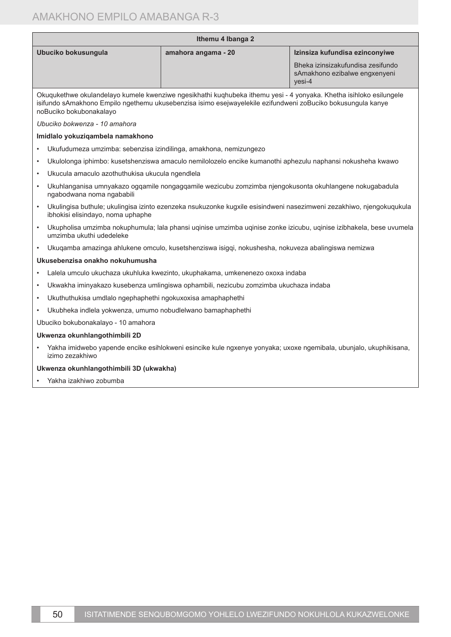| Ithemu 4 Ibanga 2                                                                                                                                                     |                                                                                                                                                                                                                                   |                                                                              |  |
|-----------------------------------------------------------------------------------------------------------------------------------------------------------------------|-----------------------------------------------------------------------------------------------------------------------------------------------------------------------------------------------------------------------------------|------------------------------------------------------------------------------|--|
| Ubuciko bokusungula                                                                                                                                                   | amahora angama - 20                                                                                                                                                                                                               | Izinsiza kufundisa ezinconyiwe                                               |  |
|                                                                                                                                                                       |                                                                                                                                                                                                                                   | Bheka izinsizakufundisa zesifundo<br>sAmakhono ezibalwe engxenyeni<br>yesi-4 |  |
| noBuciko bokubonakalayo                                                                                                                                               | Okuqukethwe okulandelayo kumele kwenziwe ngesikhathi kuqhubeka ithemu yesi - 4 yonyaka. Khetha isihloko esilungele<br>isifundo sAmakhono Empilo ngethemu ukusebenzisa isimo esejwayelekile ezifundweni zoBuciko bokusungula kanye |                                                                              |  |
| Ubuciko bokwenza - 10 amahora                                                                                                                                         |                                                                                                                                                                                                                                   |                                                                              |  |
| Imidlalo yokuziqambela namakhono                                                                                                                                      |                                                                                                                                                                                                                                   |                                                                              |  |
| Ukufudumeza umzimba: sebenzisa izindilinga, amakhona, nemizungezo                                                                                                     |                                                                                                                                                                                                                                   |                                                                              |  |
| $\bullet$                                                                                                                                                             | Ukulolonga iphimbo: kusetshenziswa amaculo nemilolozelo encike kumanothi aphezulu naphansi nokusheha kwawo                                                                                                                        |                                                                              |  |
| Ukucula amaculo azothuthukisa ukucula ngendlela<br>$\bullet$                                                                                                          |                                                                                                                                                                                                                                   |                                                                              |  |
| $\bullet$<br>ngabodwana noma ngababili                                                                                                                                | Ukuhlanganisa umnyakazo ogqamile nongagqamile wezicubu zomzimba njengokusonta okuhlangene nokugabadula                                                                                                                            |                                                                              |  |
| Ukulingisa buthule; ukulingisa izinto ezenzeka nsukuzonke kugxile esisindweni nasezimweni zezakhiwo, njengokuqukula<br>$\bullet$<br>ibhokisi elisindayo, noma uphaphe |                                                                                                                                                                                                                                   |                                                                              |  |
| Ukupholisa umzimba nokuphumula; lala phansi uqinise umzimba uqinise zonke izicubu, uqinise izibhakela, bese uvumela<br>$\bullet$<br>umzimba ukuthi udedeleke          |                                                                                                                                                                                                                                   |                                                                              |  |
| Ukuqamba amazinga ahlukene omculo, kusetshenziswa isigqi, nokushesha, nokuveza abalingiswa nemizwa<br>$\bullet$                                                       |                                                                                                                                                                                                                                   |                                                                              |  |
| Ukusebenzisa onakho nokuhumusha                                                                                                                                       |                                                                                                                                                                                                                                   |                                                                              |  |
| Lalela umculo ukuchaza ukuhluka kwezinto, ukuphakama, umkenenezo oxoxa indaba                                                                                         |                                                                                                                                                                                                                                   |                                                                              |  |
| Ukwakha iminyakazo kusebenza umlingiswa ophambili, nezicubu zomzimba ukuchaza indaba<br>$\bullet$                                                                     |                                                                                                                                                                                                                                   |                                                                              |  |
| Ukuthuthukisa umdlalo ngephaphethi ngokuxoxisa amaphaphethi<br>$\bullet$                                                                                              |                                                                                                                                                                                                                                   |                                                                              |  |
| Ukubheka indlela yokwenza, umumo nobudlelwano bamaphaphethi<br>$\bullet$                                                                                              |                                                                                                                                                                                                                                   |                                                                              |  |
| Ubuciko bokubonakalayo - 10 amahora                                                                                                                                   |                                                                                                                                                                                                                                   |                                                                              |  |
| Ukwenza okunhlangothimbili 2D                                                                                                                                         |                                                                                                                                                                                                                                   |                                                                              |  |
| Yakha imidwebo yapende encike esihlokweni esincike kule ngxenye yonyaka; uxoxe ngemibala, ubunjalo, ukuphikisana,<br>izimo zezakhiwo                                  |                                                                                                                                                                                                                                   |                                                                              |  |
| Ukwenza okunhlangothimbili 3D (ukwakha)                                                                                                                               |                                                                                                                                                                                                                                   |                                                                              |  |
| Yakha izakhiwo zobumba                                                                                                                                                |                                                                                                                                                                                                                                   |                                                                              |  |
|                                                                                                                                                                       |                                                                                                                                                                                                                                   |                                                                              |  |
|                                                                                                                                                                       |                                                                                                                                                                                                                                   |                                                                              |  |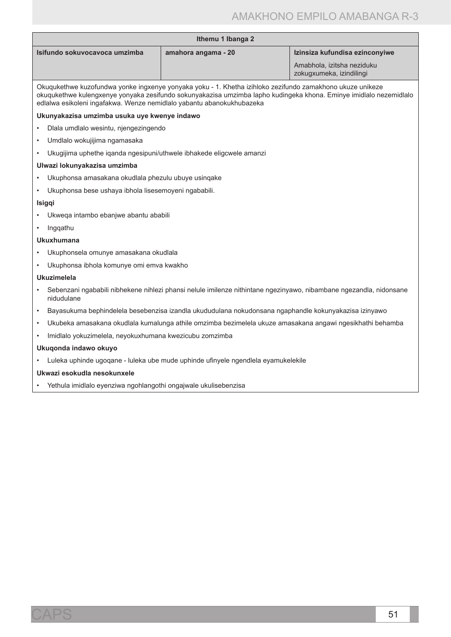| Ithemu 1 Ibanga 2                                                         |                                                                                                                                                                                                                                 |                                                        |  |
|---------------------------------------------------------------------------|---------------------------------------------------------------------------------------------------------------------------------------------------------------------------------------------------------------------------------|--------------------------------------------------------|--|
| Isifundo sokuvocavoca umzimba                                             | amahora angama - 20                                                                                                                                                                                                             | Izinsiza kufundisa ezinconyiwe                         |  |
|                                                                           |                                                                                                                                                                                                                                 | Amabhola, izitsha neziduku<br>zokugxumeka, izindilingi |  |
| edlalwa esikoleni ingafakwa. Wenze nemidlalo yabantu abanokukhubazeka     | Okuqukethwe kuzofundwa yonke ingxenye yonyaka yoku - 1. Khetha izihloko zezifundo zamakhono ukuze unikeze<br>okuqukethwe kulengxenye yonyaka zesifundo sokunyakazisa umzimba lapho kudingeka khona. Eminye imidlalo nezemidlalo |                                                        |  |
| Ukunyakazisa umzimba usuka uye kwenye indawo                              |                                                                                                                                                                                                                                 |                                                        |  |
| Dlala umdlalo wesintu, njengezingendo<br>٠                                |                                                                                                                                                                                                                                 |                                                        |  |
| Umdlalo wokujijima ngamasaka<br>$\bullet$                                 |                                                                                                                                                                                                                                 |                                                        |  |
| Ukugijima uphethe iqanda ngesipuni/uthwele ibhakede eligcwele amanzi<br>٠ |                                                                                                                                                                                                                                 |                                                        |  |
| Ulwazi lokunyakazisa umzimba                                              |                                                                                                                                                                                                                                 |                                                        |  |
| Ukuphonsa amasakana okudlala phezulu ubuye usinqake<br>$\bullet$          |                                                                                                                                                                                                                                 |                                                        |  |
| Ukuphonsa bese ushaya ibhola lisesemoyeni ngababili.<br>٠                 |                                                                                                                                                                                                                                 |                                                        |  |
| <b>Isigqi</b>                                                             |                                                                                                                                                                                                                                 |                                                        |  |
| Ukweqa intambo ebanjwe abantu ababili                                     |                                                                                                                                                                                                                                 |                                                        |  |
| Ingqathu                                                                  |                                                                                                                                                                                                                                 |                                                        |  |
| Ukuxhumana                                                                |                                                                                                                                                                                                                                 |                                                        |  |
| Ukuphonsela omunye amasakana okudlala<br>$\bullet$                        |                                                                                                                                                                                                                                 |                                                        |  |
| Ukuphonsa ibhola komunye omi emva kwakho<br>٠                             |                                                                                                                                                                                                                                 |                                                        |  |
| <b>Ukuzimelela</b>                                                        |                                                                                                                                                                                                                                 |                                                        |  |
| nidudulane                                                                | Sebenzani ngababili nibhekene nihlezi phansi nelule imilenze nithintane ngezinyawo, nibambane ngezandla, nidonsane                                                                                                              |                                                        |  |
| $\bullet$                                                                 | Bayasukuma bephindelela besebenzisa izandla ukududulana nokudonsana ngaphandle kokunyakazisa izinyawo                                                                                                                           |                                                        |  |
| $\bullet$                                                                 | Ukubeka amasakana okudlala kumalunga athile omzimba bezimelela ukuze amasakana angawi ngesikhathi behamba                                                                                                                       |                                                        |  |
| Imidlalo yokuzimelela, neyokuxhumana kwezicubu zomzimba<br>$\bullet$      |                                                                                                                                                                                                                                 |                                                        |  |
| Ukuqonda indawo okuyo                                                     |                                                                                                                                                                                                                                 |                                                        |  |
|                                                                           | Luleka uphinde ugogane - luleka ube mude uphinde ufinyele ngendlela eyamukelekile                                                                                                                                               |                                                        |  |
| Ukwazi esokudla nesokunxele                                               |                                                                                                                                                                                                                                 |                                                        |  |

• Yethula imidlalo eyenziwa ngohlangothi ongajwale ukulisebenzisa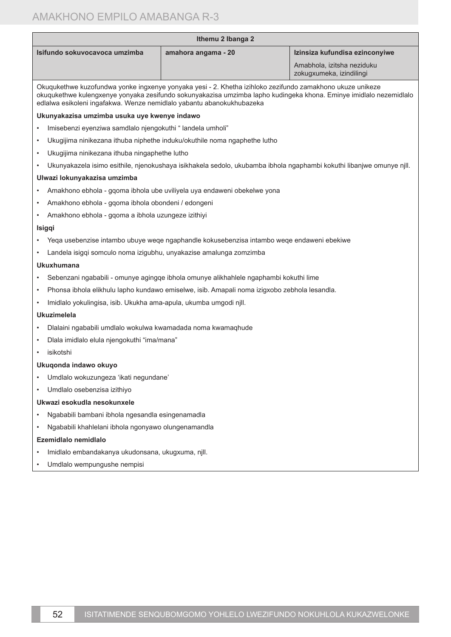# AMAKHONO EMPILO Amabanga R-3

| Ithemu 2 Ibanga 2                                                                                         |                                                                                                                      |                                                                                                                    |  |
|-----------------------------------------------------------------------------------------------------------|----------------------------------------------------------------------------------------------------------------------|--------------------------------------------------------------------------------------------------------------------|--|
| Isifundo sokuvocavoca umzimba                                                                             | amahora angama - 20                                                                                                  | Izinsiza kufundisa ezinconyiwe                                                                                     |  |
|                                                                                                           |                                                                                                                      | Amabhola, izitsha neziduku<br>zokugxumeka, izindilingi                                                             |  |
| edlalwa esikoleni ingafakwa. Wenze nemidlalo yabantu abanokukhubazeka                                     | Okuqukethwe kuzofundwa yonke ingxenye yonyaka yesi - 2. Khetha izihloko zezifundo zamakhono ukuze unikeze            | okuqukethwe kulengxenye yonyaka zesifundo sokunyakazisa umzimba lapho kudingeka khona. Eminye imidlalo nezemidlalo |  |
| Ukunyakazisa umzimba usuka uye kwenye indawo                                                              |                                                                                                                      |                                                                                                                    |  |
| Imisebenzi eyenziwa samdlalo njengokuthi " landela umholi"<br>$\bullet$                                   |                                                                                                                      |                                                                                                                    |  |
| ٠                                                                                                         | Ukugijima ninikezana ithuba niphethe induku/okuthile noma ngaphethe lutho                                            |                                                                                                                    |  |
| Ukugijima ninikezana ithuba ningaphethe lutho<br>٠                                                        |                                                                                                                      |                                                                                                                    |  |
| ٠                                                                                                         | Ukunyakazela isimo esithile, njenokushaya isikhakela sedolo, ukubamba ibhola ngaphambi kokuthi libanjwe omunye njll. |                                                                                                                    |  |
| Ulwazi lokunyakazisa umzimba                                                                              |                                                                                                                      |                                                                                                                    |  |
| ٠                                                                                                         | Amakhono ebhola - gqoma ibhola ube uviliyela uya endaweni obekelwe yona                                              |                                                                                                                    |  |
| Amakhono ebhola - gqoma ibhola obondeni / edongeni<br>$\bullet$                                           |                                                                                                                      |                                                                                                                    |  |
| Amakhono ebhola - gqoma a ibhola uzungeze izithiyi<br>٠                                                   |                                                                                                                      |                                                                                                                    |  |
| <b>Isigqi</b>                                                                                             |                                                                                                                      |                                                                                                                    |  |
| Yeqa usebenzise intambo ubuye weqe ngaphandle kokusebenzisa intambo weqe endaweni ebekiwe                 |                                                                                                                      |                                                                                                                    |  |
|                                                                                                           | Landela isigqi somculo noma izigubhu, unyakazise amalunga zomzimba                                                   |                                                                                                                    |  |
| <b>Ukuxhumana</b>                                                                                         |                                                                                                                      |                                                                                                                    |  |
| Sebenzani ngababili - omunye agingqe ibhola omunye alikhahlele ngaphambi kokuthi lime                     |                                                                                                                      |                                                                                                                    |  |
| Phonsa ibhola elikhulu lapho kundawo emiselwe, isib. Amapali noma izigxobo zebhola lesandla.<br>$\bullet$ |                                                                                                                      |                                                                                                                    |  |
| Imidlalo yokulingisa, isib. Ukukha ama-apula, ukumba umgodi njll.<br>$\bullet$                            |                                                                                                                      |                                                                                                                    |  |
| <b>Ukuzimelela</b>                                                                                        |                                                                                                                      |                                                                                                                    |  |
| Dlalaini ngababili umdlalo wokulwa kwamadada noma kwamaqhude<br>$\bullet$                                 |                                                                                                                      |                                                                                                                    |  |
| $\bullet$                                                                                                 | Dlala imidlalo elula njengokuthi "ima/mana"                                                                          |                                                                                                                    |  |
| isikotshi                                                                                                 |                                                                                                                      |                                                                                                                    |  |
| Ukuqonda indawo okuyo                                                                                     |                                                                                                                      |                                                                                                                    |  |
| Umdlalo wokuzungeza 'ikati negundane'<br>$\bullet$                                                        |                                                                                                                      |                                                                                                                    |  |
| Umdlalo osebenzisa izithiyo<br>$\bullet$                                                                  |                                                                                                                      |                                                                                                                    |  |
| Ukwazi esokudla nesokunxele                                                                               |                                                                                                                      |                                                                                                                    |  |
| Ngababili bambani ibhola ngesandla esingenamadla<br>$\bullet$                                             |                                                                                                                      |                                                                                                                    |  |
| Ngababili khahlelani ibhola ngonyawo olungenamandla<br>$\bullet$                                          |                                                                                                                      |                                                                                                                    |  |
| Ezemidlalo nemidlalo                                                                                      |                                                                                                                      |                                                                                                                    |  |
| Imidlalo embandakanya ukudonsana, ukugxuma, njll.<br>$\bullet$                                            |                                                                                                                      |                                                                                                                    |  |
| Umdlalo wempungushe nempisi<br>$\bullet$                                                                  |                                                                                                                      |                                                                                                                    |  |
|                                                                                                           |                                                                                                                      |                                                                                                                    |  |
|                                                                                                           |                                                                                                                      |                                                                                                                    |  |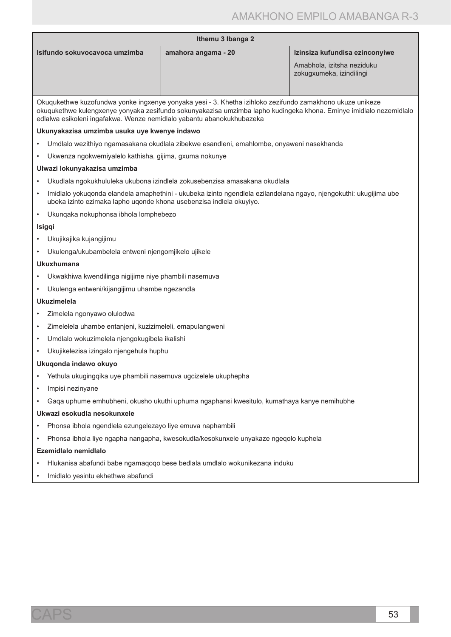| Ithemu 3 Ibanga 2 |                                                                       |                                                                                                                                                                                                                                 |                                                        |
|-------------------|-----------------------------------------------------------------------|---------------------------------------------------------------------------------------------------------------------------------------------------------------------------------------------------------------------------------|--------------------------------------------------------|
|                   | Isifundo sokuvocavoca umzimba                                         | amahora angama - 20                                                                                                                                                                                                             | Izinsiza kufundisa ezinconyiwe                         |
|                   |                                                                       |                                                                                                                                                                                                                                 | Amabhola, izitsha neziduku<br>zokugxumeka, izindilingi |
|                   |                                                                       |                                                                                                                                                                                                                                 |                                                        |
|                   | edlalwa esikoleni ingafakwa. Wenze nemidlalo yabantu abanokukhubazeka | Okuqukethwe kuzofundwa yonke ingxenye yonyaka yesi - 3. Khetha izihloko zezifundo zamakhono ukuze unikeze<br>okuqukethwe kulengxenye yonyaka zesifundo sokunyakazisa umzimba lapho kudingeka khona. Eminye imidlalo nezemidlalo |                                                        |
|                   | Ukunyakazisa umzimba usuka uye kwenye indawo                          |                                                                                                                                                                                                                                 |                                                        |
|                   |                                                                       | Umdlalo wezithiyo ngamasakana okudlala zibekwe esandleni, emahlombe, onyaweni nasekhanda                                                                                                                                        |                                                        |
| $\bullet$         | Ukwenza ngokwemiyalelo kathisha, gijima, gxuma nokunye                |                                                                                                                                                                                                                                 |                                                        |
|                   | Ulwazi lokunyakazisa umzimba                                          |                                                                                                                                                                                                                                 |                                                        |
| $\bullet$         |                                                                       | Ukudlala ngokukhululeka ukubona izindlela zokusebenzisa amasakana okudlala                                                                                                                                                      |                                                        |
| $\bullet$         | ubeka izinto ezimaka lapho ugonde khona usebenzisa indlela okuyiyo.   | Imidlalo yokuqonda elandela amaphethini - ukubeka izinto ngendlela ezilandelana ngayo, njengokuthi: ukugijima ube                                                                                                               |                                                        |
| $\bullet$         | Ukunqaka nokuphonsa ibhola lomphebezo                                 |                                                                                                                                                                                                                                 |                                                        |
|                   | <b>Isigqi</b>                                                         |                                                                                                                                                                                                                                 |                                                        |
|                   | Ukujikajika kujangijimu                                               |                                                                                                                                                                                                                                 |                                                        |
|                   | Ukulenga/ukubambelela entweni njengomjikelo ujikele                   |                                                                                                                                                                                                                                 |                                                        |
|                   | <b>Ukuxhumana</b>                                                     |                                                                                                                                                                                                                                 |                                                        |
|                   | Ukwakhiwa kwendilinga nigijime niye phambili nasemuva                 |                                                                                                                                                                                                                                 |                                                        |
| $\bullet$         | Ukulenga entweni/kijangijimu uhambe ngezandla                         |                                                                                                                                                                                                                                 |                                                        |
|                   | Ukuzimelela                                                           |                                                                                                                                                                                                                                 |                                                        |
| $\bullet$         | Zimelela ngonyawo olulodwa                                            |                                                                                                                                                                                                                                 |                                                        |
| $\bullet$         | Zimelelela uhambe entanjeni, kuzizimeleli, emapulangweni              |                                                                                                                                                                                                                                 |                                                        |
| $\bullet$         | Umdlalo wokuzimelela njengokugibela ikalishi                          |                                                                                                                                                                                                                                 |                                                        |
|                   | Ukujikelezisa izingalo njengehula huphu                               |                                                                                                                                                                                                                                 |                                                        |
|                   | Ukuqonda indawo okuyo                                                 |                                                                                                                                                                                                                                 |                                                        |
|                   | Yethula ukugingqika uye phambili nasemuva ugcizelele ukuphepha        |                                                                                                                                                                                                                                 |                                                        |
|                   | Impisi nezinyane                                                      |                                                                                                                                                                                                                                 |                                                        |
| ٠                 |                                                                       | Gaqa uphume emhubheni, okusho ukuthi uphuma ngaphansi kwesitulo, kumathaya kanye nemihubhe                                                                                                                                      |                                                        |
|                   | Ukwazi esokudla nesokunxele                                           |                                                                                                                                                                                                                                 |                                                        |
| ٠                 | Phonsa ibhola ngendlela ezungelezayo liye emuva naphambili            |                                                                                                                                                                                                                                 |                                                        |
| $\bullet$         |                                                                       | Phonsa ibhola liye ngapha nangapha, kwesokudla/kesokunxele unyakaze ngeqolo kuphela                                                                                                                                             |                                                        |
|                   | Ezemidlalo nemidlalo                                                  |                                                                                                                                                                                                                                 |                                                        |
|                   |                                                                       | Hlukanisa abafundi babe ngamaqoqo bese bedlala umdlalo wokunikezana induku                                                                                                                                                      |                                                        |
|                   | Imidlalo yesintu ekhethwe abafundi                                    |                                                                                                                                                                                                                                 |                                                        |
|                   |                                                                       |                                                                                                                                                                                                                                 |                                                        |
|                   |                                                                       |                                                                                                                                                                                                                                 |                                                        |
|                   |                                                                       |                                                                                                                                                                                                                                 |                                                        |
|                   |                                                                       |                                                                                                                                                                                                                                 |                                                        |
|                   |                                                                       |                                                                                                                                                                                                                                 |                                                        |
|                   |                                                                       |                                                                                                                                                                                                                                 |                                                        |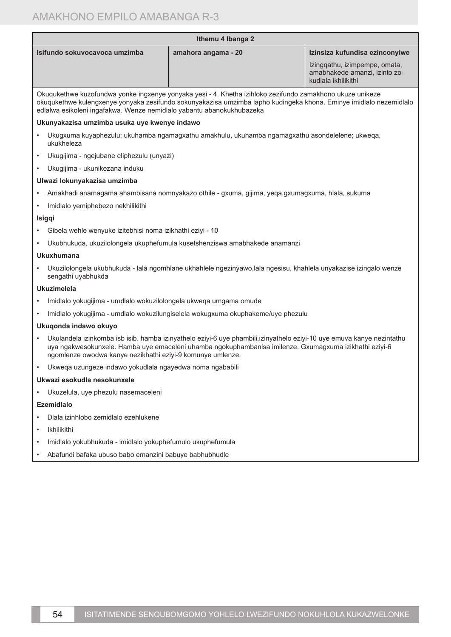| Ithemu 4 Ibanga 2                                                                                    |                                                                                                                                                                                                                                 |                                                                                       |  |
|------------------------------------------------------------------------------------------------------|---------------------------------------------------------------------------------------------------------------------------------------------------------------------------------------------------------------------------------|---------------------------------------------------------------------------------------|--|
| Isifundo sokuvocavoca umzimba                                                                        | amahora angama - 20                                                                                                                                                                                                             | Izinsiza kufundisa ezinconyiwe                                                        |  |
|                                                                                                      |                                                                                                                                                                                                                                 | Izingqathu, izimpempe, omata,<br>amabhakede amanzi, izinto zo-<br>kudlala ikhilikithi |  |
| edlalwa esikoleni ingafakwa. Wenze nemidlalo yabantu abanokukhubazeka                                | Okugukethwe kuzofundwa yonke ingxenye yonyaka yesi - 4. Khetha izihloko zezifundo zamakhono ukuze unikeze<br>okuqukethwe kulengxenye yonyaka zesifundo sokunyakazisa umzimba lapho kudingeka khona. Eminye imidlalo nezemidlalo |                                                                                       |  |
| Ukunyakazisa umzimba usuka uye kwenye indawo                                                         |                                                                                                                                                                                                                                 |                                                                                       |  |
| $\bullet$<br>ukukheleza                                                                              | Ukugxuma kuyaphezulu; ukuhamba ngamagxathu amakhulu, ukuhamba ngamagxathu asondelelene; ukweqa,                                                                                                                                 |                                                                                       |  |
| Ukugijima - ngejubane eliphezulu (unyazi)<br>$\bullet$                                               |                                                                                                                                                                                                                                 |                                                                                       |  |
| Ukugijima - ukunikezana induku<br>$\bullet$                                                          |                                                                                                                                                                                                                                 |                                                                                       |  |
| Ulwazi lokunyakazisa umzimba                                                                         |                                                                                                                                                                                                                                 |                                                                                       |  |
| Amakhadi anamagama ahambisana nomnyakazo othile - gxuma, gijima, yeqa,gxumagxuma, hlala, sukuma<br>٠ |                                                                                                                                                                                                                                 |                                                                                       |  |
| Imidlalo yemiphebezo nekhilikithi<br>$\bullet$                                                       |                                                                                                                                                                                                                                 |                                                                                       |  |
| <b>Isigqi</b>                                                                                        |                                                                                                                                                                                                                                 |                                                                                       |  |
| Gibela wehle wenyuke izitebhisi noma izikhathi eziyi - 10<br>$\bullet$                               |                                                                                                                                                                                                                                 |                                                                                       |  |
| Ukubhukuda, ukuzilolongela ukuphefumula kusetshenziswa amabhakede anamanzi<br>$\bullet$              |                                                                                                                                                                                                                                 |                                                                                       |  |
| Ukuxhumana                                                                                           |                                                                                                                                                                                                                                 |                                                                                       |  |
| $\bullet$<br>sengathi uyabhukda                                                                      | Ukuzilolongela ukubhukuda - lala ngomhlane ukhahlele ngezinyawo,lala ngesisu, khahlela unyakazise izingalo wenze                                                                                                                |                                                                                       |  |
| <b>Ukuzimelela</b>                                                                                   |                                                                                                                                                                                                                                 |                                                                                       |  |
| Imidlalo yokugijima - umdlalo wokuzilolongela ukweqa umgama omude<br>$\bullet$                       |                                                                                                                                                                                                                                 |                                                                                       |  |
| Imidlalo yokugijima - umdlalo wokuzilungiselela wokugxuma okuphakeme/uye phezulu<br>٠                |                                                                                                                                                                                                                                 |                                                                                       |  |

## **Ukuqonda indawo okuyo**

- • Ukulandela izinkomba isb isib. hamba izinyathelo eziyi-6 uye phambili,izinyathelo eziyi-10 uye emuva kanye nezintathu uya ngakwesokunxele. Hamba uye emaceleni uhamba ngokuphambanisa imilenze. Gxumagxuma izikhathi eziyi-6 ngomlenze owodwa kanye nezikhathi eziyi-9 komunye umlenze.
- • Ukweqa uzungeze indawo yokudlala ngayedwa noma ngababili

#### **Ukwazi esokudla nesokunxele**

• Ukuzelula, uye phezulu nasemaceleni

- • Dlala izinhlobo zemidlalo ezehlukene
- • Ikhilikithi
- • Imidlalo yokubhukuda imidlalo yokuphefumulo ukuphefumula
- Abafundi bafaka ubuso babo emanzini babuye babhubhudle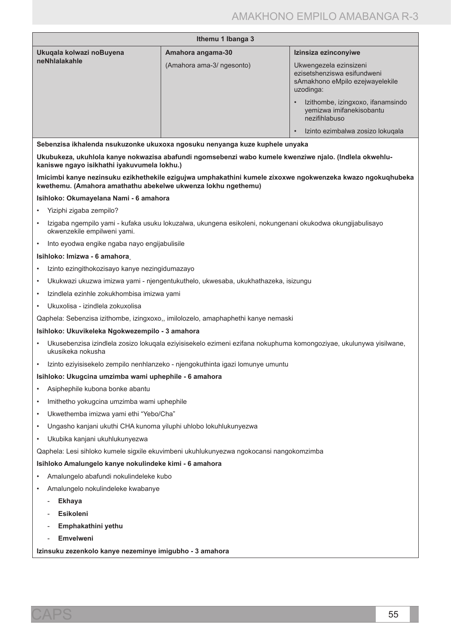| Ithemu 1 Ibanga 3                         |                                                |                                                                                                                                                                                 |  |
|-------------------------------------------|------------------------------------------------|---------------------------------------------------------------------------------------------------------------------------------------------------------------------------------|--|
| Ukugala kolwazi noBuyena<br>neNhlalakahle | Amahora angama-30<br>(Amahora ama-3/ ngesonto) | Izinsiza ezinconyiwe<br>Ukwengezela ezinsizeni<br>ezisetshenziswa esifundweni<br>sAmakhono eMpilo ezejwayelekile<br>uzodinga:<br>Izithombe, izingxoxo, ifanamsindo<br>$\bullet$ |  |
|                                           |                                                | yemizwa imifanekisobantu<br>nezifihlabuso<br>Izinto ezimbalwa zosizo lokuqala<br>$\bullet$                                                                                      |  |

**Sebenzisa ikhalenda nsukuzonke ukuxoxa ngosuku nenyanga kuze kuphele unyaka** 

**Ukubukeza, ukuhlola kanye nokwazisa abafundi ngomsebenzi wabo kumele kwenziwe njalo. (Indlela okwehlukaniswe ngayo isikhathi iyakuvumela lokhu.)**

**Imicimbi kanye nezinsuku ezikhethekile ezigujwa umphakathini kumele zixoxwe ngokwenzeka kwazo ngokuqhubeka kwethemu. (Amahora amathathu abekelwe ukwenza lokhu ngethemu)**

#### **Isihloko: Okumayelana Nami - 6 amahora**

- Yiziphi zigaba zempilo?
- Izigaba ngempilo yami kufaka usuku lokuzalwa, ukungena esikoleni, nokungenani okukodwa okungijabulisayo okwenzekile empilweni yami.
- Into eyodwa engike ngaba nayo engijabulisile

#### **Isihloko: Imizwa - 6 amahora**

- Izinto ezingithokozisayo kanye nezingidumazayo
- Ukukwazi ukuzwa imizwa yami njengentukuthelo, ukwesaba, ukukhathazeka, isizungu
- • Izindlela ezinhle zokukhombisa imizwa yami
- Ukuxolisa izindlela zokuxolisa

Qaphela: Sebenzisa izithombe, izingxoxo,, imilolozelo, amaphaphethi kanye nemaski

#### **Isihloko: Ukuvikeleka Ngokwezempilo - 3 amahora**

- Ukusebenzisa izindlela zosizo lokuqala eziyisisekelo ezimeni ezifana nokuphuma komongoziyae, ukulunywa yisilwane, ukusikeka nokusha
- Izinto eziyisisekelo zempilo nenhlanzeko njengokuthinta igazi lomunye umuntu

#### **Isihloko: Ukugcina umzimba wami uphephile - 6 amahora**

- Asiphephile kubona bonke abantu
- Imithetho yokugcina umzimba wami uphephile
- • Ukwethemba imizwa yami ethi "Yebo/Cha"
- Ungasho kanjani ukuthi CHA kunoma yiluphi uhlobo lokuhlukunyezwa
- • Ukubika kanjani ukuhlukunyezwa

Qaphela: Lesi sihloko kumele sigxile ekuvimbeni ukuhlukunyezwa ngokocansi nangokomzimba

#### **Isihloko Amalungelo kanye nokulindeke kimi - 6 amahora**

- Amalungelo abafundi nokulindeleke kubo
- Amalungelo nokulindeleke kwabanye
	- **Ekhaya**
	- **Esikoleni**
	- **Emphakathini yethu**
	- **Emvelweni**

**Izinsuku zezenkolo kanye nezeminye imigubho - 3 amahora** 

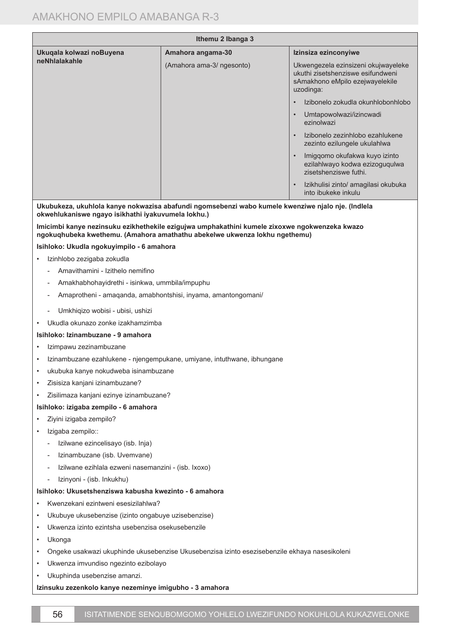| Ithemu 2 Ibanga 3                                                                                                                                                           |                           |                                                                                                                          |
|-----------------------------------------------------------------------------------------------------------------------------------------------------------------------------|---------------------------|--------------------------------------------------------------------------------------------------------------------------|
| Ukuqala kolwazi noBuyena<br>neNhlalakahle                                                                                                                                   | Amahora angama-30         | Izinsiza ezinconyiwe                                                                                                     |
|                                                                                                                                                                             | (Amahora ama-3/ ngesonto) | Ukwengezela ezinsizeni okujwayeleke<br>ukuthi zisetshenziswe esifundweni<br>sAmakhono eMpilo ezejwayelekile<br>uzodinga: |
|                                                                                                                                                                             |                           | Izibonelo zokudla okunhlobonhlobo<br>$\bullet$                                                                           |
|                                                                                                                                                                             |                           | Umtapowolwazi/izincwadi<br>$\bullet$<br>ezinolwazi                                                                       |
|                                                                                                                                                                             |                           | Izibonelo zezinhlobo ezahlukene<br>$\bullet$<br>zezinto ezilungele ukulahlwa                                             |
|                                                                                                                                                                             |                           | Imigqomo okufakwa kuyo izinto<br>$\bullet$<br>ezilahlwayo kodwa ezizoguqulwa<br>zisetshenziswe futhi.                    |
|                                                                                                                                                                             |                           | Izikhulisi zinto/ amagilasi okubuka<br>$\bullet$<br>into ibukeke inkulu                                                  |
| Ukubukeza, ukuhlola kanye nokwazisa abafundi ngomsebenzi wabo kumele kwenziwe njalo nje. (Indlela<br>okwehlukaniswe ngayo isikhathi iyakuvumela lokhu.)                     |                           |                                                                                                                          |
| Imicimbi kanye nezinsuku ezikhethekile ezigujwa umphakathini kumele zixoxwe ngokwenzeka kwazo<br>ngokuqhubeka kwethemu. (Amahora amathathu abekelwe ukwenza lokhu ngethemu) |                           |                                                                                                                          |
| Isihloko: Ukudla ngokuyimpilo - 6 amahora                                                                                                                                   |                           |                                                                                                                          |
| Izinhlobo zezigaba zokudla                                                                                                                                                  |                           |                                                                                                                          |

- Amavithamini Izithelo nemifino
- Amakhabhohayidrethi isinkwa, ummbila/impuphu
- Amaprotheni amaqanda, amabhontshisi, inyama, amantongomani/
- Umkhiqizo wobisi ubisi, ushizi
- Ukudla okunazo zonke izakhamzimba

## **Isihloko: Izinambuzane - 9 amahora**

- • Izimpawu zezinambuzane
- Izinambuzane ezahlukene njengempukane, umiyane, intuthwane, ibhungane
- • ukubuka kanye nokudweba isinambuzane
- • Zisisiza kanjani izinambuzane?
- • Zisilimaza kanjani ezinye izinambuzane?

## **Isihloko: izigaba zempilo - 6 amahora**

- Ziyini izigaba zempilo?
- Izigaba zempilo::
	- Izilwane ezincelisayo (isb. Inja)
	- Izinambuzane (isb. Uvemvane)
	- Izilwane ezihlala ezweni nasemanzini (isb. Ixoxo)
	- Izinyoni (isb. Inkukhu)

## **Isihloko: Ukusetshenziswa kabusha kwezinto - 6 amahora**

- Kwenzekani ezintweni esesizilahlwa?
- • Ukubuye ukusebenzise (izinto ongabuye uzisebenzise)
- • Ukwenza izinto ezintsha usebenzisa osekusebenzile
- **Ukonga**
- • Ongeke usakwazi ukuphinde ukusebenzise Ukusebenzisa izinto esezisebenzile ekhaya nasesikoleni
- • Ukwenza imvundiso ngezinto ezibolayo
- • Ukuphinda usebenzise amanzi.

## **Izinsuku zezenkolo kanye nezeminye imigubho - 3 amahora**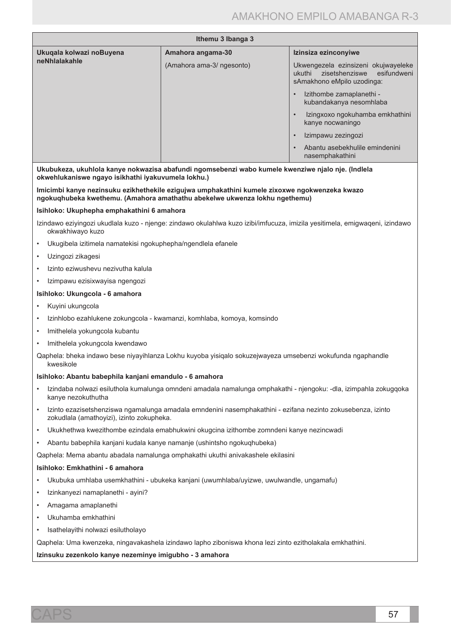| Ithemu 3 Ibanga 3        |                           |                                                                                                              |
|--------------------------|---------------------------|--------------------------------------------------------------------------------------------------------------|
| Ukugala kolwazi noBuyena | Amahora angama-30         | Izinsiza ezinconyiwe                                                                                         |
| neNhlalakahle            | (Amahora ama-3/ ngesonto) | Ukwengezela ezinsizeni okujwayeleke<br>zisetshenziswe<br>esifundweni<br>ukuthi<br>sAmakhono eMpilo uzodinga: |
|                          |                           | Izithombe zamaplanethi -<br>kubandakanya nesomhlaba                                                          |
|                          |                           | Izingxoxo ngokuhamba emkhathini<br>kanye nocwaningo                                                          |
|                          |                           | Izimpawu zezingozi                                                                                           |
|                          |                           | Abantu asebekhulile emindenini<br>nasemphakathini                                                            |

**Ukubukeza, ukuhlola kanye nokwazisa abafundi ngomsebenzi wabo kumele kwenziwe njalo nje. (Indlela okwehlukaniswe ngayo isikhathi iyakuvumela lokhu.)**

**Imicimbi kanye nezinsuku ezikhethekile ezigujwa umphakathini kumele zixoxwe ngokwenzeka kwazo ngokuqhubeka kwethemu. (Amahora amathathu abekelwe ukwenza lokhu ngethemu)**

#### **Isihloko: Ukuphepha emphakathini 6 amahora**

- Izindawo eziyingozi ukudlala kuzo njenge: zindawo okulahlwa kuzo izibi/imfucuza, imizila yesitimela, emigwaqeni, izindawo okwakhiwayo kuzo
- • Ukugibela izitimela namatekisi ngokuphepha/ngendlela efanele
- • Uzingozi zikagesi
- • Izinto eziwushevu nezivutha kalula
- Izimpawu ezisixwayisa ngengozi

## **Isihloko: Ukungcola - 6 amahora**

- Kuyini ukungcola
- Izinhlobo ezahlukene zokungcola kwamanzi, komhlaba, komoya, komsindo
- Imithelela yokungcola kubantu
- Imithelela yokungcola kwendawo
- Qaphela: bheka indawo bese niyayihlanza Lokhu kuyoba yisiqalo sokuzejwayeza umsebenzi wokufunda ngaphandle kwesikole

#### **Isihloko: Abantu babephila kanjani emandulo - 6 amahora**

- Izindaba nolwazi esiluthola kumalunga omndeni amadala namalunga omphakathi njengoku: -dla, izimpahla zokugqoka kanye nezokuthutha
- Izinto ezazisetshenziswa ngamalunga amadala emndenini nasemphakathini ezifana nezinto zokusebenza, izinto zokudlala (amathoyizi), izinto zokupheka.
- • Ukukhethwa kwezithombe ezindala emabhukwini okugcina izithombe zomndeni kanye nezincwadi
- Abantu babephila kanjani kudala kanye namanje (ushintsho ngokuqhubeka)

Qaphela: Mema abantu abadala namalunga omphakathi ukuthi anivakashele ekilasini

#### **Isihloko: Emkhathini - 6 amahora**

- Ukubuka umhlaba usemkhathini ubukeka kanjani (uwumhlaba/uyizwe, uwulwandle, ungamafu)
- Izinkanyezi namaplanethi ayini?
- Amagama amaplanethi
- Ukuhamba emkhathini
- Isathelayithi nolwazi esilutholayo

Qaphela: Uma kwenzeka, ningavakashela izindawo lapho ziboniswa khona lezi zinto ezitholakala emkhathini.

**Izinsuku zezenkolo kanye nezeminye imigubho - 3 amahora**

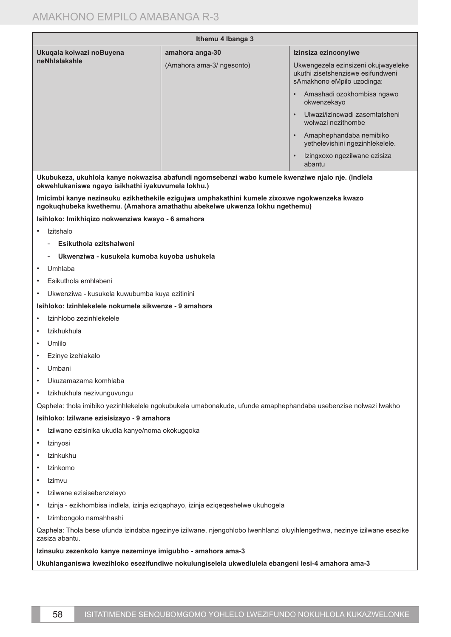| Ithemu 4 Ibanga 3                         |                           |                                                                                                        |
|-------------------------------------------|---------------------------|--------------------------------------------------------------------------------------------------------|
| Ukuqala kolwazi noBuyena<br>neNhlalakahle | amahora anga-30           | Izinsiza ezinconyiwe                                                                                   |
|                                           | (Amahora ama-3/ ngesonto) | Ukwengezela ezinsizeni okujwayeleke<br>ukuthi zisetshenziswe esifundweni<br>sAmakhono eMpilo uzodinga: |
|                                           |                           | Amashadi ozokhombisa ngawo<br>$\bullet$<br>okwenzekayo                                                 |
|                                           |                           | Ulwazi/izincwadi zasemtatsheni<br>$\bullet$<br>wolwazi nezithombe                                      |
|                                           |                           | Amaphephandaba nemibiko<br>$\bullet$<br>vethelevishini ngezinhlekelele.                                |
|                                           |                           | Izingxoxo ngezilwane ezisiza<br>$\bullet$<br>abantu                                                    |

**Ukubukeza, ukuhlola kanye nokwazisa abafundi ngomsebenzi wabo kumele kwenziwe njalo nje. (Indlela okwehlukaniswe ngayo isikhathi iyakuvumela lokhu.)**

**Imicimbi kanye nezinsuku ezikhethekile ezigujwa umphakathini kumele zixoxwe ngokwenzeka kwazo ngokuqhubeka kwethemu. (Amahora amathathu abekelwe ukwenza lokhu ngethemu)**

**Isihloko: Imikhiqizo nokwenziwa kwayo - 6 amahora** 

- **Izitshalo** 
	- **Esikuthola ezitshalweni**
	- **Ukwenziwa kusukela kumoba kuyoba ushukela**
- • Umhlaba
- Esikuthola emhlabeni
- Ukwenziwa kusukela kuwubumba kuya ezitinini

#### **Isihloko: Izinhlekelele nokumele sikwenze - 9 amahora**

- Izinhlobo zezinhlekelele
- **Izikhukhula**
- **Umlilo**
- • Ezinye izehlakalo
- • Umbani
- Ukuzamazama komhlaba
- Izikhukhula nezivunguvungu

Qaphela: thola imibiko yezinhlekelele ngokubukela umabonakude, ufunde amaphephandaba usebenzise nolwazi lwakho

## **Isihloko: Izilwane ezisisizayo - 9 amahora**

- • Izilwane ezisinika ukudla kanye/noma okokugqoka
- **Izinyosi**
- **Izinkukhu**
- • Izinkomo
- • Izimvu
- Izilwane ezisisebenzelayo
- Izinja ezikhombisa indlela, izinja eziqaphayo, izinja eziqeqeshelwe ukuhogela
- Izimbongolo namahhashi

Qaphela: Thola bese ufunda izindaba ngezinye izilwane, njengohlobo lwenhlanzi oluyihlengethwa, nezinye izilwane esezike zasiza abantu.

#### **Izinsuku zezenkolo kanye nezeminye imigubho - amahora ama-3**

**Ukuhlanganiswa kwezihloko esezifundiwe nokulungiselela ukwedlulela ebangeni lesi-4 amahora ama-3**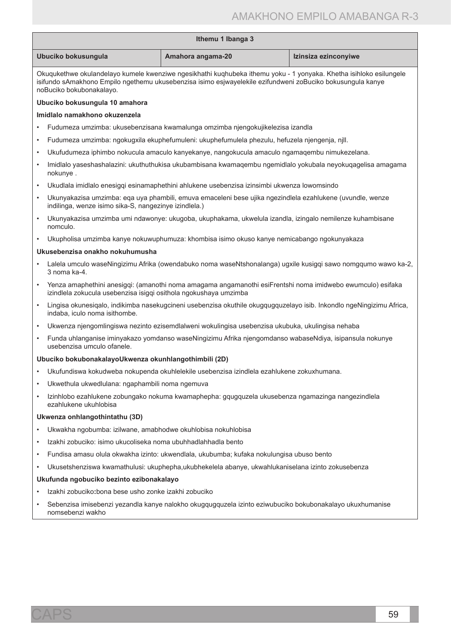| Ithemu 1 Ibanga 3   |                   |                      |
|---------------------|-------------------|----------------------|
| Ubuciko bokusungula | Amahora angama-20 | Izinsiza ezinconyiwe |
| $ -$<br>.           |                   |                      |

Okuqukethwe okulandelayo kumele kwenziwe ngesikhathi kuqhubeka ithemu yoku - 1 yonyaka. Khetha isihloko esilungele isifundo sAmakhono Empilo ngethemu ukusebenzisa isimo esjwayelekile ezifundweni zoBuciko bokusungula kanye noBuciko bokubonakalayo.

## **Ubuciko bokusungula 10 amahora**

## **Imidlalo namakhono okuzenzela**

- Fudumeza umzimba: ukusebenzisana kwamalunga omzimba njengokujikelezisa izandla
- Fudumeza umzimba: ngokugxila ekuphefumuleni: ukuphefumulela phezulu, hefuzela njengenja, njll.
- Ukufudumeza iphimbo nokucula amaculo kanyekanye, nangokucula amaculo ngamaqembu nimukezelana.
- • Imidlalo yaseshashalazini: ukuthuthukisa ukubambisana kwamaqembu ngemidlalo yokubala neyokuqagelisa amagama nokunye .
- Ukudlala imidlalo enesigqi esinamaphethini ahlukene usebenzisa izinsimbi ukwenza lowomsindo
- Ukunyakazisa umzimba: ega uya phambili, emuva emaceleni bese ujika ngezindlela ezahlukene (uvundle, wenze indilinga, wenze isimo sika-S, nangezinye izindlela.)
- Ukunyakazisa umzimba umi ndawonye: ukugoba, ukuphakama, ukwelula izandla, izingalo nemilenze kuhambisane nomculo.
- Ukupholisa umzimba kanye nokuwuphumuza: khombisa isimo okuso kanye nemicabango ngokunyakaza

## **Ukusebenzisa onakho nokuhumusha**

- Lalela umculo waseNingizimu Afrika (owendabuko noma waseNtshonalanga) ugxile kusigqi sawo nomgqumo wawo ka-2, 3 noma ka-4.
- • Yenza amaphethini anesigqi: (amanothi noma amagama angamanothi esiFrentshi noma imidwebo ewumculo) esifaka izindlela zokucula usebenzisa isigqi osithola ngokushaya umzimba
- Lingisa okunesigalo, indikimba nasekugcineni usebenzisa okuthile okugqugquzelayo isib. Inkondlo ngeNingizimu Africa, indaba, iculo noma isithombe.
- Ukwenza njengomlingiswa nezinto ezisemdlalweni wokulingisa usebenzisa ukubuka, ukulingisa nehaba
- Funda uhlanganise iminyakazo yomdanso waseNingizimu Afrika njengomdanso wabaseNdiya, isipansula nokunye usebenzisa umculo ofanele.

## **Ubuciko bokubonakalayoUkwenza okunhlangothimbili (2D)**

- Ukufundiswa kokudweba nokupenda okuhlelekile usebenzisa izindlela ezahlukene zokuxhumana.
- Ukwethula ukwedlulana: ngaphambili noma ngemuva
- • Izinhlobo ezahlukene zobungako nokuma kwamaphepha: gqugquzela ukusebenza ngamazinga nangezindlela ezahlukene ukuhlobisa

# **Ukwenza onhlangothintathu (3D)**

- Ukwakha ngobumba: izilwane, amabhodwe okuhlobisa nokuhlobisa
- Izakhi zobuciko: isimo ukucoliseka noma ubuhhadlahhadla bento
- Fundisa amasu olula okwakha izinto: ukwendlala, ukubumba; kufaka nokulungisa ubuso bento
- Ukusetshenziswa kwamathulusi: ukuphepha,ukubhekelela abanye, ukwahlukaniselana izinto zokusebenza

# **Ukufunda ngobuciko bezinto ezibonakalayo**

- Izakhi zobuciko: bona bese usho zonke izakhi zobuciko
- Sebenzisa imisebenzi yezandla kanye nalokho okugqugquzela izinto eziwubuciko bokubonakalayo ukuxhumanise nomsebenzi wakho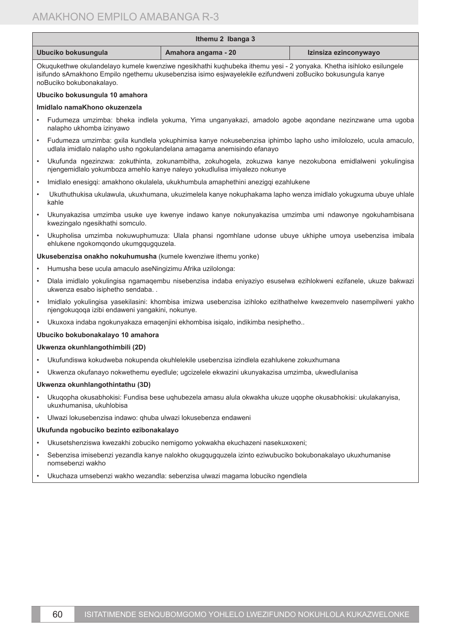| Ithemu 2 Ibanga 3   |                     |                       |
|---------------------|---------------------|-----------------------|
| Ubuciko bokusungula | Amahora angama - 20 | Izinsiza ezinconywayo |

Okuqukethwe okulandelayo kumele kwenziwe ngesikhathi kuqhubeka ithemu yesi - 2 yonyaka. Khetha isihloko esilungele isifundo sAmakhono Empilo ngethemu ukusebenzisa isimo esjwayelekile ezifundweni zoBuciko bokusungula kanye noBuciko bokubonakalayo.

#### **Ubuciko bokusungula 10 amahora**

#### **Imidlalo namaKhono okuzenzela**

- Fudumeza umzimba: bheka indlela yokuma, Yima unganyakazi, amadolo agobe aqondane nezinzwane uma ugoba nalapho ukhomba izinyawo
- Fudumeza umzimba: gxila kundlela yokuphimisa kanye nokusebenzisa iphimbo lapho usho imilolozelo, ucula amaculo, udlala imidlalo nalapho usho ngokulandelana amagama anemisindo efanayo
- Ukufunda ngezinzwa: zokuthinta, zokunambitha, zokuhogela, zokuzwa kanye nezokubona emidlalweni yokulingisa njengemidlalo yokumboza amehlo kanye naleyo yokudlulisa imiyalezo nokunye
- Imidlalo enesigqi: amakhono okulalela, ukukhumbula amaphethini anezigqi ezahlukene
- Ukuthuthukisa ukulawula, ukuxhumana, ukuzimelela kanye nokuphakama lapho wenza imidlalo yokugxuma ubuye uhlale kahle
- Ukunyakazisa umzimba usuke uye kwenye indawo kanye nokunyakazisa umzimba umi ndawonye ngokuhambisana kwezingalo ngesikhathi somculo.
- Ukupholisa umzimba nokuwuphumuza: Ulala phansi ngomhlane udonse ubuye ukhiphe umoya usebenzisa imibala ehlukene ngokomqondo ukumgqugquzela.

**Ukusebenzisa onakho nokuhumusha** (kumele kwenziwe ithemu yonke)

- Humusha bese ucula amaculo aseNingizimu Afrika uzilolonga:
- Dlala imidlalo yokulingisa ngamaqembu nisebenzisa indaba eniyaziyo esuselwa ezihlokweni ezifanele, ukuze bakwazi ukwenza esabo isiphetho sendaba. .
- Imidlalo yokulingisa yasekilasini: khombisa imizwa usebenzisa izihloko ezithathelwe kwezemvelo nasempilweni yakho njengokuqoqa izibi endaweni yangakini, nokunye.
- Ukuxoxa indaba ngokunyakaza emaqenjini ekhombisa isiqalo, indikimba nesiphetho..

**Ubuciko bokubonakalayo 10 amahora** 

#### **Ukwenza okunhlangothimbili (2D)**

- Ukufundiswa kokudweba nokupenda okuhlelekile usebenzisa izindlela ezahlukene zokuxhumana
- Ukwenza okufanayo nokwethemu eyedlule; ugcizelele ekwazini ukunyakazisa umzimba, ukwedlulanisa

#### **Ukwenza okunhlangothintathu (3D)**

- Ukuqopha okusabhokisi: Fundisa bese uqhubezela amasu alula okwakha ukuze uqophe okusabhokisi: ukulakanyisa, ukuxhumanisa, ukuhlobisa
- Ulwazi lokusebenzisa indawo: qhuba ulwazi lokusebenza endaweni

#### **Ukufunda ngobuciko bezinto ezibonakalayo**

- Ukusetshenziswa kwezakhi zobuciko nemigomo yokwakha ekuchazeni nasekuxoxeni;
- Sebenzisa imisebenzi yezandla kanye nalokho okugqugquzela izinto eziwubuciko bokubonakalayo ukuxhumanise nomsebenzi wakho
- Ukuchaza umsebenzi wakho wezandla: sebenzisa ulwazi magama lobuciko ngendlela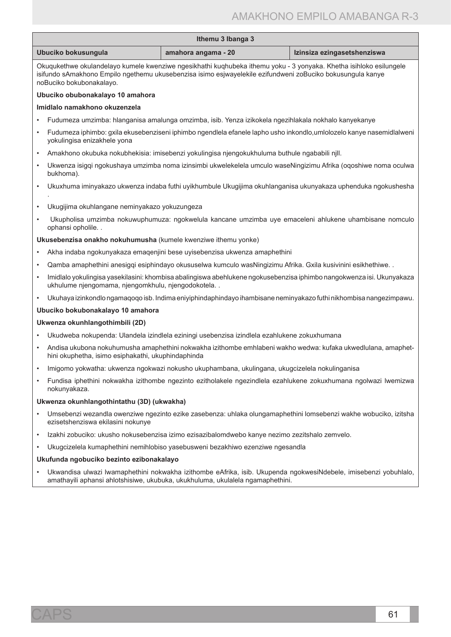| Ithemu 3 Ibanga 3   |                     |                             |
|---------------------|---------------------|-----------------------------|
| Ubuciko bokusungula | amahora angama - 20 | Izinsiza ezingasetshenziswa |

Okuqukethwe okulandelayo kumele kwenziwe ngesikhathi kuqhubeka ithemu yoku - 3 yonyaka. Khetha isihloko esilungele isifundo sAmakhono Empilo ngethemu ukusebenzisa isimo esjwayelekile ezifundweni zoBuciko bokusungula kanye noBuciko bokubonakalayo.

## **Ubuciko obubonakalayo 10 amahora**

## **Imidlalo namakhono okuzenzela**

- Fudumeza umzimba: hlanganisa amalunga omzimba, isib. Yenza izikokela ngezihlakala nokhalo kanyekanye
- Fudumeza iphimbo: gxila ekusebenziseni iphimbo ngendlela efanele lapho usho inkondlo,umlolozelo kanye nasemidlalweni yokulingisa enizakhele yona
- Amakhono okubuka nokubhekisia: imisebenzi yokulingisa njengokukhuluma buthule ngababili njll.
- Ukwenza isiggi ngokushaya umzimba noma izinsimbi ukwelekelela umculo waseNingizimu Afrika (ogoshiwe noma oculwa bukhoma).
- Ukuxhuma iminyakazo ukwenza indaba futhi uyikhumbule Ukugijima okuhlanganisa ukunyakaza uphenduka ngokushesha .
- Ukugijima okuhlangane neminyakazo yokuzungeza
- Ukupholisa umzimba nokuwuphumuza: ngokwelula kancane umzimba uye emaceleni ahlukene uhambisane nomculo ophansi opholile. .

## **Ukusebenzisa onakho nokuhumusha** (kumele kwenziwe ithemu yonke)

- Akha indaba ngokunyakaza emaqenjini bese uyisebenzisa ukwenza amaphethini
- Qamba amaphethini anesigqi esiphindayo okususelwa kumculo wasNingizimu Afrika. Gxila kusivinini esikhethiwe. .
- Imidlalo yokulingisa yasekilasini: khombisa abalingiswa abehlukene ngokusebenzisa iphimbo nangokwenza isi. Ukunyakaza ukhulume njengomama, njengomkhulu, njengodokotela. .
- • Ukuhaya izinkondlo ngamaqoqo isb. Indima eniyiphindaphindayo ihambisane neminyakazo futhi nikhombisa nangezimpawu.

## **Ubuciko bokubonakalayo 10 amahora**

#### **Ukwenza okunhlangothimbili (2D)**

- Ukudweba nokupenda: Ulandela izindlela eziningi usebenzisa izindlela ezahlukene zokuxhumana
- • Andisa ukubona nokuhumusha amaphethini nokwakha izithombe emhlabeni wakho wedwa: kufaka ukwedlulana, amaphethini okuphetha, isimo esiphakathi, ukuphindaphinda
- Imigomo yokwatha: ukwenza ngokwazi nokusho ukuphambana, ukulingana, ukugcizelela nokulinganisa
- Fundisa iphethini nokwakha izithombe ngezinto ezitholakele ngezindlela ezahlukene zokuxhumana ngolwazi lwemizwa nokunyakaza.

#### **Ukwenza okunhlangothintathu (3D) (ukwakha)**

- Umsebenzi wezandla owenziwe ngezinto ezike zasebenza: uhlaka olungamaphethini lomsebenzi wakhe wobuciko, izitsha ezisetshenziswa ekilasini nokunye
- Izakhi zobuciko: ukusho nokusebenzisa izimo ezisazibalomdwebo kanye nezimo zezitshalo zemvelo.
- Ukugcizelela kumaphethini nemihlobiso yasebusweni bezakhiwo ezenziwe ngesandla

#### **Ukufunda ngobuciko bezinto ezibonakalayo**

Ukwandisa ulwazi lwamaphethini nokwakha izithombe eAfrika, isib. Ukupenda ngokwesiNdebele, imisebenzi yobuhlalo, amathayili aphansi ahlotshisiwe, ukubuka, ukukhuluma, ukulalela ngamaphethini.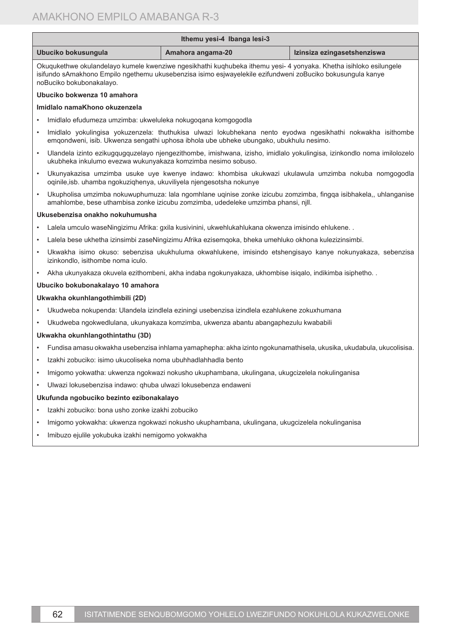| Ithemu yesi-4 Ibanga lesi-3                                                                                                                                                                                                    |                   |                             |
|--------------------------------------------------------------------------------------------------------------------------------------------------------------------------------------------------------------------------------|-------------------|-----------------------------|
| Ubuciko bokusungula                                                                                                                                                                                                            | Amahora angama-20 | Izinsiza ezingasetshenziswa |
| Okugukethwe okulandelayo kumele kwenziwe ngesikhathi kughubeka ithemu yesi-4 yonyaka. Khetha isihloko esilungele<br>isifundo sAmakhono Empilo ngethemu ukusebenzisa isimo esjwayelekile ezifundweni zoBuciko bokusungula kanye |                   |                             |

#### **Ubuciko bokwenza 10 amahora**

noBuciko bokubonakalayo.

#### **Imidlalo namaKhono okuzenzela**

- Imidlalo efudumeza umzimba: ukweluleka nokugoqana komgogodla
- Imidlalo yokulingisa yokuzenzela: thuthukisa ulwazi lokubhekana nento eyodwa ngesikhathi nokwakha isithombe emqondweni, isib. Ukwenza sengathi uphosa ibhola ube ubheke ubungako, ubukhulu nesimo.
- Ulandela izinto ezikugqugquzelayo njengezithombe, imishwana, izisho, imidlalo yokulingisa, izinkondlo noma imilolozelo ukubheka inkulumo evezwa wukunyakaza komzimba nesimo sobuso.
- Ukunyakazisa umzimba usuke uye kwenye indawo: khombisa ukukwazi ukulawula umzimba nokuba nomgogodla oqinile,isb. uhamba ngokuziqhenya, ukuviliyela njengesotsha nokunye
- Ukupholisa umzimba nokuwuphumuza: lala ngomhlane uqinise zonke izicubu zomzimba, fingqa isibhakela,, uhlanganise amahlombe, bese uthambisa zonke izicubu zomzimba, udedeleke umzimba phansi, njll.

#### **Ukusebenzisa onakho nokuhumusha**

- Lalela umculo waseNingizimu Afrika: gxila kusivinini, ukwehlukahlukana okwenza imisindo ehlukene. .
- Lalela bese ukhetha izinsimbi zaseNingizimu Afrika ezisemqoka, bheka umehluko okhona kulezizinsimbi.
- Ukwakha isimo okuso: sebenzisa ukukhuluma okwahlukene, imisindo etshengisayo kanye nokunyakaza, sebenzisa izinkondlo, isithombe noma iculo.
- Akha ukunyakaza okuvela ezithombeni, akha indaba ngokunyakaza, ukhombise isiqalo, indikimba isiphetho. .

#### **Ubuciko bokubonakalayo 10 amahora**

#### **Ukwakha okunhlangothimbili (2D)**

- Ukudweba nokupenda: Ulandela izindlela eziningi usebenzisa izindlela ezahlukene zokuxhumana
- Ukudweba ngokwedlulana, ukunyakaza komzimba, ukwenza abantu abangaphezulu kwababili

#### **Ukwakha okunhlangothintathu (3D)**

- Fundisa amasu okwakha usebenzisa inhlama yamaphepha: akha izinto ngokunamathisela, ukusika, ukudabula, ukucolisisa.
- Izakhi zobuciko: isimo ukucoliseka noma ubuhhadlahhadla bento
- Imigomo yokwatha: ukwenza ngokwazi nokusho ukuphambana, ukulingana, ukugcizelela nokulinganisa
- Ulwazi lokusebenzisa indawo: qhuba ulwazi lokusebenza endaweni

#### **Ukufunda ngobuciko bezinto ezibonakalayo**

- Izakhi zobuciko: bona usho zonke izakhi zobuciko
- Imigomo yokwakha: ukwenza ngokwazi nokusho ukuphambana, ukulingana, ukugcizelela nokulinganisa
- Imibuzo ejulile yokubuka izakhi nemigomo yokwakha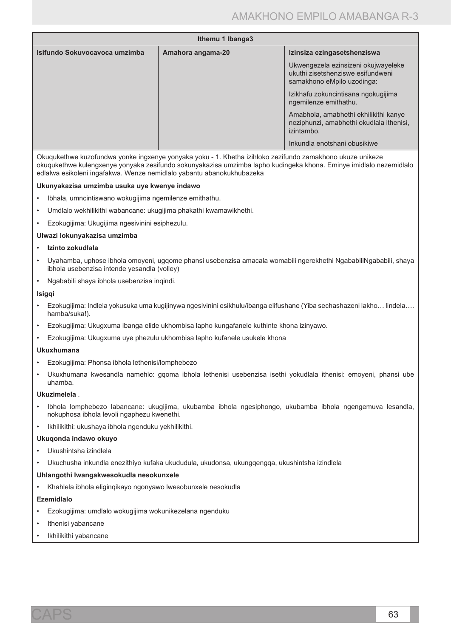| Ithemu 1 Ibanga3              |                   |                                                                                                        |
|-------------------------------|-------------------|--------------------------------------------------------------------------------------------------------|
| Isifundo Sokuvocavoca umzimba | Amahora angama-20 | Izinsiza ezingasetshenziswa                                                                            |
|                               |                   | Ukwengezela ezinsizeni okujwayeleke<br>ukuthi zisetshenziswe esifundweni<br>samakhono eMpilo uzodinga: |
|                               |                   | Izikhafu zokuncintisana ngokugijima<br>ngemilenze emithathu.                                           |
|                               |                   | Amabhola, amabhethi ekhilikithi kanye<br>neziphunzi, amabhethi okudlala ithenisi,<br>izintambo.        |
|                               |                   | Inkundla enotshani obusikiwe                                                                           |

Okuqukethwe kuzofundwa yonke ingxenye yonyaka yoku - 1. Khetha izihloko zezifundo zamakhono ukuze unikeze okuqukethwe kulengxenye yonyaka zesifundo sokunyakazisa umzimba lapho kudingeka khona. Eminye imidlalo nezemidlalo edlalwa esikoleni ingafakwa. Wenze nemidlalo yabantu abanokukhubazeka

#### **Ukunyakazisa umzimba usuka uye kwenye indawo**

- Ibhala, umncintiswano wokugijima ngemilenze emithathu.
- Umdlalo wekhilikithi wabancane: ukugijima phakathi kwamawikhethi.
- Ezokugijima: Ukugijima ngesivinini esiphezulu.

#### **Ulwazi lokunyakazisa umzimba**

#### • **Izinto zokudlala**

- • Uyahamba, uphose ibhola omoyeni, ugqome phansi usebenzisa amacala womabili ngerekhethi NgababiliNgababili, shaya ibhola usebenzisa intende yesandla (volley)
- Ngababili shaya ibhola usebenzisa inqindi.

#### **Isigqi**

- Ezokugijima: Indlela yokusuka uma kugijinywa ngesivinini esikhulu/ibanga elifushane (Yiba sechashazeni lakho… lindela…. hamba/suka!).
- Ezokugijima: Ukugxuma ibanga elide ukhombisa lapho kungafanele kuthinte khona izinyawo.
- Ezokugijima: Ukugxuma uye phezulu ukhombisa lapho kufanele usukele khona

#### **Ukuxhumana**

- • Ezokugijima: Phonsa ibhola lethenisi/lomphebezo
- Ukuxhumana kwesandla namehlo: gqoma ibhola lethenisi usebenzisa isethi yokudlala ithenisi: emoyeni, phansi ube uhamba.

#### **Ukuzimelela** .

- Ibhola lomphebezo labancane: ukugijima, ukubamba ibhola ngesiphongo, ukubamba ibhola ngengemuva lesandla, nokuphosa ibhola levoli ngaphezu kwenethi.
- Ikhilikithi: ukushaya ibhola ngenduku yekhilikithi.

#### **Ukuqonda indawo okuyo**

- Ukushintsha izindlela
- Ukuchusha inkundla enezithiyo kufaka ukududula, ukudonsa, ukungqengqa, ukushintsha izindlela

## **Uhlangothi lwangakwesokudla nesokunxele**

• Khahlela ibhola eliginqikayo ngonyawo lwesobunxele nesokudla

- Ezokugijima: umdlalo wokugijima wokunikezelana ngenduku
- • Ithenisi yabancane
- Ikhilikithi yabancane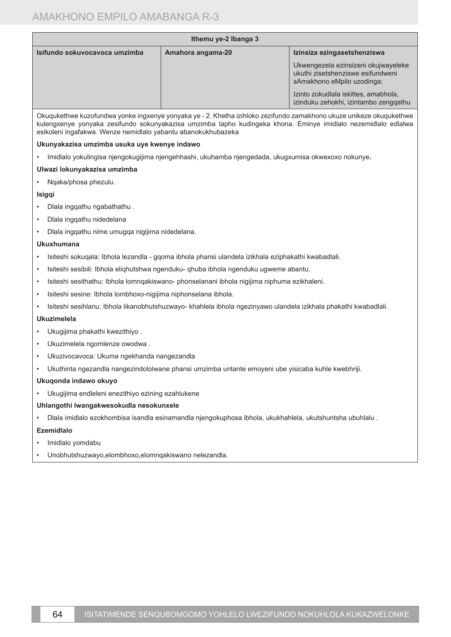| Ithemu ye-2 Ibanga 3          |                   |                                                                                                        |
|-------------------------------|-------------------|--------------------------------------------------------------------------------------------------------|
| Isifundo sokuvocavoca umzimba | Amahora angama-20 | Izinsiza ezingasetshenziswa                                                                            |
|                               |                   | Ukwengezela ezinsizeni okujwayeleke<br>ukuthi zisetshenziswe esifundweni<br>sAmakhono eMpilo uzodinga: |
|                               |                   | Izinto zokudlala iskittes, amabhola,<br>izinduku zehokhi, izintambo zenggathu                          |

Okuqukethwe kuzofundwa yonke ingxenye yonyaka ye - 2. Khetha izihloko zezifundo zamakhono ukuze unikeze okuqukethwe kulengxenye yonyaka zesifundo sokunyakazisa umzimba lapho kudingeka khona. Eminye imidlalo nezemidlalo edlalwa esikoleni ingafakwa. Wenze nemidlalo yabantu abanokukhubazeka

#### **Ukunyakazisa umzimba usuka uye kwenye indawo**

• Imidlalo yokulingisa njengokugijima njengehhashi, ukuhamba njengedada, ukugxumisa okwexoxo nokunye**.**

#### **Ulwazi lokunyakazisa umzimba**

• Nqaka/phosa phezulu.

## **Isigqi**

- Dlala ingqathu ngabathathu.
- • Dlala ingqathu nidedelana
- Dlala ingqathu nime umugqa nigijima nidedelana.

## **Ukuxhumana**

- Isiteshi sokuqala: Ibhola lezandla gqoma ibhola phansi ulandela izikhala eziphakathi kwabadlali.
- • Isiteshi sesibili: Ibhola eliqhutshwa ngenduku- qhuba ibhola ngenduku ugweme abantu.
- • Isiteshi sesithathu: Ibhola lomnqakiswano- phonselanani ibhola nigijima niphuma ezikhaleni.
- • Isiteshi sesine: Ibhola lombhoxo-nigijima niphonselana ibhola.
- Isiteshi sesihlanu: Ibhola likanobhutshuzwayo- khahlela ibhola ngezinyawo ulandela izikhala phakathi kwabadlali.

## **Ukuzimelela**

- • Ukugijima phakathi kwezithiyo .
- Ukuzimelela ngomlenze owodwa .
- Ukuzivocavoca: Ukuma ngekhanda nangezandla
- • Ukuthinta ngezandla nangezindololwane phansi umzimba untante emoyeni ube yisicaba kuhle kwebhriji.

## **Ukuqonda indawo okuyo**

Ukugijima endleleni enezithiyo ezining ezahlukene

## **Uhlangothi lwangakwesokudla nesokunxele**

• Dlala imidlalo ezokhombisa isandla esinamandla njengokuphosa ibhola, ukukhahlela, ukutshuntsha ubuhlalu .

- Imidlalo yomdabu
- Unobhutshuzwayo,elombhoxo,elomnqakiswano nelezandla.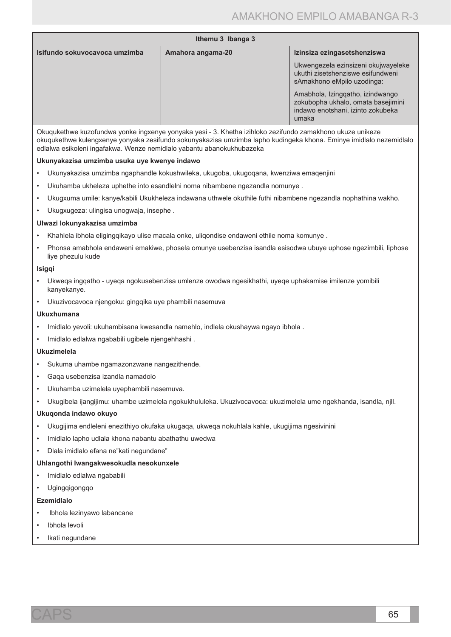| Ithemu 3 Ibanga 3             |                   |                                                                                                                      |
|-------------------------------|-------------------|----------------------------------------------------------------------------------------------------------------------|
| Isifundo sokuvocavoca umzimba | Amahora angama-20 | Izinsiza ezingasetshenziswa                                                                                          |
|                               |                   | Ukwengezela ezinsizeni okujwayeleke<br>ukuthi zisetshenziswe esifundweni<br>sAmakhono eMpilo uzodinga:               |
|                               |                   | Amabhola, Izingqatho, izindwango<br>zokubopha ukhalo, omata basejimini<br>indawo enotshani, izinto zokubeka<br>umaka |

Okuqukethwe kuzofundwa yonke ingxenye yonyaka yesi - 3. Khetha izihloko zezifundo zamakhono ukuze unikeze okuqukethwe kulengxenye yonyaka zesifundo sokunyakazisa umzimba lapho kudingeka khona. Eminye imidlalo nezemidlalo edlalwa esikoleni ingafakwa. Wenze nemidlalo yabantu abanokukhubazeka

#### **Ukunyakazisa umzimba usuka uye kwenye indawo**

- • Ukunyakazisa umzimba ngaphandle kokushwileka, ukugoba, ukugoqana, kwenziwa emaqenjini
- • Ukuhamba ukheleza uphethe into esandlelni noma nibambene ngezandla nomunye .
- Ukugxuma umile: kanye/kabili Ukukheleza indawana uthwele okuthile futhi nibambene ngezandla nophathina wakho.
- Ukugxugeza: ulingisa unogwaja, insephe .

#### **Ulwazi lokunyakazisa umzimba**

- Khahlela ibhola eligingqikayo ulise macala onke, uliqondise endaweni ethile noma komunye .
- Phonsa amabhola endaweni emakiwe, phosela omunye usebenzisa isandla esisodwa ubuye uphose ngezimbili, liphose liye phezulu kude

## **Isigqi**

- • Ukweqa ingqatho uyeqa ngokusebenzisa umlenze owodwa ngesikhathi, uyeqe uphakamise imilenze yomibili kanyekanye.
- • Ukuzivocavoca njengoku: gingqika uye phambili nasemuva

#### **Ukuxhumana**

- Imidlalo yevoli: ukuhambisana kwesandla namehlo, indlela okushaywa ngayo ibhola .
- • Imidlalo edlalwa ngababili ugibele njengehhashi .

#### **Ukuzimelela**

- Sukuma uhambe ngamazonzwane nangezithende.
- Gaqa usebenzisa izandla namadolo
- • Ukuhamba uzimelela uyephambili nasemuva.
- • Ukugibela ijangijimu: uhambe uzimelela ngokukhululeka. Ukuzivocavoca: ukuzimelela ume ngekhanda, isandla, njll.

#### **Ukuqonda indawo okuyo**

- Ukugijima endleleni enezithiyo okufaka ukugaqa, ukweqa nokuhlala kahle, ukugijima ngesivinini
- • Imidlalo lapho udlala khona nabantu abathathu uwedwa
- Dlala imidlalo efana ne"kati negundane"

#### **Uhlangothi lwangakwesokudla nesokunxele**

- Imidlalo edlalwa ngababili
- Ugingqigongqo

- • Ibhola lezinyawo labancane
- Ibhola levoli
- Ikati negundane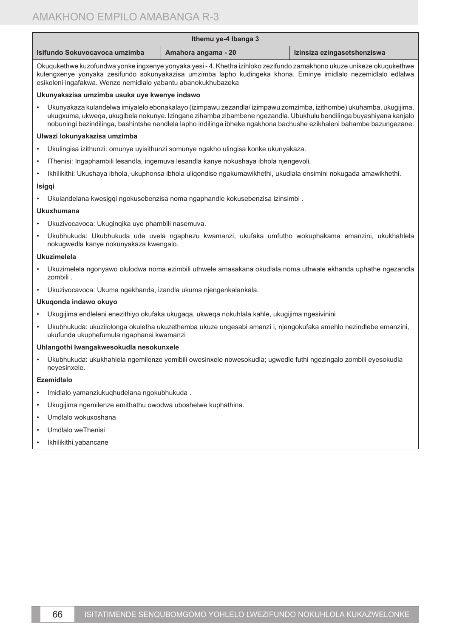| Ithemu ye-4 Ibanga 3                                                                                                                                                                                                                                                                                     |                                                                                                                                                                                                                                                                                                                                                                 |                             |
|----------------------------------------------------------------------------------------------------------------------------------------------------------------------------------------------------------------------------------------------------------------------------------------------------------|-----------------------------------------------------------------------------------------------------------------------------------------------------------------------------------------------------------------------------------------------------------------------------------------------------------------------------------------------------------------|-----------------------------|
| Isifundo Sokuvocavoca umzimba                                                                                                                                                                                                                                                                            | Amahora angama - 20                                                                                                                                                                                                                                                                                                                                             | Izinsiza ezingasetshenziswa |
| Okuqukethwe kuzofundwa yonke ingxenye yonyaka yesi - 4. Khetha izihloko zezifundo zamakhono ukuze unikeze okuqukethwe<br>kulengxenye yonyaka zesifundo sokunyakazisa umzimba lapho kudingeka khona. Eminye imidlalo nezemidlalo edlalwa<br>esikoleni ingafakwa. Wenze nemidlalo yabantu abanokukhubazeka |                                                                                                                                                                                                                                                                                                                                                                 |                             |
| Ukunyakazisa umzimba usuka uye kwenye indawo                                                                                                                                                                                                                                                             |                                                                                                                                                                                                                                                                                                                                                                 |                             |
|                                                                                                                                                                                                                                                                                                          | Ukunyakaza kulandelwa imiyalelo ebonakalayo (izimpawu zezandla/izimpawu zomzimba, izithombe) ukuhamba, ukugijima,<br>ukugxuma, ukweqa, ukugibela nokunye. Izingane zihamba zibambene ngezandla. Ubukhulu bendilinga buyashiyana kanjalo<br>nobuningi bezindilinga, bashintshe nendlela lapho indilinga ibheke ngakhona bachushe ezikhaleni bahambe bazungezane. |                             |
| Ulwazi lokunyakazisa umzimba                                                                                                                                                                                                                                                                             |                                                                                                                                                                                                                                                                                                                                                                 |                             |
| $\bullet$                                                                                                                                                                                                                                                                                                | Ukulingisa izithunzi: omunye uyisithunzi somunye ngakho ulingisa konke ukunyakaza.                                                                                                                                                                                                                                                                              |                             |
| $\bullet$                                                                                                                                                                                                                                                                                                | IThenisi: Ingaphambili lesandla, ingemuva lesandla kanye nokushaya ibhola njengevoli.                                                                                                                                                                                                                                                                           |                             |
|                                                                                                                                                                                                                                                                                                          | Ikhilikithi: Ukushaya ibhola, ukuphonsa ibhola uliqondise ngakumawikhethi, ukudlala ensimini nokugada amawikhethi.                                                                                                                                                                                                                                              |                             |
| <b>Isigqi</b>                                                                                                                                                                                                                                                                                            |                                                                                                                                                                                                                                                                                                                                                                 |                             |
| $\bullet$                                                                                                                                                                                                                                                                                                | Ukulandelana kwesigqi ngokusebenzisa noma ngaphandle kokusebenzisa izinsimbi.                                                                                                                                                                                                                                                                                   |                             |
| <b>Ukuxhumana</b>                                                                                                                                                                                                                                                                                        |                                                                                                                                                                                                                                                                                                                                                                 |                             |
| Ukuzivocavoca: Ukuginqika uye phambili nasemuva.                                                                                                                                                                                                                                                         |                                                                                                                                                                                                                                                                                                                                                                 |                             |
| nokugwedla kanye nokunyakaza kwengalo.                                                                                                                                                                                                                                                                   | Ukubhukuda: Ukubhukuda ude uvela ngaphezu kwamanzi, ukufaka umfutho wokuphakama emanzini, ukukhahlela                                                                                                                                                                                                                                                           |                             |
| Ukuzimelela                                                                                                                                                                                                                                                                                              |                                                                                                                                                                                                                                                                                                                                                                 |                             |
| zombili.                                                                                                                                                                                                                                                                                                 | Ukuzimelela ngonyawo olulodwa noma ezimbili uthwele amasakana okudlala noma uthwale ekhanda uphathe ngezandla                                                                                                                                                                                                                                                   |                             |
| Ukuzivocavoca: Ukuma ngekhanda, izandla ukuma njengenkalankala.                                                                                                                                                                                                                                          |                                                                                                                                                                                                                                                                                                                                                                 |                             |
| Ukuqonda indawo okuyo                                                                                                                                                                                                                                                                                    |                                                                                                                                                                                                                                                                                                                                                                 |                             |
|                                                                                                                                                                                                                                                                                                          | Ukugijima endleleni enezithiyo okufaka ukugaqa, ukweqa nokuhlala kahle, ukugijima ngesivinini                                                                                                                                                                                                                                                                   |                             |
| Ukubhukuda: ukuzilolonga okuletha ukuzethemba ukuze ungesabi amanzi i, njengokufaka amehlo nezindlebe emanzini,<br>ukufunda ukuphefumula ngaphansi kwamanzi                                                                                                                                              |                                                                                                                                                                                                                                                                                                                                                                 |                             |
| Uhlangothi lwangakwesokudla nesokunxele                                                                                                                                                                                                                                                                  |                                                                                                                                                                                                                                                                                                                                                                 |                             |
| neyesinxele.                                                                                                                                                                                                                                                                                             | Ukubhukuda: ukukhahlela ngemilenze yomibili owesinxele nowesokudla; ugwedle futhi ngezingalo zombili eyesokudla                                                                                                                                                                                                                                                 |                             |
| <b>Ezemidialo</b>                                                                                                                                                                                                                                                                                        |                                                                                                                                                                                                                                                                                                                                                                 |                             |
| Imidlalo yamanziukuqhudelana ngokubhukuda.                                                                                                                                                                                                                                                               |                                                                                                                                                                                                                                                                                                                                                                 |                             |
| Ukugijima ngemilenze emithathu owodwa uboshelwe kuphathina.<br>$\bullet$                                                                                                                                                                                                                                 |                                                                                                                                                                                                                                                                                                                                                                 |                             |
| Umdlalo wokuxoshana<br>$\bullet$                                                                                                                                                                                                                                                                         |                                                                                                                                                                                                                                                                                                                                                                 |                             |
| Umdlalo weThenisi                                                                                                                                                                                                                                                                                        |                                                                                                                                                                                                                                                                                                                                                                 |                             |
| Ikhilikithi.yabancane<br>$\bullet$                                                                                                                                                                                                                                                                       |                                                                                                                                                                                                                                                                                                                                                                 |                             |
|                                                                                                                                                                                                                                                                                                          |                                                                                                                                                                                                                                                                                                                                                                 |                             |
|                                                                                                                                                                                                                                                                                                          |                                                                                                                                                                                                                                                                                                                                                                 |                             |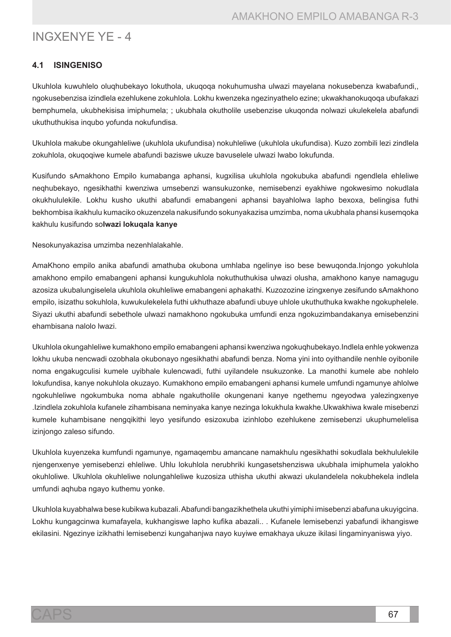# INGXENYE YE - 4

# **4.1 ISINGENISO**

Ukuhlola kuwuhlelo oluqhubekayo lokuthola, ukuqoqa nokuhumusha ulwazi mayelana nokusebenza kwabafundi,, ngokusebenzisa izindlela ezehlukene zokuhlola. Lokhu kwenzeka ngezinyathelo ezine; ukwakhanokuqoqa ubufakazi bemphumela, ukubhekisisa imiphumela; ; ukubhala okutholile usebenzise ukuqonda nolwazi ukulekelela abafundi ukuthuthukisa inqubo yofunda nokufundisa.

Ukuhlola makube okungahleliwe (ukuhlola ukufundisa) nokuhleliwe (ukuhlola ukufundisa). Kuzo zombili lezi zindlela zokuhlola, okuqoqiwe kumele abafundi baziswe ukuze bavuselele ulwazi lwabo lokufunda.

Kusifundo sAmakhono Empilo kumabanga aphansi, kugxilisa ukuhlola ngokubuka abafundi ngendlela ehleliwe neqhubekayo, ngesikhathi kwenziwa umsebenzi wansukuzonke, nemisebenzi eyakhiwe ngokwesimo nokudlala okukhululekile. Lokhu kusho ukuthi abafundi emabangeni aphansi bayahlolwa lapho bexoxa, belingisa futhi bekhombisa ikakhulu kumaciko okuzenzela nakusifundo sokunyakazisa umzimba, noma ukubhala phansi kusemqoka kakhulu kusifundo so**lwazi lokuqala kanye**

Nesokunyakazisa umzimba nezenhlalakahle.

AmaKhono empilo anika abafundi amathuba okubona umhlaba ngelinye iso bese bewuqonda.Injongo yokuhlola amakhono empilo emabangeni aphansi kungukuhlola nokuthuthukisa ulwazi olusha, amakhono kanye namagugu azosiza ukubalungiselela ukuhlola okuhleliwe emabangeni aphakathi. Kuzozozine izingxenye zesifundo sAmakhono empilo, isizathu sokuhlola, kuwukulekelela futhi ukhuthaze abafundi ubuye uhlole ukuthuthuka kwakhe ngokuphelele. Siyazi ukuthi abafundi sebethole ulwazi namakhono ngokubuka umfundi enza ngokuzimbandakanya emisebenzini ehambisana nalolo lwazi.

Ukuhlola okungahleliwe kumakhono empilo emabangeni aphansi kwenziwa ngokuqhubekayo.Indlela enhle yokwenza lokhu ukuba nencwadi ozobhala okubonayo ngesikhathi abafundi benza. Noma yini into oyithandile nenhle oyibonile noma engakugculisi kumele uyibhale kulencwadi, futhi uyilandele nsukuzonke. La manothi kumele abe nohlelo lokufundisa, kanye nokuhlola okuzayo. Kumakhono empilo emabangeni aphansi kumele umfundi ngamunye ahlolwe ngokuhleliwe ngokumbuka noma abhale ngakutholile okungenani kanye ngethemu ngeyodwa yalezingxenye .Izindlela zokuhlola kufanele zihambisana neminyaka kanye nezinga lokukhula kwakhe.Ukwakhiwa kwale misebenzi kumele kuhambisane nengqikithi leyo yesifundo esizoxuba izinhlobo ezehlukene zemisebenzi ukuphumelelisa izinjongo zaleso sifundo.

Ukuhlola kuyenzeka kumfundi ngamunye, ngamaqembu amancane namakhulu ngesikhathi sokudlala bekhululekile njengenxenye yemisebenzi ehleliwe. Uhlu lokuhlola nerubhriki kungasetshenziswa ukubhala imiphumela yalokho okuhloliwe. Ukuhlola okuhleliwe nolungahleliwe kuzosiza uthisha ukuthi akwazi ukulandelela nokubhekela indlela umfundi aqhuba ngayo kuthemu yonke.

Ukuhlola kuyabhalwa bese kubikwa kubazali. Abafundi bangazikhethela ukuthi yimiphi imisebenzi abafuna ukuyigcina. Lokhu kungagcinwa kumafayela, kukhangiswe lapho kufika abazali.. . Kufanele lemisebenzi yabafundi ikhangiswe ekilasini. Ngezinye izikhathi lemisebenzi kungahanjwa nayo kuyiwe emakhaya ukuze ikilasi lingaminyaniswa yiyo.